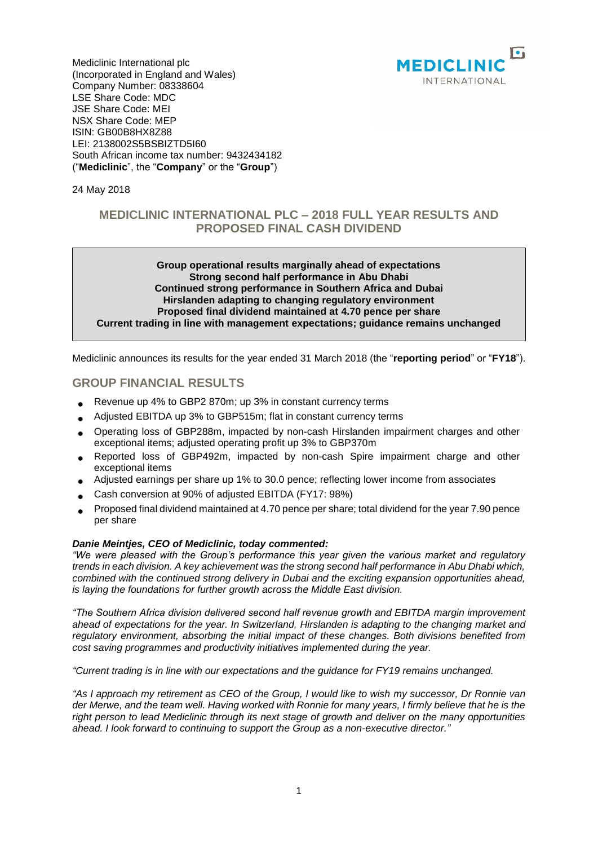

Mediclinic International plc (Incorporated in England and Wales) Company Number: 08338604 LSE Share Code: MDC JSE Share Code: MEI NSX Share Code: MEP ISIN: GB00B8HX8Z88 LEI: 2138002S5BSBIZTD5I60 South African income tax number: 9432434182 ("**Mediclinic**", the "**Company**" or the "**Group**")

24 May 2018

# **MEDICLINIC INTERNATIONAL PLC – 2018 FULL YEAR RESULTS AND PROPOSED FINAL CASH DIVIDEND**

#### **Group operational results marginally ahead of expectations Strong second half performance in Abu Dhabi Continued strong performance in Southern Africa and Dubai Hirslanden adapting to changing regulatory environment Proposed final dividend maintained at 4.70 pence per share Current trading in line with management expectations; guidance remains unchanged**

Mediclinic announces its results for the year ended 31 March 2018 (the "**reporting period**" or "**FY18**").

# **GROUP FINANCIAL RESULTS**

- Revenue up 4% to GBP2 870m; up 3% in constant currency terms
- Adjusted EBITDA up 3% to GBP515m; flat in constant currency terms
- Operating loss of GBP288m, impacted by non-cash Hirslanden impairment charges and other exceptional items; adjusted operating profit up 3% to GBP370m
- Reported loss of GBP492m, impacted by non-cash Spire impairment charge and other exceptional items
- Adjusted earnings per share up 1% to 30.0 pence; reflecting lower income from associates
- Cash conversion at 90% of adjusted EBITDA (FY17: 98%)
- Proposed final dividend maintained at 4.70 pence per share; total dividend for the year 7.90 pence per share

#### *Danie Meintjes, CEO of Mediclinic, today commented:*

*"We were pleased with the Group's performance this year given the various market and regulatory trends in each division. A key achievement was the strong second half performance in Abu Dhabi which, combined with the continued strong delivery in Dubai and the exciting expansion opportunities ahead, is laying the foundations for further growth across the Middle East division.*

*"The Southern Africa division delivered second half revenue growth and EBITDA margin improvement ahead of expectations for the year. In Switzerland, Hirslanden is adapting to the changing market and regulatory environment, absorbing the initial impact of these changes. Both divisions benefited from cost saving programmes and productivity initiatives implemented during the year.*

*"Current trading is in line with our expectations and the guidance for FY19 remains unchanged.*

*"As I approach my retirement as CEO of the Group, I would like to wish my successor, Dr Ronnie van der Merwe, and the team well. Having worked with Ronnie for many years, I firmly believe that he is the right person to lead Mediclinic through its next stage of growth and deliver on the many opportunities ahead. I look forward to continuing to support the Group as a non-executive director."*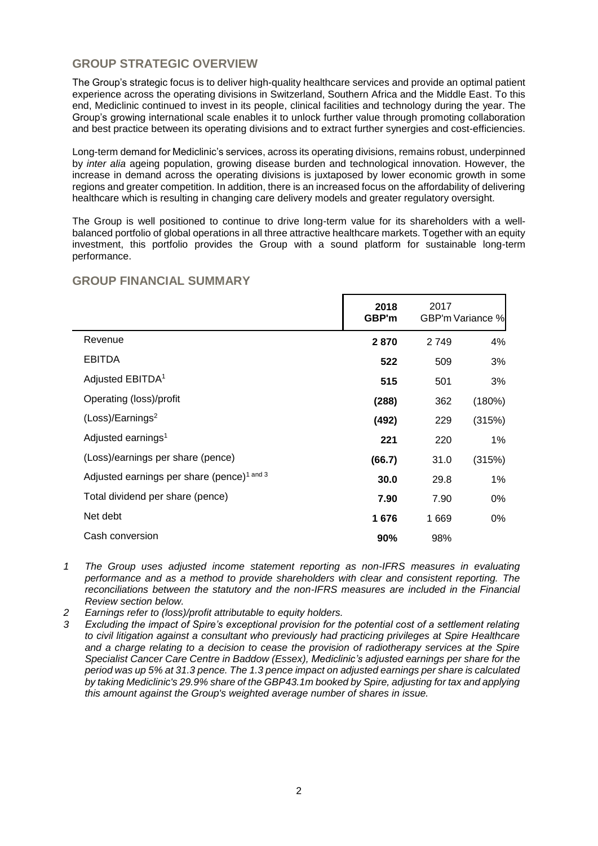# **GROUP STRATEGIC OVERVIEW**

The Group's strategic focus is to deliver high-quality healthcare services and provide an optimal patient experience across the operating divisions in Switzerland, Southern Africa and the Middle East. To this end, Mediclinic continued to invest in its people, clinical facilities and technology during the year. The Group's growing international scale enables it to unlock further value through promoting collaboration and best practice between its operating divisions and to extract further synergies and cost-efficiencies.

Long-term demand for Mediclinic's services, across its operating divisions, remains robust, underpinned by *inter alia* ageing population, growing disease burden and technological innovation. However, the increase in demand across the operating divisions is juxtaposed by lower economic growth in some regions and greater competition. In addition, there is an increased focus on the affordability of delivering healthcare which is resulting in changing care delivery models and greater regulatory oversight.

The Group is well positioned to continue to drive long-term value for its shareholders with a wellbalanced portfolio of global operations in all three attractive healthcare markets. Together with an equity investment, this portfolio provides the Group with a sound platform for sustainable long-term performance.

|                                                        | 2018<br>GBP'm | 2017    | GBP'm Variance % |
|--------------------------------------------------------|---------------|---------|------------------|
| Revenue                                                | 2870          | 2 7 4 9 | 4%               |
| <b>EBITDA</b>                                          | 522           | 509     | 3%               |
| Adjusted EBITDA <sup>1</sup>                           | 515           | 501     | 3%               |
| Operating (loss)/profit                                | (288)         | 362     | (180%)           |
| (Loss)/Earnings <sup>2</sup>                           | (492)         | 229     | (315%)           |
| Adjusted earnings <sup>1</sup>                         | 221           | 220     | $1\%$            |
| (Loss)/earnings per share (pence)                      | (66.7)        | 31.0    | (315%)           |
| Adjusted earnings per share (pence) <sup>1 and 3</sup> | 30.0          | 29.8    | $1\%$            |
| Total dividend per share (pence)                       | 7.90          | 7.90    | 0%               |
| Net debt                                               | 1676          | 1 669   | 0%               |
| Cash conversion                                        | 90%           | 98%     |                  |

# **GROUP FINANCIAL SUMMARY**

- *1 The Group uses adjusted income statement reporting as non-IFRS measures in evaluating performance and as a method to provide shareholders with clear and consistent reporting. The reconciliations between the statutory and the non-IFRS measures are included in the Financial Review section below.*
- *2 Earnings refer to (loss)/profit attributable to equity holders.*
- *3 Excluding the impact of Spire's exceptional provision for the potential cost of a settlement relating*  to civil litigation against a consultant who previously had practicing privileges at Spire Healthcare *and a charge relating to a decision to cease the provision of radiotherapy services at the Spire Specialist Cancer Care Centre in Baddow (Essex), Mediclinic's adjusted earnings per share for the period was up 5% at 31.3 pence. The 1.3 pence impact on adjusted earnings per share is calculated by taking Mediclinic's 29.9% share of the GBP43.1m booked by Spire, adjusting for tax and applying this amount against the Group's weighted average number of shares in issue.*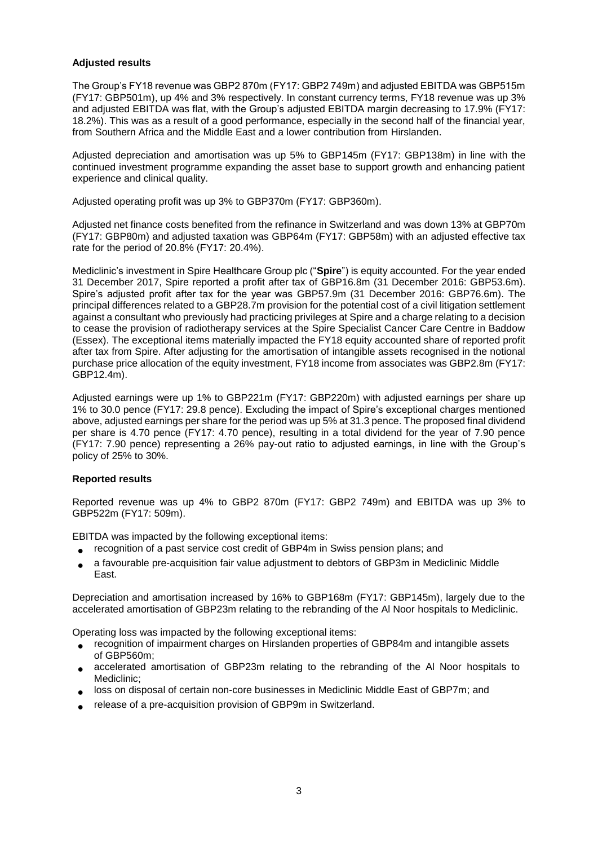### **Adjusted results**

The Group's FY18 revenue was GBP2 870m (FY17: GBP2 749m) and adjusted EBITDA was GBP515m (FY17: GBP501m), up 4% and 3% respectively. In constant currency terms, FY18 revenue was up 3% and adjusted EBITDA was flat, with the Group's adjusted EBITDA margin decreasing to 17.9% (FY17: 18.2%). This was as a result of a good performance, especially in the second half of the financial year, from Southern Africa and the Middle East and a lower contribution from Hirslanden.

Adjusted depreciation and amortisation was up 5% to GBP145m (FY17: GBP138m) in line with the continued investment programme expanding the asset base to support growth and enhancing patient experience and clinical quality.

Adjusted operating profit was up 3% to GBP370m (FY17: GBP360m).

Adjusted net finance costs benefited from the refinance in Switzerland and was down 13% at GBP70m (FY17: GBP80m) and adjusted taxation was GBP64m (FY17: GBP58m) with an adjusted effective tax rate for the period of 20.8% (FY17: 20.4%).

Mediclinic's investment in Spire Healthcare Group plc ("**Spire**") is equity accounted. For the year ended 31 December 2017, Spire reported a profit after tax of GBP16.8m (31 December 2016: GBP53.6m). Spire's adjusted profit after tax for the year was GBP57.9m (31 December 2016: GBP76.6m). The principal differences related to a GBP28.7m provision for the potential cost of a civil litigation settlement against a consultant who previously had practicing privileges at Spire and a charge relating to a decision to cease the provision of radiotherapy services at the Spire Specialist Cancer Care Centre in Baddow (Essex). The exceptional items materially impacted the FY18 equity accounted share of reported profit after tax from Spire. After adjusting for the amortisation of intangible assets recognised in the notional purchase price allocation of the equity investment, FY18 income from associates was GBP2.8m (FY17: GBP12.4m).

Adjusted earnings were up 1% to GBP221m (FY17: GBP220m) with adjusted earnings per share up 1% to 30.0 pence (FY17: 29.8 pence). Excluding the impact of Spire's exceptional charges mentioned above, adjusted earnings per share for the period was up 5% at 31.3 pence. The proposed final dividend per share is 4.70 pence (FY17: 4.70 pence), resulting in a total dividend for the year of 7.90 pence (FY17: 7.90 pence) representing a 26% pay-out ratio to adjusted earnings, in line with the Group's policy of 25% to 30%.

#### **Reported results**

Reported revenue was up 4% to GBP2 870m (FY17: GBP2 749m) and EBITDA was up 3% to GBP522m (FY17: 509m).

EBITDA was impacted by the following exceptional items:

- recognition of a past service cost credit of GBP4m in Swiss pension plans; and
- a favourable pre-acquisition fair value adjustment to debtors of GBP3m in Mediclinic Middle East.

Depreciation and amortisation increased by 16% to GBP168m (FY17: GBP145m), largely due to the accelerated amortisation of GBP23m relating to the rebranding of the Al Noor hospitals to Mediclinic.

Operating loss was impacted by the following exceptional items:

- recognition of impairment charges on Hirslanden properties of GBP84m and intangible assets of GBP560m;
- accelerated amortisation of GBP23m relating to the rebranding of the Al Noor hospitals to Mediclinic;
- loss on disposal of certain non-core businesses in Mediclinic Middle East of GBP7m; and
- release of a pre-acquisition provision of GBP9m in Switzerland.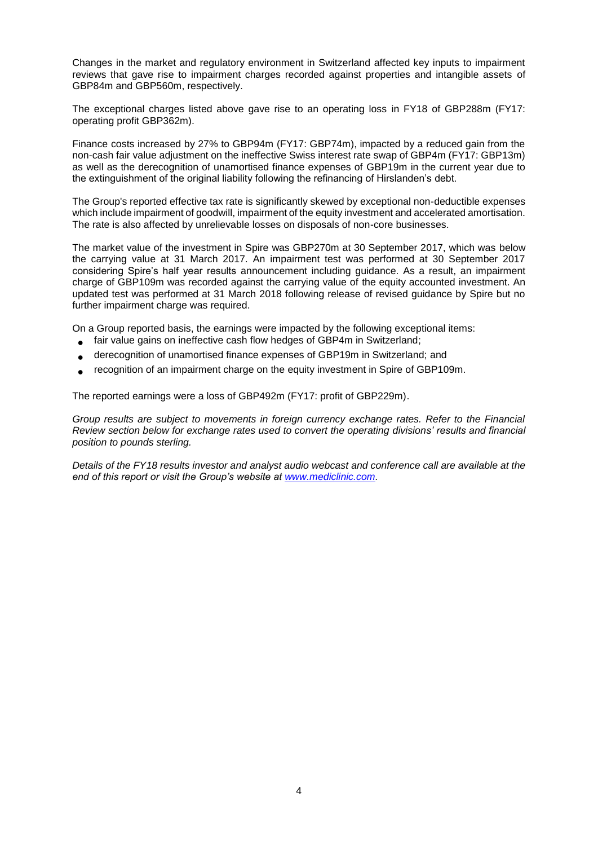Changes in the market and regulatory environment in Switzerland affected key inputs to impairment reviews that gave rise to impairment charges recorded against properties and intangible assets of GBP84m and GBP560m, respectively.

The exceptional charges listed above gave rise to an operating loss in FY18 of GBP288m (FY17: operating profit GBP362m).

Finance costs increased by 27% to GBP94m (FY17: GBP74m), impacted by a reduced gain from the non-cash fair value adjustment on the ineffective Swiss interest rate swap of GBP4m (FY17: GBP13m) as well as the derecognition of unamortised finance expenses of GBP19m in the current year due to the extinguishment of the original liability following the refinancing of Hirslanden's debt.

The Group's reported effective tax rate is significantly skewed by exceptional non-deductible expenses which include impairment of goodwill, impairment of the equity investment and accelerated amortisation. The rate is also affected by unrelievable losses on disposals of non-core businesses.

The market value of the investment in Spire was GBP270m at 30 September 2017, which was below the carrying value at 31 March 2017. An impairment test was performed at 30 September 2017 considering Spire's half year results announcement including guidance. As a result, an impairment charge of GBP109m was recorded against the carrying value of the equity accounted investment. An updated test was performed at 31 March 2018 following release of revised guidance by Spire but no further impairment charge was required.

On a Group reported basis, the earnings were impacted by the following exceptional items:

- fair value gains on ineffective cash flow hedges of GBP4m in Switzerland;
- derecognition of unamortised finance expenses of GBP19m in Switzerland; and
- recognition of an impairment charge on the equity investment in Spire of GBP109m.

The reported earnings were a loss of GBP492m (FY17: profit of GBP229m).

*Group results are subject to movements in foreign currency exchange rates. Refer to the Financial Review section below for exchange rates used to convert the operating divisions' results and financial position to pounds sterling.*

*Details of the FY18 results investor and analyst audio webcast and conference call are available at the end of this report or visit the Group's website at [www.mediclinic.com.](http://www.mediclinic.com/)*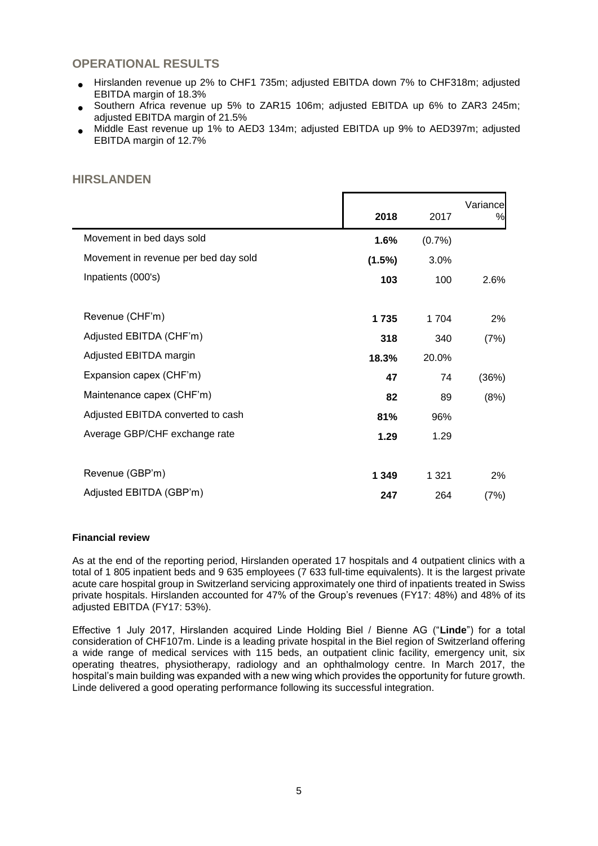# **OPERATIONAL RESULTS**

- Hirslanden revenue up 2% to CHF1 735m; adjusted EBITDA down 7% to CHF318m; adjusted EBITDA margin of 18.3%
- Southern Africa revenue up 5% to ZAR15 106m; adjusted EBITDA up 6% to ZAR3 245m; adjusted EBITDA margin of 21.5%
- Middle East revenue up 1% to AED3 134m; adjusted EBITDA up 9% to AED397m; adjusted EBITDA margin of 12.7%

# **HIRSLANDEN**

|                                      | 2018    | 2017    | Variance<br>% |
|--------------------------------------|---------|---------|---------------|
| Movement in bed days sold            | 1.6%    | (0.7%   |               |
| Movement in revenue per bed day sold | (1.5%)  | 3.0%    |               |
| Inpatients (000's)                   | 103     | 100     | 2.6%          |
| Revenue (CHF'm)                      | 1735    | 1 704   | $2\%$         |
| Adjusted EBITDA (CHF'm)              | 318     | 340     | (7%)          |
| Adjusted EBITDA margin               | 18.3%   | 20.0%   |               |
| Expansion capex (CHF'm)              | 47      | 74      | (36%)         |
| Maintenance capex (CHF'm)            | 82      | 89      | (8%)          |
| Adjusted EBITDA converted to cash    | 81%     | 96%     |               |
| Average GBP/CHF exchange rate        | 1.29    | 1.29    |               |
| Revenue (GBP'm)                      | 1 3 4 9 | 1 3 2 1 | $2\%$         |
| Adjusted EBITDA (GBP'm)              | 247     | 264     | (7%)          |

### **Financial review**

As at the end of the reporting period, Hirslanden operated 17 hospitals and 4 outpatient clinics with a total of 1 805 inpatient beds and 9 635 employees (7 633 full-time equivalents). It is the largest private acute care hospital group in Switzerland servicing approximately one third of inpatients treated in Swiss private hospitals. Hirslanden accounted for 47% of the Group's revenues (FY17: 48%) and 48% of its adjusted EBITDA (FY17: 53%).

Effective 1 July 2017, Hirslanden acquired Linde Holding Biel / Bienne AG ("**Linde**") for a total consideration of CHF107m. Linde is a leading private hospital in the Biel region of Switzerland offering a wide range of medical services with 115 beds, an outpatient clinic facility, emergency unit, six operating theatres, physiotherapy, radiology and an ophthalmology centre. In March 2017, the hospital's main building was expanded with a new wing which provides the opportunity for future growth. Linde delivered a good operating performance following its successful integration.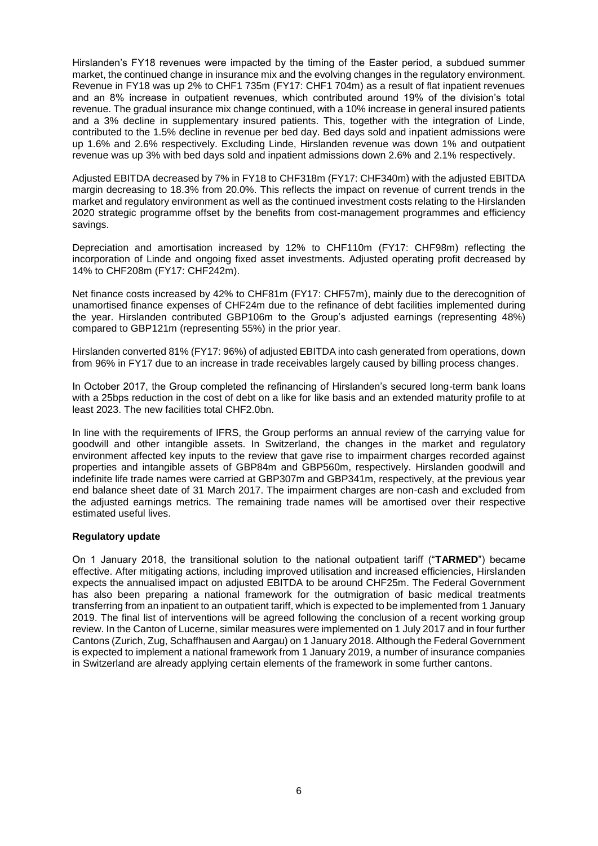Hirslanden's FY18 revenues were impacted by the timing of the Easter period, a subdued summer market, the continued change in insurance mix and the evolving changes in the regulatory environment. Revenue in FY18 was up 2% to CHF1 735m (FY17: CHF1 704m) as a result of flat inpatient revenues and an 8% increase in outpatient revenues, which contributed around 19% of the division's total revenue. The gradual insurance mix change continued, with a 10% increase in general insured patients and a 3% decline in supplementary insured patients. This, together with the integration of Linde, contributed to the 1.5% decline in revenue per bed day. Bed days sold and inpatient admissions were up 1.6% and 2.6% respectively. Excluding Linde, Hirslanden revenue was down 1% and outpatient revenue was up 3% with bed days sold and inpatient admissions down 2.6% and 2.1% respectively.

Adjusted EBITDA decreased by 7% in FY18 to CHF318m (FY17: CHF340m) with the adjusted EBITDA margin decreasing to 18.3% from 20.0%. This reflects the impact on revenue of current trends in the market and regulatory environment as well as the continued investment costs relating to the Hirslanden 2020 strategic programme offset by the benefits from cost-management programmes and efficiency savings.

Depreciation and amortisation increased by 12% to CHF110m (FY17: CHF98m) reflecting the incorporation of Linde and ongoing fixed asset investments. Adjusted operating profit decreased by 14% to CHF208m (FY17: CHF242m).

Net finance costs increased by 42% to CHF81m (FY17: CHF57m), mainly due to the derecognition of unamortised finance expenses of CHF24m due to the refinance of debt facilities implemented during the year. Hirslanden contributed GBP106m to the Group's adjusted earnings (representing 48%) compared to GBP121m (representing 55%) in the prior year.

Hirslanden converted 81% (FY17: 96%) of adjusted EBITDA into cash generated from operations, down from 96% in FY17 due to an increase in trade receivables largely caused by billing process changes.

In October 2017, the Group completed the refinancing of Hirslanden's secured long-term bank loans with a 25bps reduction in the cost of debt on a like for like basis and an extended maturity profile to at least 2023. The new facilities total CHF2.0bn.

In line with the requirements of IFRS, the Group performs an annual review of the carrying value for goodwill and other intangible assets. In Switzerland, the changes in the market and regulatory environment affected key inputs to the review that gave rise to impairment charges recorded against properties and intangible assets of GBP84m and GBP560m, respectively. Hirslanden goodwill and indefinite life trade names were carried at GBP307m and GBP341m, respectively, at the previous year end balance sheet date of 31 March 2017. The impairment charges are non-cash and excluded from the adjusted earnings metrics. The remaining trade names will be amortised over their respective estimated useful lives.

### **Regulatory update**

On 1 January 2018, the transitional solution to the national outpatient tariff ("**TARMED**") became effective. After mitigating actions, including improved utilisation and increased efficiencies, Hirslanden expects the annualised impact on adjusted EBITDA to be around CHF25m. The Federal Government has also been preparing a national framework for the outmigration of basic medical treatments transferring from an inpatient to an outpatient tariff, which is expected to be implemented from 1 January 2019. The final list of interventions will be agreed following the conclusion of a recent working group review. In the Canton of Lucerne, similar measures were implemented on 1 July 2017 and in four further Cantons (Zurich, Zug, Schaffhausen and Aargau) on 1 January 2018. Although the Federal Government is expected to implement a national framework from 1 January 2019, a number of insurance companies in Switzerland are already applying certain elements of the framework in some further cantons.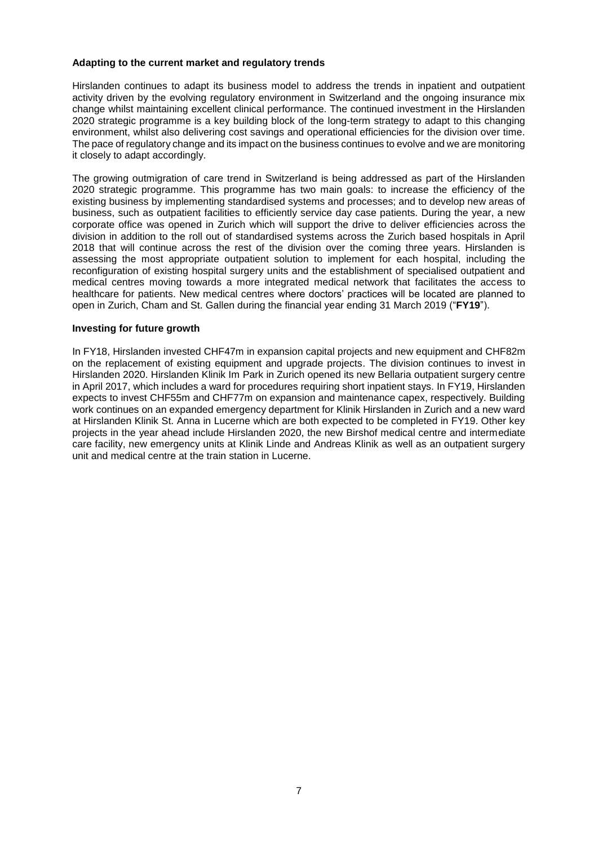#### **Adapting to the current market and regulatory trends**

Hirslanden continues to adapt its business model to address the trends in inpatient and outpatient activity driven by the evolving regulatory environment in Switzerland and the ongoing insurance mix change whilst maintaining excellent clinical performance. The continued investment in the Hirslanden 2020 strategic programme is a key building block of the long-term strategy to adapt to this changing environment, whilst also delivering cost savings and operational efficiencies for the division over time. The pace of regulatory change and its impact on the business continues to evolve and we are monitoring it closely to adapt accordingly.

The growing outmigration of care trend in Switzerland is being addressed as part of the Hirslanden 2020 strategic programme. This programme has two main goals: to increase the efficiency of the existing business by implementing standardised systems and processes; and to develop new areas of business, such as outpatient facilities to efficiently service day case patients. During the year, a new corporate office was opened in Zurich which will support the drive to deliver efficiencies across the division in addition to the roll out of standardised systems across the Zurich based hospitals in April 2018 that will continue across the rest of the division over the coming three years. Hirslanden is assessing the most appropriate outpatient solution to implement for each hospital, including the reconfiguration of existing hospital surgery units and the establishment of specialised outpatient and medical centres moving towards a more integrated medical network that facilitates the access to healthcare for patients. New medical centres where doctors' practices will be located are planned to open in Zurich, Cham and St. Gallen during the financial year ending 31 March 2019 ("**FY19**").

#### **Investing for future growth**

In FY18, Hirslanden invested CHF47m in expansion capital projects and new equipment and CHF82m on the replacement of existing equipment and upgrade projects. The division continues to invest in Hirslanden 2020. Hirslanden Klinik Im Park in Zurich opened its new Bellaria outpatient surgery centre in April 2017, which includes a ward for procedures requiring short inpatient stays. In FY19, Hirslanden expects to invest CHF55m and CHF77m on expansion and maintenance capex, respectively. Building work continues on an expanded emergency department for Klinik Hirslanden in Zurich and a new ward at Hirslanden Klinik St. Anna in Lucerne which are both expected to be completed in FY19. Other key projects in the year ahead include Hirslanden 2020, the new Birshof medical centre and intermediate care facility, new emergency units at Klinik Linde and Andreas Klinik as well as an outpatient surgery unit and medical centre at the train station in Lucerne.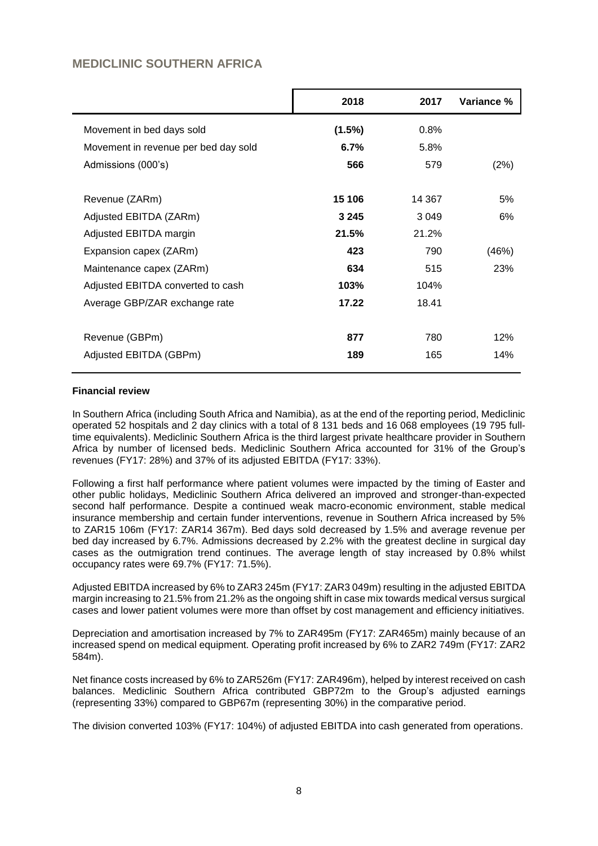## **MEDICLINIC SOUTHERN AFRICA**

|                                      | 2018    | 2017    | Variance % |
|--------------------------------------|---------|---------|------------|
| Movement in bed days sold            | (1.5%)  | 0.8%    |            |
| Movement in revenue per bed day sold | 6.7%    | 5.8%    |            |
| Admissions (000's)                   | 566     | 579     | (2%)       |
| Revenue (ZARm)                       | 15 106  | 14 367  | 5%         |
| Adjusted EBITDA (ZARm)               | 3 2 4 5 | 3 0 4 9 | 6%         |
| Adjusted EBITDA margin               | 21.5%   | 21.2%   |            |
| Expansion capex (ZARm)               | 423     | 790     | (46%)      |
| Maintenance capex (ZARm)             | 634     | 515     | 23%        |
| Adjusted EBITDA converted to cash    | 103%    | 104%    |            |
| Average GBP/ZAR exchange rate        | 17.22   | 18.41   |            |
| Revenue (GBPm)                       | 877     | 780     | 12%        |
| Adjusted EBITDA (GBPm)               | 189     | 165     | 14%        |

### **Financial review**

In Southern Africa (including South Africa and Namibia), as at the end of the reporting period, Mediclinic operated 52 hospitals and 2 day clinics with a total of 8 131 beds and 16 068 employees (19 795 fulltime equivalents). Mediclinic Southern Africa is the third largest private healthcare provider in Southern Africa by number of licensed beds. Mediclinic Southern Africa accounted for 31% of the Group's revenues (FY17: 28%) and 37% of its adjusted EBITDA (FY17: 33%).

Following a first half performance where patient volumes were impacted by the timing of Easter and other public holidays, Mediclinic Southern Africa delivered an improved and stronger-than-expected second half performance. Despite a continued weak macro-economic environment, stable medical insurance membership and certain funder interventions, revenue in Southern Africa increased by 5% to ZAR15 106m (FY17: ZAR14 367m). Bed days sold decreased by 1.5% and average revenue per bed day increased by 6.7%. Admissions decreased by 2.2% with the greatest decline in surgical day cases as the outmigration trend continues. The average length of stay increased by 0.8% whilst occupancy rates were 69.7% (FY17: 71.5%).

Adjusted EBITDA increased by 6% to ZAR3 245m (FY17: ZAR3 049m) resulting in the adjusted EBITDA margin increasing to 21.5% from 21.2% as the ongoing shift in case mix towards medical versus surgical cases and lower patient volumes were more than offset by cost management and efficiency initiatives.

Depreciation and amortisation increased by 7% to ZAR495m (FY17: ZAR465m) mainly because of an increased spend on medical equipment. Operating profit increased by 6% to ZAR2 749m (FY17: ZAR2 584m).

Net finance costs increased by 6% to ZAR526m (FY17: ZAR496m), helped by interest received on cash balances. Mediclinic Southern Africa contributed GBP72m to the Group's adjusted earnings (representing 33%) compared to GBP67m (representing 30%) in the comparative period.

The division converted 103% (FY17: 104%) of adjusted EBITDA into cash generated from operations.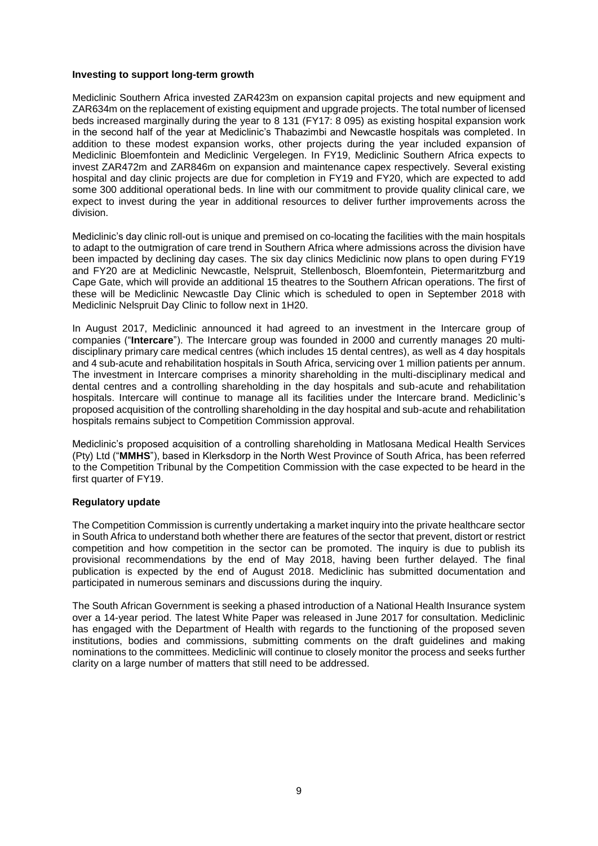#### **Investing to support long-term growth**

Mediclinic Southern Africa invested ZAR423m on expansion capital projects and new equipment and ZAR634m on the replacement of existing equipment and upgrade projects. The total number of licensed beds increased marginally during the year to 8 131 (FY17: 8 095) as existing hospital expansion work in the second half of the year at Mediclinic's Thabazimbi and Newcastle hospitals was completed. In addition to these modest expansion works, other projects during the year included expansion of Mediclinic Bloemfontein and Mediclinic Vergelegen. In FY19, Mediclinic Southern Africa expects to invest ZAR472m and ZAR846m on expansion and maintenance capex respectively. Several existing hospital and day clinic projects are due for completion in FY19 and FY20, which are expected to add some 300 additional operational beds. In line with our commitment to provide quality clinical care, we expect to invest during the year in additional resources to deliver further improvements across the division.

Mediclinic's day clinic roll-out is unique and premised on co-locating the facilities with the main hospitals to adapt to the outmigration of care trend in Southern Africa where admissions across the division have been impacted by declining day cases. The six day clinics Mediclinic now plans to open during FY19 and FY20 are at Mediclinic Newcastle, Nelspruit, Stellenbosch, Bloemfontein, Pietermaritzburg and Cape Gate, which will provide an additional 15 theatres to the Southern African operations. The first of these will be Mediclinic Newcastle Day Clinic which is scheduled to open in September 2018 with Mediclinic Nelspruit Day Clinic to follow next in 1H20.

In August 2017, Mediclinic announced it had agreed to an investment in the Intercare group of companies ("**Intercare**"). The Intercare group was founded in 2000 and currently manages 20 multidisciplinary primary care medical centres (which includes 15 dental centres), as well as 4 day hospitals and 4 sub-acute and rehabilitation hospitals in South Africa, servicing over 1 million patients per annum. The investment in Intercare comprises a minority shareholding in the multi-disciplinary medical and dental centres and a controlling shareholding in the day hospitals and sub-acute and rehabilitation hospitals. Intercare will continue to manage all its facilities under the Intercare brand. Mediclinic's proposed acquisition of the controlling shareholding in the day hospital and sub-acute and rehabilitation hospitals remains subject to Competition Commission approval.

Mediclinic's proposed acquisition of a controlling shareholding in Matlosana Medical Health Services (Pty) Ltd ("**MMHS**"), based in Klerksdorp in the North West Province of South Africa, has been referred to the Competition Tribunal by the Competition Commission with the case expected to be heard in the first quarter of FY19.

#### **Regulatory update**

The Competition Commission is currently undertaking a market inquiry into the private healthcare sector in South Africa to understand both whether there are features of the sector that prevent, distort or restrict competition and how competition in the sector can be promoted. The inquiry is due to publish its provisional recommendations by the end of May 2018, having been further delayed. The final publication is expected by the end of August 2018. Mediclinic has submitted documentation and participated in numerous seminars and discussions during the inquiry.

The South African Government is seeking a phased introduction of a National Health Insurance system over a 14-year period. The latest White Paper was released in June 2017 for consultation. Mediclinic has engaged with the Department of Health with regards to the functioning of the proposed seven institutions, bodies and commissions, submitting comments on the draft guidelines and making nominations to the committees. Mediclinic will continue to closely monitor the process and seeks further clarity on a large number of matters that still need to be addressed.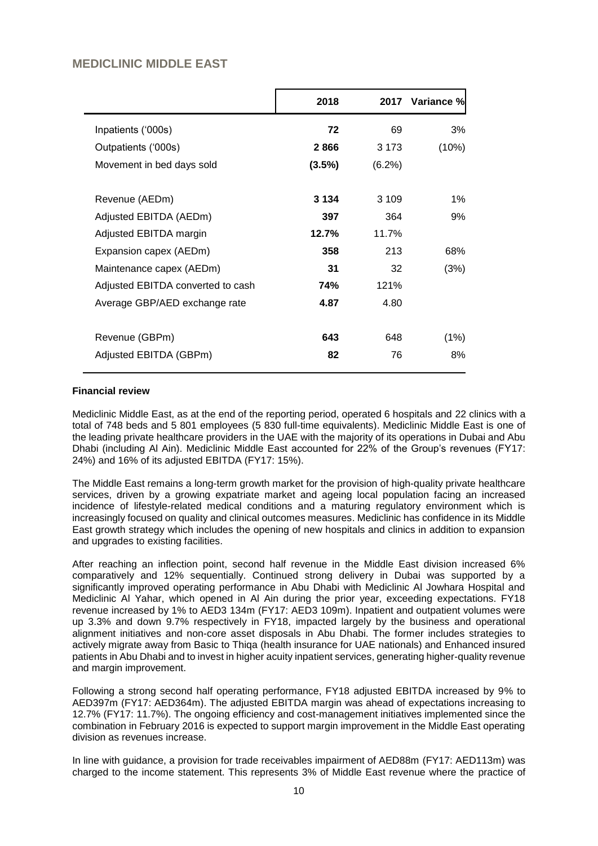# **MEDICLINIC MIDDLE EAST**

|                                   | 2018      | 2017    | Variance %l |
|-----------------------------------|-----------|---------|-------------|
|                                   |           |         |             |
| Inpatients ('000s)                | 72        | 69      | 3%          |
| Outpatients ('000s)               | 2866      | 3 1 7 3 | (10%)       |
| Movement in bed days sold         | $(3.5\%)$ | (6.2%)  |             |
|                                   |           |         |             |
| Revenue (AEDm)                    | 3 1 3 4   | 3 1 0 9 | $1\%$       |
| Adjusted EBITDA (AEDm)            | 397       | 364     | 9%          |
| Adjusted EBITDA margin            | 12.7%     | 11.7%   |             |
| Expansion capex (AEDm)            | 358       | 213     | 68%         |
| Maintenance capex (AEDm)          | 31        | 32      | (3%)        |
| Adjusted EBITDA converted to cash | 74%       | 121%    |             |
| Average GBP/AED exchange rate     | 4.87      | 4.80    |             |
|                                   |           |         |             |
| Revenue (GBPm)                    | 643       | 648     | (1%)        |
| Adjusted EBITDA (GBPm)            | 82        | 76      | 8%          |
|                                   |           |         |             |

### **Financial review**

Mediclinic Middle East, as at the end of the reporting period, operated 6 hospitals and 22 clinics with a total of 748 beds and 5 801 employees (5 830 full-time equivalents). Mediclinic Middle East is one of the leading private healthcare providers in the UAE with the majority of its operations in Dubai and Abu Dhabi (including Al Ain). Mediclinic Middle East accounted for 22% of the Group's revenues (FY17: 24%) and 16% of its adjusted EBITDA (FY17: 15%).

The Middle East remains a long-term growth market for the provision of high-quality private healthcare services, driven by a growing expatriate market and ageing local population facing an increased incidence of lifestyle-related medical conditions and a maturing regulatory environment which is increasingly focused on quality and clinical outcomes measures. Mediclinic has confidence in its Middle East growth strategy which includes the opening of new hospitals and clinics in addition to expansion and upgrades to existing facilities.

After reaching an inflection point, second half revenue in the Middle East division increased 6% comparatively and 12% sequentially. Continued strong delivery in Dubai was supported by a significantly improved operating performance in Abu Dhabi with Mediclinic Al Jowhara Hospital and Mediclinic Al Yahar, which opened in Al Ain during the prior year, exceeding expectations. FY18 revenue increased by 1% to AED3 134m (FY17: AED3 109m). Inpatient and outpatient volumes were up 3.3% and down 9.7% respectively in FY18, impacted largely by the business and operational alignment initiatives and non-core asset disposals in Abu Dhabi. The former includes strategies to actively migrate away from Basic to Thiqa (health insurance for UAE nationals) and Enhanced insured patients in Abu Dhabi and to invest in higher acuity inpatient services, generating higher-quality revenue and margin improvement.

Following a strong second half operating performance, FY18 adjusted EBITDA increased by 9% to AED397m (FY17: AED364m). The adjusted EBITDA margin was ahead of expectations increasing to 12.7% (FY17: 11.7%). The ongoing efficiency and cost-management initiatives implemented since the combination in February 2016 is expected to support margin improvement in the Middle East operating division as revenues increase.

In line with guidance, a provision for trade receivables impairment of AED88m (FY17: AED113m) was charged to the income statement. This represents 3% of Middle East revenue where the practice of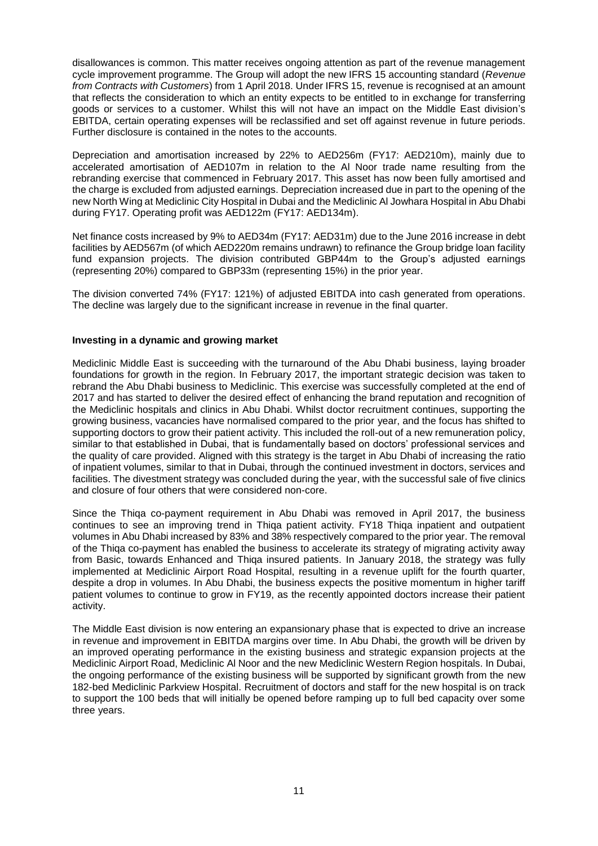disallowances is common. This matter receives ongoing attention as part of the revenue management cycle improvement programme. The Group will adopt the new IFRS 15 accounting standard (*Revenue from Contracts with Customers*) from 1 April 2018. Under IFRS 15, revenue is recognised at an amount that reflects the consideration to which an entity expects to be entitled to in exchange for transferring goods or services to a customer. Whilst this will not have an impact on the Middle East division's EBITDA, certain operating expenses will be reclassified and set off against revenue in future periods. Further disclosure is contained in the notes to the accounts.

Depreciation and amortisation increased by 22% to AED256m (FY17: AED210m), mainly due to accelerated amortisation of AED107m in relation to the Al Noor trade name resulting from the rebranding exercise that commenced in February 2017. This asset has now been fully amortised and the charge is excluded from adjusted earnings. Depreciation increased due in part to the opening of the new North Wing at Mediclinic City Hospital in Dubai and the Mediclinic Al Jowhara Hospital in Abu Dhabi during FY17. Operating profit was AED122m (FY17: AED134m).

Net finance costs increased by 9% to AED34m (FY17: AED31m) due to the June 2016 increase in debt facilities by AED567m (of which AED220m remains undrawn) to refinance the Group bridge loan facility fund expansion projects. The division contributed GBP44m to the Group's adjusted earnings (representing 20%) compared to GBP33m (representing 15%) in the prior year.

The division converted 74% (FY17: 121%) of adjusted EBITDA into cash generated from operations. The decline was largely due to the significant increase in revenue in the final quarter.

### **Investing in a dynamic and growing market**

Mediclinic Middle East is succeeding with the turnaround of the Abu Dhabi business, laying broader foundations for growth in the region. In February 2017, the important strategic decision was taken to rebrand the Abu Dhabi business to Mediclinic. This exercise was successfully completed at the end of 2017 and has started to deliver the desired effect of enhancing the brand reputation and recognition of the Mediclinic hospitals and clinics in Abu Dhabi. Whilst doctor recruitment continues, supporting the growing business, vacancies have normalised compared to the prior year, and the focus has shifted to supporting doctors to grow their patient activity. This included the roll-out of a new remuneration policy, similar to that established in Dubai, that is fundamentally based on doctors' professional services and the quality of care provided. Aligned with this strategy is the target in Abu Dhabi of increasing the ratio of inpatient volumes, similar to that in Dubai, through the continued investment in doctors, services and facilities. The divestment strategy was concluded during the year, with the successful sale of five clinics and closure of four others that were considered non-core.

Since the Thiqa co-payment requirement in Abu Dhabi was removed in April 2017, the business continues to see an improving trend in Thiqa patient activity. FY18 Thiqa inpatient and outpatient volumes in Abu Dhabi increased by 83% and 38% respectively compared to the prior year. The removal of the Thiqa co-payment has enabled the business to accelerate its strategy of migrating activity away from Basic, towards Enhanced and Thiqa insured patients. In January 2018, the strategy was fully implemented at Mediclinic Airport Road Hospital, resulting in a revenue uplift for the fourth quarter, despite a drop in volumes. In Abu Dhabi, the business expects the positive momentum in higher tariff patient volumes to continue to grow in FY19, as the recently appointed doctors increase their patient activity.

The Middle East division is now entering an expansionary phase that is expected to drive an increase in revenue and improvement in EBITDA margins over time. In Abu Dhabi, the growth will be driven by an improved operating performance in the existing business and strategic expansion projects at the Mediclinic Airport Road, Mediclinic Al Noor and the new Mediclinic Western Region hospitals. In Dubai, the ongoing performance of the existing business will be supported by significant growth from the new 182-bed Mediclinic Parkview Hospital. Recruitment of doctors and staff for the new hospital is on track to support the 100 beds that will initially be opened before ramping up to full bed capacity over some three years.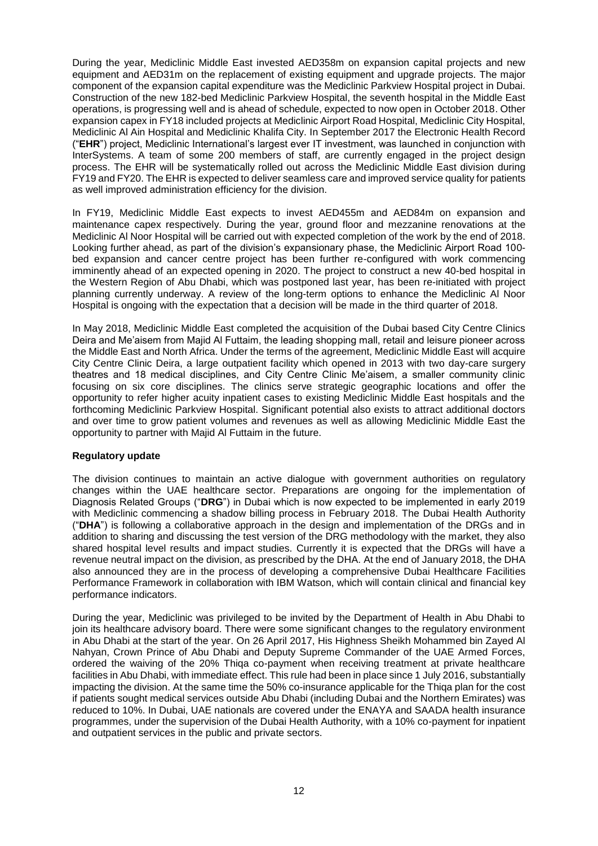During the year, Mediclinic Middle East invested AED358m on expansion capital projects and new equipment and AED31m on the replacement of existing equipment and upgrade projects. The major component of the expansion capital expenditure was the Mediclinic Parkview Hospital project in Dubai. Construction of the new 182-bed Mediclinic Parkview Hospital, the seventh hospital in the Middle East operations, is progressing well and is ahead of schedule, expected to now open in October 2018. Other expansion capex in FY18 included projects at Mediclinic Airport Road Hospital, Mediclinic City Hospital, Mediclinic Al Ain Hospital and Mediclinic Khalifa City. In September 2017 the Electronic Health Record ("**EHR**") project, Mediclinic International's largest ever IT investment, was launched in conjunction with InterSystems. A team of some 200 members of staff, are currently engaged in the project design process. The EHR will be systematically rolled out across the Mediclinic Middle East division during FY19 and FY20. The EHR is expected to deliver seamless care and improved service quality for patients as well improved administration efficiency for the division.

In FY19, Mediclinic Middle East expects to invest AED455m and AED84m on expansion and maintenance capex respectively. During the year, ground floor and mezzanine renovations at the Mediclinic Al Noor Hospital will be carried out with expected completion of the work by the end of 2018. Looking further ahead, as part of the division's expansionary phase, the Mediclinic Airport Road 100 bed expansion and cancer centre project has been further re-configured with work commencing imminently ahead of an expected opening in 2020. The project to construct a new 40-bed hospital in the Western Region of Abu Dhabi, which was postponed last year, has been re-initiated with project planning currently underway. A review of the long-term options to enhance the Mediclinic Al Noor Hospital is ongoing with the expectation that a decision will be made in the third quarter of 2018.

In May 2018, Mediclinic Middle East completed the acquisition of the Dubai based City Centre Clinics Deira and Me'aisem from Majid Al Futtaim, the leading shopping mall, retail and leisure pioneer across the Middle East and North Africa. Under the terms of the agreement, Mediclinic Middle East will acquire City Centre Clinic Deira, a large outpatient facility which opened in 2013 with two day-care surgery theatres and 18 medical disciplines, and City Centre Clinic Me'aisem, a smaller community clinic focusing on six core disciplines. The clinics serve strategic geographic locations and offer the opportunity to refer higher acuity inpatient cases to existing Mediclinic Middle East hospitals and the forthcoming Mediclinic Parkview Hospital. Significant potential also exists to attract additional doctors and over time to grow patient volumes and revenues as well as allowing Mediclinic Middle East the opportunity to partner with Majid Al Futtaim in the future.

### **Regulatory update**

The division continues to maintain an active dialogue with government authorities on regulatory changes within the UAE healthcare sector. Preparations are ongoing for the implementation of Diagnosis Related Groups ("**DRG**") in Dubai which is now expected to be implemented in early 2019 with Mediclinic commencing a shadow billing process in February 2018. The Dubai Health Authority ("**DHA**") is following a collaborative approach in the design and implementation of the DRGs and in addition to sharing and discussing the test version of the DRG methodology with the market, they also shared hospital level results and impact studies. Currently it is expected that the DRGs will have a revenue neutral impact on the division, as prescribed by the DHA. At the end of January 2018, the DHA also announced they are in the process of developing a comprehensive Dubai Healthcare Facilities Performance Framework in collaboration with IBM Watson, which will contain clinical and financial key performance indicators.

During the year, Mediclinic was privileged to be invited by the Department of Health in Abu Dhabi to join its healthcare advisory board. There were some significant changes to the regulatory environment in Abu Dhabi at the start of the year. On 26 April 2017, His Highness Sheikh Mohammed bin Zayed Al Nahyan, Crown Prince of Abu Dhabi and Deputy Supreme Commander of the UAE Armed Forces, ordered the waiving of the 20% Thiqa co-payment when receiving treatment at private healthcare facilities in Abu Dhabi, with immediate effect. This rule had been in place since 1 July 2016, substantially impacting the division. At the same time the 50% co-insurance applicable for the Thiqa plan for the cost if patients sought medical services outside Abu Dhabi (including Dubai and the Northern Emirates) was reduced to 10%. In Dubai, UAE nationals are covered under the ENAYA and SAADA health insurance programmes, under the supervision of the Dubai Health Authority, with a 10% co-payment for inpatient and outpatient services in the public and private sectors.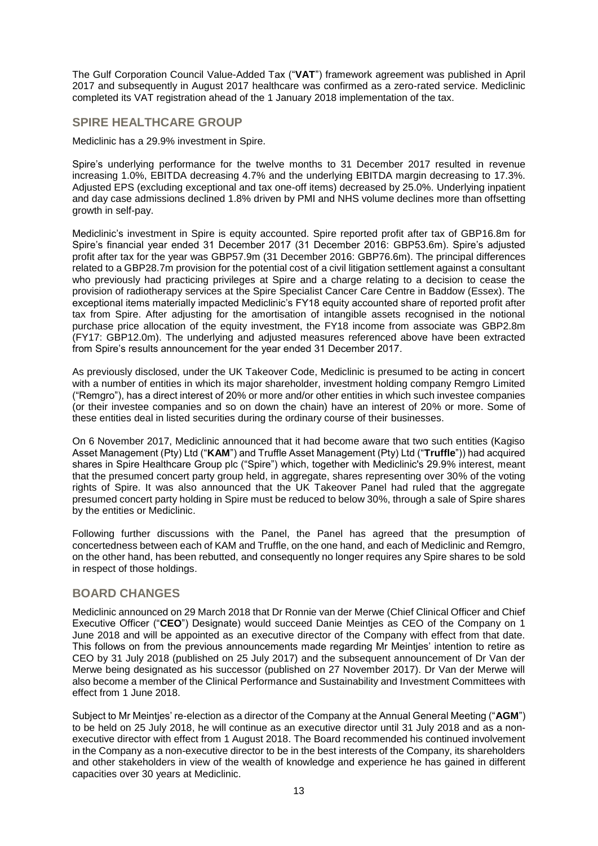The Gulf Corporation Council Value-Added Tax ("**VAT**") framework agreement was published in April 2017 and subsequently in August 2017 healthcare was confirmed as a zero-rated service. Mediclinic completed its VAT registration ahead of the 1 January 2018 implementation of the tax.

### **SPIRE HEALTHCARE GROUP**

Mediclinic has a 29.9% investment in Spire.

Spire's underlying performance for the twelve months to 31 December 2017 resulted in revenue increasing 1.0%, EBITDA decreasing 4.7% and the underlying EBITDA margin decreasing to 17.3%. Adjusted EPS (excluding exceptional and tax one-off items) decreased by 25.0%. Underlying inpatient and day case admissions declined 1.8% driven by PMI and NHS volume declines more than offsetting growth in self-pay.

Mediclinic's investment in Spire is equity accounted. Spire reported profit after tax of GBP16.8m for Spire's financial year ended 31 December 2017 (31 December 2016: GBP53.6m). Spire's adjusted profit after tax for the year was GBP57.9m (31 December 2016: GBP76.6m). The principal differences related to a GBP28.7m provision for the potential cost of a civil litigation settlement against a consultant who previously had practicing privileges at Spire and a charge relating to a decision to cease the provision of radiotherapy services at the Spire Specialist Cancer Care Centre in Baddow (Essex). The exceptional items materially impacted Mediclinic's FY18 equity accounted share of reported profit after tax from Spire. After adjusting for the amortisation of intangible assets recognised in the notional purchase price allocation of the equity investment, the FY18 income from associate was GBP2.8m (FY17: GBP12.0m). The underlying and adjusted measures referenced above have been extracted from Spire's results announcement for the year ended 31 December 2017.

As previously disclosed, under the UK Takeover Code, Mediclinic is presumed to be acting in concert with a number of entities in which its major shareholder, investment holding company Remgro Limited ("Remgro"), has a direct interest of 20% or more and/or other entities in which such investee companies (or their investee companies and so on down the chain) have an interest of 20% or more. Some of these entities deal in listed securities during the ordinary course of their businesses.

On 6 November 2017, Mediclinic announced that it had become aware that two such entities (Kagiso Asset Management (Pty) Ltd ("**KAM**") and Truffle Asset Management (Pty) Ltd ("**Truffle**")) had acquired shares in Spire Healthcare Group plc ("Spire") which, together with Mediclinic's 29.9% interest, meant that the presumed concert party group held, in aggregate, shares representing over 30% of the voting rights of Spire. It was also announced that the UK Takeover Panel had ruled that the aggregate presumed concert party holding in Spire must be reduced to below 30%, through a sale of Spire shares by the entities or Mediclinic.

Following further discussions with the Panel, the Panel has agreed that the presumption of concertedness between each of KAM and Truffle, on the one hand, and each of Mediclinic and Remgro, on the other hand, has been rebutted, and consequently no longer requires any Spire shares to be sold in respect of those holdings.

## **BOARD CHANGES**

Mediclinic announced on 29 March 2018 that Dr Ronnie van der Merwe (Chief Clinical Officer and Chief Executive Officer ("**CEO**") Designate) would succeed Danie Meintjes as CEO of the Company on 1 June 2018 and will be appointed as an executive director of the Company with effect from that date. This follows on from the previous announcements made regarding Mr Meintjes' intention to retire as CEO by 31 July 2018 (published on 25 July 2017) and the subsequent announcement of Dr Van der Merwe being designated as his successor (published on 27 November 2017). Dr Van der Merwe will also become a member of the Clinical Performance and Sustainability and Investment Committees with effect from 1 June 2018.

Subject to Mr Meintjes' re-election as a director of the Company at the Annual General Meeting ("**AGM**") to be held on 25 July 2018, he will continue as an executive director until 31 July 2018 and as a nonexecutive director with effect from 1 August 2018. The Board recommended his continued involvement in the Company as a non-executive director to be in the best interests of the Company, its shareholders and other stakeholders in view of the wealth of knowledge and experience he has gained in different capacities over 30 years at Mediclinic.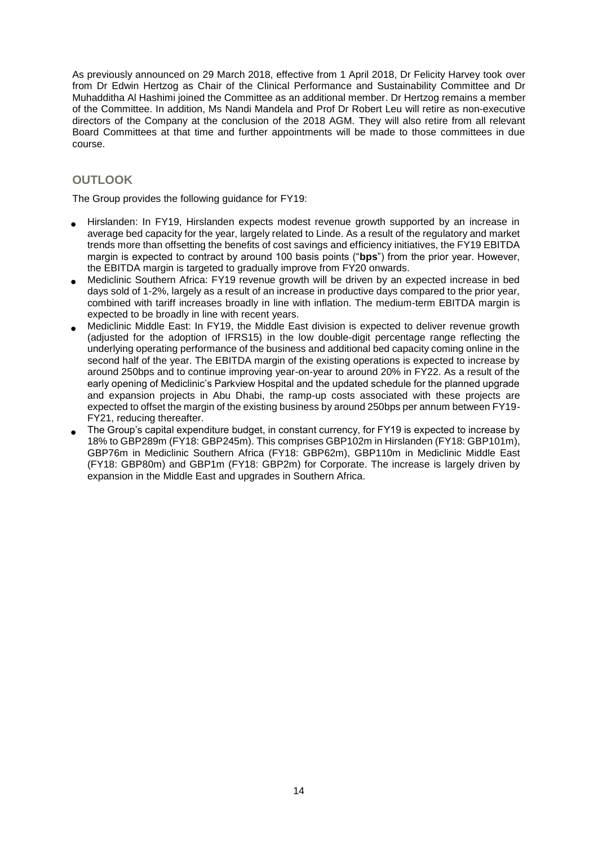As previously announced on 29 March 2018, effective from 1 April 2018, Dr Felicity Harvey took over from Dr Edwin Hertzog as Chair of the Clinical Performance and Sustainability Committee and Dr Muhadditha Al Hashimi joined the Committee as an additional member. Dr Hertzog remains a member of the Committee. In addition, Ms Nandi Mandela and Prof Dr Robert Leu will retire as non-executive directors of the Company at the conclusion of the 2018 AGM. They will also retire from all relevant Board Committees at that time and further appointments will be made to those committees in due course.

# **OUTLOOK**

The Group provides the following guidance for FY19:

- Hirslanden: In FY19, Hirslanden expects modest revenue growth supported by an increase in average bed capacity for the year, largely related to Linde. As a result of the regulatory and market trends more than offsetting the benefits of cost savings and efficiency initiatives, the FY19 EBITDA margin is expected to contract by around 100 basis points ("**bps**") from the prior year. However, the EBITDA margin is targeted to gradually improve from FY20 onwards.
- Mediclinic Southern Africa: FY19 revenue growth will be driven by an expected increase in bed days sold of 1-2%, largely as a result of an increase in productive days compared to the prior year, combined with tariff increases broadly in line with inflation. The medium-term EBITDA margin is expected to be broadly in line with recent years.
- Mediclinic Middle East: In FY19, the Middle East division is expected to deliver revenue growth (adjusted for the adoption of IFRS15) in the low double-digit percentage range reflecting the underlying operating performance of the business and additional bed capacity coming online in the second half of the year. The EBITDA margin of the existing operations is expected to increase by around 250bps and to continue improving year-on-year to around 20% in FY22. As a result of the early opening of Mediclinic's Parkview Hospital and the updated schedule for the planned upgrade and expansion projects in Abu Dhabi, the ramp-up costs associated with these projects are expected to offset the margin of the existing business by around 250bps per annum between FY19- FY21, reducing thereafter.
- The Group's capital expenditure budget, in constant currency, for FY19 is expected to increase by 18% to GBP289m (FY18: GBP245m). This comprises GBP102m in Hirslanden (FY18: GBP101m), GBP76m in Mediclinic Southern Africa (FY18: GBP62m), GBP110m in Mediclinic Middle East (FY18: GBP80m) and GBP1m (FY18: GBP2m) for Corporate. The increase is largely driven by expansion in the Middle East and upgrades in Southern Africa.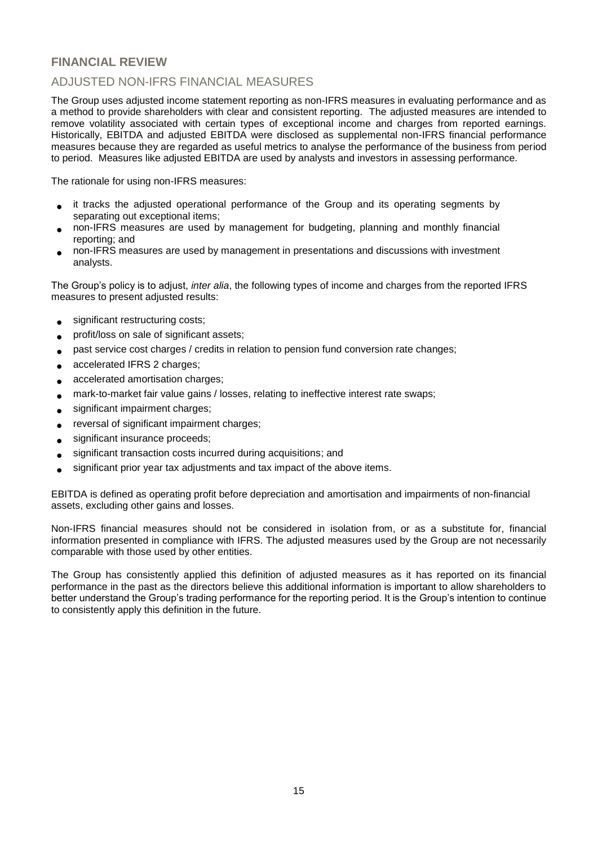# **FINANCIAL REVIEW**

# ADJUSTED NON-IFRS FINANCIAL MEASURES

The Group uses adjusted income statement reporting as non-IFRS measures in evaluating performance and as a method to provide shareholders with clear and consistent reporting. The adjusted measures are intended to remove volatility associated with certain types of exceptional income and charges from reported earnings. Historically, EBITDA and adjusted EBITDA were disclosed as supplemental non-IFRS financial performance measures because they are regarded as useful metrics to analyse the performance of the business from period to period. Measures like adjusted EBITDA are used by analysts and investors in assessing performance.

The rationale for using non-IFRS measures:

- it tracks the adjusted operational performance of the Group and its operating segments by separating out exceptional items;
- non-IFRS measures are used by management for budgeting, planning and monthly financial reporting; and
- non-IFRS measures are used by management in presentations and discussions with investment analysts.

The Group's policy is to adjust, *inter alia*, the following types of income and charges from the reported IFRS measures to present adjusted results:

- significant restructuring costs;
- profit/loss on sale of significant assets;
- past service cost charges / credits in relation to pension fund conversion rate changes;
- accelerated IFRS 2 charges;
- accelerated amortisation charges;
- mark-to-market fair value gains / losses, relating to ineffective interest rate swaps;
- significant impairment charges;
- reversal of significant impairment charges;
- significant insurance proceeds;
- significant transaction costs incurred during acquisitions; and
- significant prior year tax adjustments and tax impact of the above items.

EBITDA is defined as operating profit before depreciation and amortisation and impairments of non-financial assets, excluding other gains and losses.

Non-IFRS financial measures should not be considered in isolation from, or as a substitute for, financial information presented in compliance with IFRS. The adjusted measures used by the Group are not necessarily comparable with those used by other entities.

The Group has consistently applied this definition of adjusted measures as it has reported on its financial performance in the past as the directors believe this additional information is important to allow shareholders to better understand the Group's trading performance for the reporting period. It is the Group's intention to continue to consistently apply this definition in the future.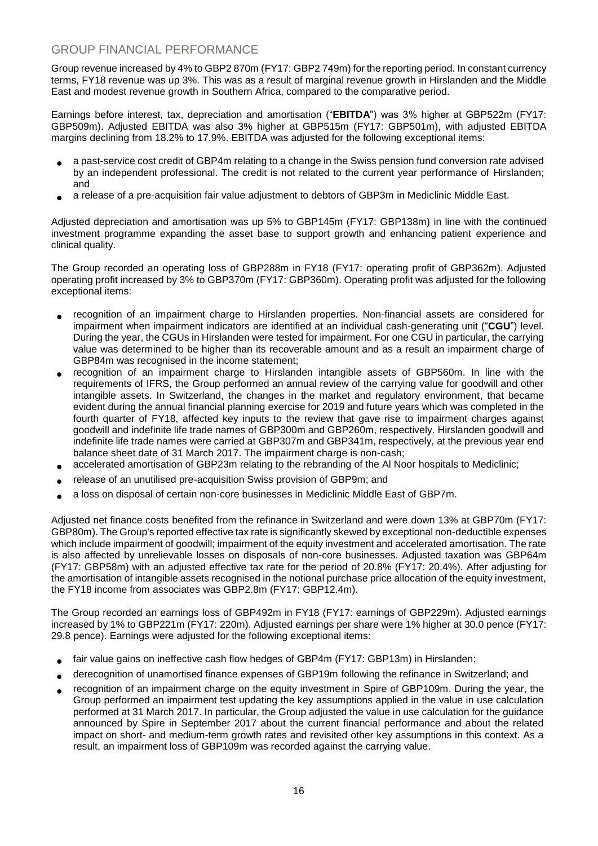# GROUP FINANCIAL PERFORMANCE

Group revenue increased by 4% to GBP2 870m (FY17: GBP2 749m) for the reporting period. In constant currency terms, FY18 revenue was up 3%. This was as a result of marginal revenue growth in Hirslanden and the Middle East and modest revenue growth in Southern Africa, compared to the comparative period.

Earnings before interest, tax, depreciation and amortisation ("**EBITDA**") was 3% higher at GBP522m (FY17: GBP509m). Adjusted EBITDA was also 3% higher at GBP515m (FY17: GBP501m), with adjusted EBITDA margins declining from 18.2% to 17.9%. EBITDA was adjusted for the following exceptional items:

- a past-service cost credit of GBP4m relating to a change in the Swiss pension fund conversion rate advised by an independent professional. The credit is not related to the current year performance of Hirslanden; and
- a release of a pre-acquisition fair value adjustment to debtors of GBP3m in Mediclinic Middle East.

Adjusted depreciation and amortisation was up 5% to GBP145m (FY17: GBP138m) in line with the continued investment programme expanding the asset base to support growth and enhancing patient experience and clinical quality.

The Group recorded an operating loss of GBP288m in FY18 (FY17: operating profit of GBP362m). Adjusted operating profit increased by 3% to GBP370m (FY17: GBP360m). Operating profit was adjusted for the following exceptional items:

- recognition of an impairment charge to Hirslanden properties. Non-financial assets are considered for impairment when impairment indicators are identified at an individual cash-generating unit ("**CGU**") level. During the year, the CGUs in Hirslanden were tested for impairment. For one CGU in particular, the carrying value was determined to be higher than its recoverable amount and as a result an impairment charge of GBP84m was recognised in the income statement;
- recognition of an impairment charge to Hirslanden intangible assets of GBP560m. In line with the requirements of IFRS, the Group performed an annual review of the carrying value for goodwill and other intangible assets. In Switzerland, the changes in the market and regulatory environment, that became evident during the annual financial planning exercise for 2019 and future years which was completed in the fourth quarter of FY18, affected key inputs to the review that gave rise to impairment charges against goodwill and indefinite life trade names of GBP300m and GBP260m, respectively. Hirslanden goodwill and indefinite life trade names were carried at GBP307m and GBP341m, respectively, at the previous year end balance sheet date of 31 March 2017. The impairment charge is non-cash;
- accelerated amortisation of GBP23m relating to the rebranding of the Al Noor hospitals to Mediclinic;
- release of an unutilised pre-acquisition Swiss provision of GBP9m; and
- a loss on disposal of certain non-core businesses in Mediclinic Middle East of GBP7m.

Adjusted net finance costs benefited from the refinance in Switzerland and were down 13% at GBP70m (FY17: GBP80m). The Group's reported effective tax rate is significantly skewed by exceptional non-deductible expenses which include impairment of goodwill; impairment of the equity investment and accelerated amortisation. The rate is also affected by unrelievable losses on disposals of non-core businesses. Adjusted taxation was GBP64m (FY17: GBP58m) with an adjusted effective tax rate for the period of 20.8% (FY17: 20.4%). After adjusting for the amortisation of intangible assets recognised in the notional purchase price allocation of the equity investment, the FY18 income from associates was GBP2.8m (FY17: GBP12.4m).

The Group recorded an earnings loss of GBP492m in FY18 (FY17: earnings of GBP229m). Adjusted earnings increased by 1% to GBP221m (FY17: 220m). Adjusted earnings per share were 1% higher at 30.0 pence (FY17: 29.8 pence). Earnings were adjusted for the following exceptional items:

- fair value gains on ineffective cash flow hedges of GBP4m (FY17: GBP13m) in Hirslanden;
- derecognition of unamortised finance expenses of GBP19m following the refinance in Switzerland; and
- recognition of an impairment charge on the equity investment in Spire of GBP109m. During the year, the Group performed an impairment test updating the key assumptions applied in the value in use calculation performed at 31 March 2017. In particular, the Group adjusted the value in use calculation for the guidance announced by Spire in September 2017 about the current financial performance and about the related impact on short- and medium-term growth rates and revisited other key assumptions in this context. As a result, an impairment loss of GBP109m was recorded against the carrying value.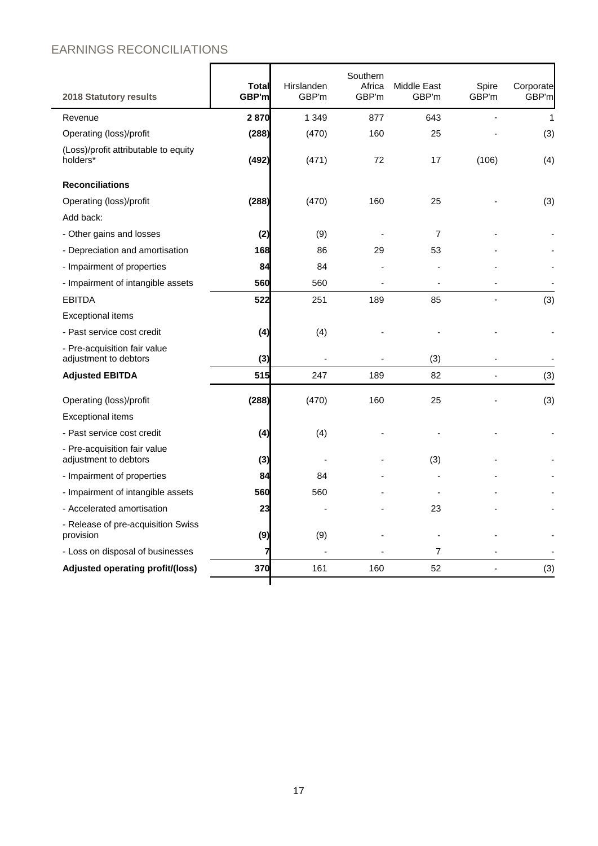# EARNINGS RECONCILIATIONS

| <b>2018 Statutory results</b>                         | Total<br>GBP'm | Hirslanden<br>GBP'm | Southern<br>Africa<br>GBP'm | Middle East<br>GBP'm | Spire<br>GBP'm | Corporate<br>GBP'm |
|-------------------------------------------------------|----------------|---------------------|-----------------------------|----------------------|----------------|--------------------|
| Revenue                                               | 2870           | 1 3 4 9             | 877                         | 643                  |                | $\mathbf{1}$       |
| Operating (loss)/profit                               | (288)          | (470)               | 160                         | 25                   |                | (3)                |
| (Loss)/profit attributable to equity<br>holders*      | (492)          | (471)               | 72                          | 17                   | (106)          | (4)                |
| <b>Reconciliations</b>                                |                |                     |                             |                      |                |                    |
| Operating (loss)/profit                               | (288)          | (470)               | 160                         | 25                   |                | (3)                |
| Add back:                                             |                |                     |                             |                      |                |                    |
| - Other gains and losses                              | (2)            | (9)                 |                             | $\overline{7}$       |                |                    |
| - Depreciation and amortisation                       | 168            | 86                  | 29                          | 53                   |                |                    |
| - Impairment of properties                            | 84             | 84                  |                             |                      |                |                    |
| - Impairment of intangible assets                     | 560            | 560                 |                             |                      |                |                    |
| <b>EBITDA</b>                                         | 522            | 251                 | 189                         | 85                   |                | (3)                |
| <b>Exceptional items</b>                              |                |                     |                             |                      |                |                    |
| - Past service cost credit                            | (4)            | (4)                 |                             |                      |                |                    |
| - Pre-acquisition fair value<br>adjustment to debtors | (3)            |                     |                             | (3)                  |                |                    |
| <b>Adjusted EBITDA</b>                                | 515            | 247                 | 189                         | 82                   |                | (3)                |
| Operating (loss)/profit                               | (288)          | (470)               | 160                         | 25                   |                | (3)                |
| <b>Exceptional items</b>                              |                |                     |                             |                      |                |                    |
| - Past service cost credit                            | (4)            | (4)                 |                             |                      |                |                    |
| - Pre-acquisition fair value<br>adjustment to debtors | (3)            |                     |                             | (3)                  |                |                    |
| - Impairment of properties                            | 84             | 84                  |                             |                      |                |                    |
| - Impairment of intangible assets                     | 560            | 560                 |                             |                      |                |                    |
| - Accelerated amortisation                            | 23             |                     |                             | 23                   |                |                    |
| - Release of pre-acquisition Swiss<br>provision       | (9)            | (9)                 |                             |                      |                |                    |
| - Loss on disposal of businesses                      | 7              |                     |                             | 7                    |                |                    |
| Adjusted operating profit/(loss)                      | 370            | 161                 | 160                         | 52                   |                | (3)                |
|                                                       |                |                     |                             |                      |                |                    |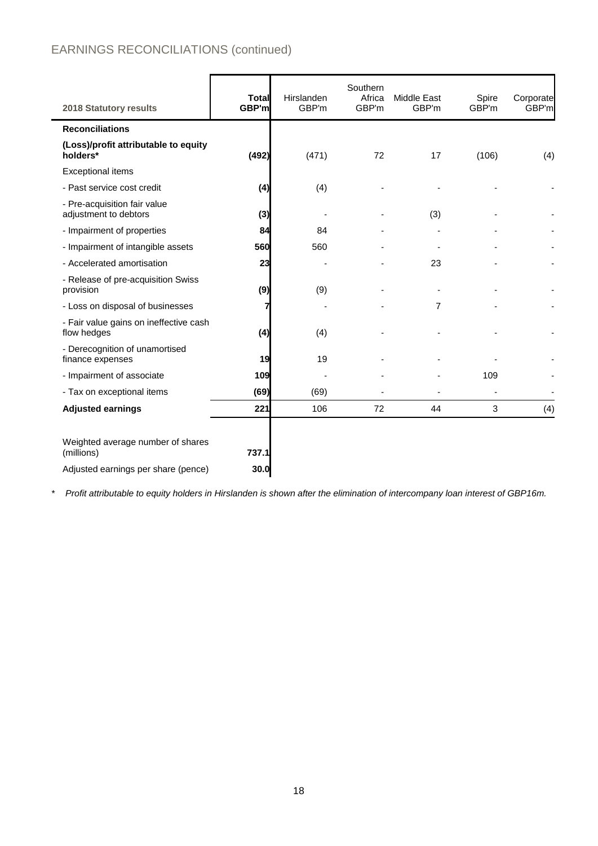# EARNINGS RECONCILIATIONS (continued)

| 2018 Statutory results                                                                 | <b>Total</b><br>GBP'm | Hirslanden<br>GBP'm | Southern<br>Africa<br>GBP'm | Middle East<br>GBP'm | Spire<br>GBP'm | Corporate<br>GBP'm |
|----------------------------------------------------------------------------------------|-----------------------|---------------------|-----------------------------|----------------------|----------------|--------------------|
| <b>Reconciliations</b>                                                                 |                       |                     |                             |                      |                |                    |
| (Loss)/profit attributable to equity<br>holders*                                       | (492)                 | (471)               | 72                          | 17                   | (106)          | (4)                |
| <b>Exceptional items</b>                                                               |                       |                     |                             |                      |                |                    |
| - Past service cost credit                                                             | (4)                   | (4)                 |                             |                      |                |                    |
| - Pre-acquisition fair value<br>adjustment to debtors                                  | (3)                   |                     |                             | (3)                  |                |                    |
| - Impairment of properties                                                             | 84                    | 84                  |                             |                      |                |                    |
| - Impairment of intangible assets                                                      | 560                   | 560                 |                             |                      |                |                    |
| - Accelerated amortisation                                                             | 23                    |                     |                             | 23                   |                |                    |
| - Release of pre-acquisition Swiss<br>provision                                        | (9)                   | (9)                 |                             |                      |                |                    |
| - Loss on disposal of businesses                                                       | 7                     |                     |                             | $\overline{7}$       |                |                    |
| - Fair value gains on ineffective cash<br>flow hedges                                  | (4)                   | (4)                 |                             |                      |                |                    |
| - Derecognition of unamortised<br>finance expenses                                     | 19                    | 19                  |                             |                      |                |                    |
| - Impairment of associate                                                              | 109                   |                     |                             |                      | 109            |                    |
| - Tax on exceptional items                                                             | (69)                  | (69)                |                             |                      |                |                    |
| <b>Adjusted earnings</b>                                                               | 221                   | 106                 | 72                          | 44                   | 3              | (4)                |
| Weighted average number of shares<br>(millions)<br>Adjusted earnings per share (pence) | 737.1<br>30.0         |                     |                             |                      |                |                    |

*\* Profit attributable to equity holders in Hirslanden is shown after the elimination of intercompany loan interest of GBP16m.*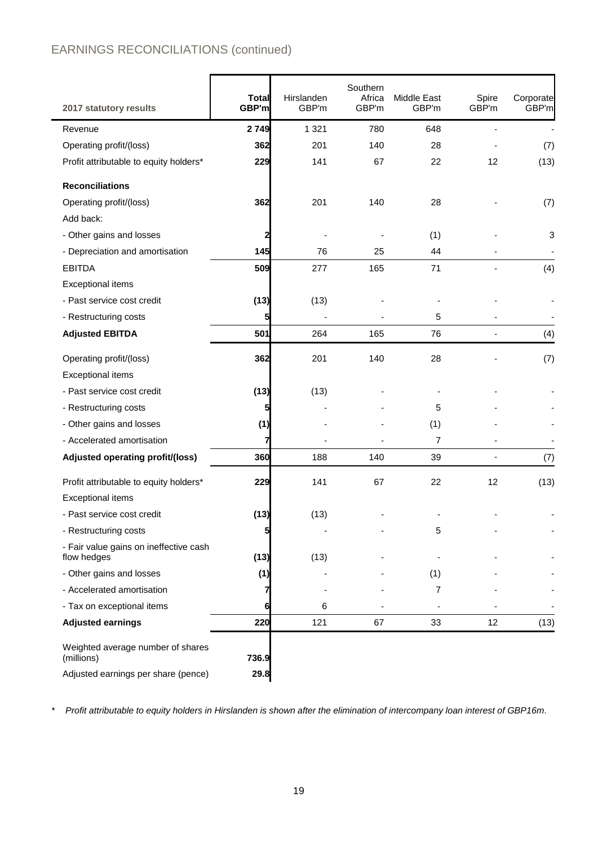# EARNINGS RECONCILIATIONS (continued)

| 2017 statutory results                                | <b>Total</b><br>GBP'm | Hirslanden<br>GBP'm | Southern<br>Africa<br>GBP'm | Middle East<br>GBP'm | Spire<br>GBP'm | Corporate<br>GBP'm |
|-------------------------------------------------------|-----------------------|---------------------|-----------------------------|----------------------|----------------|--------------------|
| Revenue                                               | 2749                  | 1 3 2 1             | 780                         | 648                  |                |                    |
| Operating profit/(loss)                               | 362                   | 201                 | 140                         | 28                   |                | (7)                |
| Profit attributable to equity holders*                | 229                   | 141                 | 67                          | 22                   | 12             | (13)               |
| <b>Reconciliations</b>                                |                       |                     |                             |                      |                |                    |
| Operating profit/(loss)                               | 362                   | 201                 | 140                         | 28                   |                | (7)                |
| Add back:                                             |                       |                     |                             |                      |                |                    |
| - Other gains and losses                              | 2                     |                     |                             | (1)                  |                | 3                  |
| - Depreciation and amortisation                       | 145                   | 76                  | 25                          | 44                   |                |                    |
| <b>EBITDA</b>                                         | 509                   | 277                 | 165                         | 71                   |                | (4)                |
| <b>Exceptional items</b>                              |                       |                     |                             |                      |                |                    |
| - Past service cost credit                            | (13)                  | (13)                |                             |                      |                |                    |
| - Restructuring costs                                 | 5                     |                     |                             | 5                    |                |                    |
| <b>Adjusted EBITDA</b>                                | 501                   | 264                 | 165                         | 76                   |                | (4)                |
| Operating profit/(loss)                               | 362                   | 201                 | 140                         | 28                   |                | (7)                |
| <b>Exceptional items</b>                              |                       |                     |                             |                      |                |                    |
| - Past service cost credit                            | (13)                  | (13)                |                             |                      |                |                    |
| - Restructuring costs                                 | 5                     |                     |                             | 5                    |                |                    |
| - Other gains and losses                              | (1)                   |                     |                             | (1)                  |                |                    |
| - Accelerated amortisation                            |                       |                     |                             | $\overline{7}$       |                |                    |
| Adjusted operating profit/(loss)                      | 360                   | 188                 | 140                         | 39                   |                | (7)                |
| Profit attributable to equity holders*                | 229                   | 141                 | 67                          | 22                   | 12             | (13)               |
| <b>Exceptional items</b>                              |                       |                     |                             |                      |                |                    |
| - Past service cost credit                            | (13)                  | (13)                |                             |                      |                |                    |
| - Restructuring costs                                 | 5                     |                     |                             | 5                    |                |                    |
| - Fair value gains on ineffective cash<br>flow hedges | (13)                  | (13)                |                             |                      |                |                    |
| - Other gains and losses                              | (1)                   |                     |                             | (1)                  |                |                    |
| - Accelerated amortisation                            |                       |                     |                             | 7                    |                |                    |
| - Tax on exceptional items                            | 6                     | 6                   |                             |                      |                |                    |
| <b>Adjusted earnings</b>                              | 220                   | 121                 | 67                          | 33                   | 12             | (13)               |
| Weighted average number of shares                     |                       |                     |                             |                      |                |                    |
| (millions)                                            | 736.9                 |                     |                             |                      |                |                    |
| Adjusted earnings per share (pence)                   | 29.8                  |                     |                             |                      |                |                    |

*\* Profit attributable to equity holders in Hirslanden is shown after the elimination of intercompany loan interest of GBP16m*.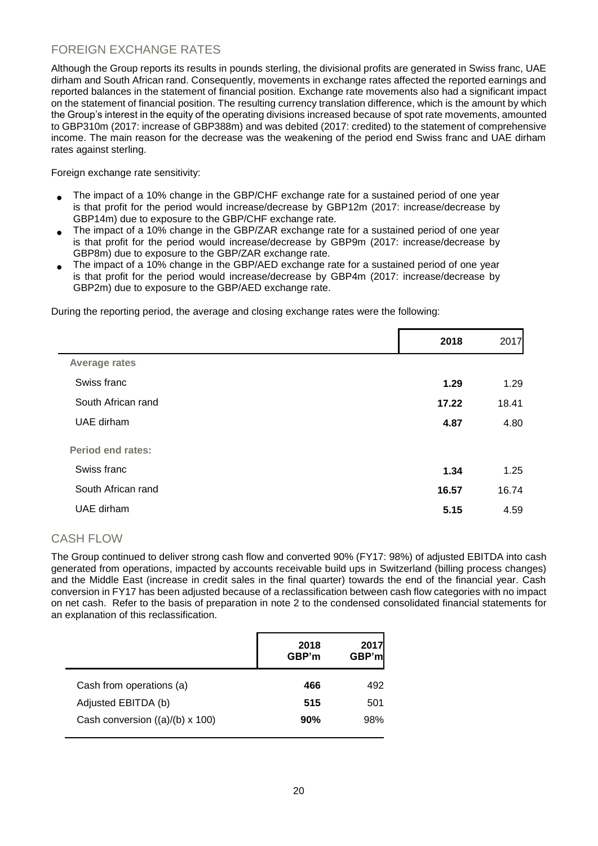# FOREIGN EXCHANGE RATES

Although the Group reports its results in pounds sterling, the divisional profits are generated in Swiss franc, UAE dirham and South African rand. Consequently, movements in exchange rates affected the reported earnings and reported balances in the statement of financial position. Exchange rate movements also had a significant impact on the statement of financial position. The resulting currency translation difference, which is the amount by which the Group's interest in the equity of the operating divisions increased because of spot rate movements, amounted to GBP310m (2017: increase of GBP388m) and was debited (2017: credited) to the statement of comprehensive income. The main reason for the decrease was the weakening of the period end Swiss franc and UAE dirham rates against sterling.

Foreign exchange rate sensitivity:

- The impact of a 10% change in the GBP/CHF exchange rate for a sustained period of one year is that profit for the period would increase/decrease by GBP12m (2017: increase/decrease by GBP14m) due to exposure to the GBP/CHF exchange rate.
- The impact of a 10% change in the GBP/ZAR exchange rate for a sustained period of one year is that profit for the period would increase/decrease by GBP9m (2017: increase/decrease by GBP8m) due to exposure to the GBP/ZAR exchange rate.
- The impact of a 10% change in the GBP/AED exchange rate for a sustained period of one year is that profit for the period would increase/decrease by GBP4m (2017: increase/decrease by GBP2m) due to exposure to the GBP/AED exchange rate.

During the reporting period, the average and closing exchange rates were the following:

|                          | 2018  | 2017  |
|--------------------------|-------|-------|
| <b>Average rates</b>     |       |       |
| Swiss franc              | 1.29  | 1.29  |
| South African rand       | 17.22 | 18.41 |
| UAE dirham               | 4.87  | 4.80  |
| <b>Period end rates:</b> |       |       |
| Swiss franc              | 1.34  | 1.25  |
| South African rand       | 16.57 | 16.74 |
| UAE dirham               | 5.15  | 4.59  |
|                          |       |       |

# CASH FLOW

The Group continued to deliver strong cash flow and converted 90% (FY17: 98%) of adjusted EBITDA into cash generated from operations, impacted by accounts receivable build ups in Switzerland (billing process changes) and the Middle East (increase in credit sales in the final quarter) towards the end of the financial year. Cash conversion in FY17 has been adjusted because of a reclassification between cash flow categories with no impact on net cash. Refer to the basis of preparation in note 2 to the condensed consolidated financial statements for an explanation of this reclassification.

|                                 | 2018<br>GBP'm | 2017<br>GBP'ml |
|---------------------------------|---------------|----------------|
| Cash from operations (a)        | 466           | 492            |
| Adjusted EBITDA (b)             | 515           | 501            |
| Cash conversion ((a)/(b) x 100) | 90%           | 98%            |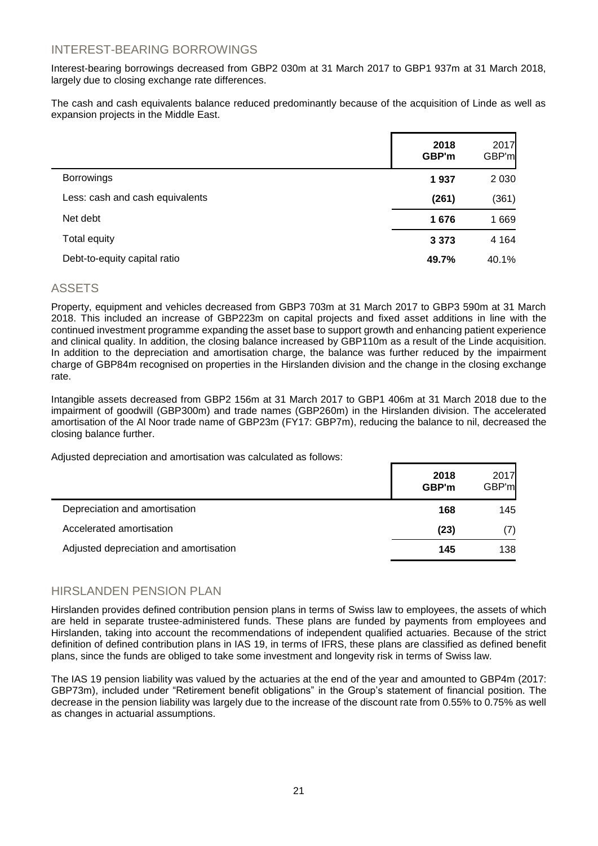## INTEREST-BEARING BORROWINGS

Interest-bearing borrowings decreased from GBP2 030m at 31 March 2017 to GBP1 937m at 31 March 2018, largely due to closing exchange rate differences.

The cash and cash equivalents balance reduced predominantly because of the acquisition of Linde as well as expansion projects in the Middle East.

|                                 | 2018<br>GBP'm | 2017<br>GBP'm |
|---------------------------------|---------------|---------------|
| <b>Borrowings</b>               | 1937          | 2 0 3 0       |
| Less: cash and cash equivalents | (261)         | (361)         |
| Net debt                        | 1676          | 1669          |
| Total equity                    | 3 3 7 3       | 4 1 6 4       |
| Debt-to-equity capital ratio    | 49.7%         | 40.1%         |

## ASSETS

Property, equipment and vehicles decreased from GBP3 703m at 31 March 2017 to GBP3 590m at 31 March 2018. This included an increase of GBP223m on capital projects and fixed asset additions in line with the continued investment programme expanding the asset base to support growth and enhancing patient experience and clinical quality. In addition, the closing balance increased by GBP110m as a result of the Linde acquisition. In addition to the depreciation and amortisation charge, the balance was further reduced by the impairment charge of GBP84m recognised on properties in the Hirslanden division and the change in the closing exchange rate.

Intangible assets decreased from GBP2 156m at 31 March 2017 to GBP1 406m at 31 March 2018 due to the impairment of goodwill (GBP300m) and trade names (GBP260m) in the Hirslanden division. The accelerated amortisation of the Al Noor trade name of GBP23m (FY17: GBP7m), reducing the balance to nil, decreased the closing balance further.

Adjusted depreciation and amortisation was calculated as follows:

|                                        | 2018<br>GBP'm | 2017<br>GBP'm |
|----------------------------------------|---------------|---------------|
| Depreciation and amortisation          | 168           | 145           |
| Accelerated amortisation               | (23)          | (7)           |
| Adjusted depreciation and amortisation | 145           | 138           |

## HIRSI ANDEN PENSION PI AN

Hirslanden provides defined contribution pension plans in terms of Swiss law to employees, the assets of which are held in separate trustee-administered funds. These plans are funded by payments from employees and Hirslanden, taking into account the recommendations of independent qualified actuaries. Because of the strict definition of defined contribution plans in IAS 19, in terms of IFRS, these plans are classified as defined benefit plans, since the funds are obliged to take some investment and longevity risk in terms of Swiss law.

The IAS 19 pension liability was valued by the actuaries at the end of the year and amounted to GBP4m (2017: GBP73m), included under "Retirement benefit obligations" in the Group's statement of financial position. The decrease in the pension liability was largely due to the increase of the discount rate from 0.55% to 0.75% as well as changes in actuarial assumptions.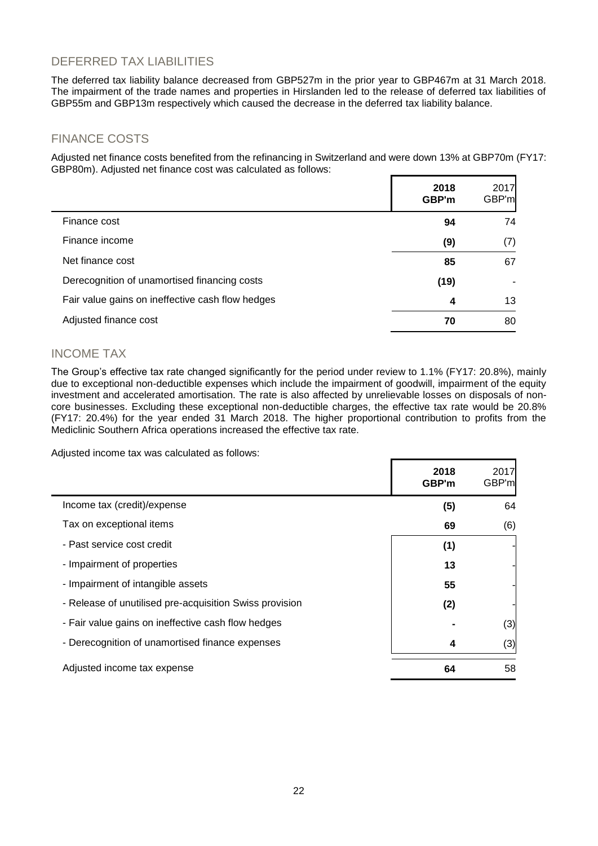# DEFERRED TAX LIABILITIES

The deferred tax liability balance decreased from GBP527m in the prior year to GBP467m at 31 March 2018. The impairment of the trade names and properties in Hirslanden led to the release of deferred tax liabilities of GBP55m and GBP13m respectively which caused the decrease in the deferred tax liability balance.

# FINANCE COSTS

Adjusted net finance costs benefited from the refinancing in Switzerland and were down 13% at GBP70m (FY17: GBP80m). Adjusted net finance cost was calculated as follows:

|                                                  | 2018<br>GBP'm | 2017<br>GBP'm |
|--------------------------------------------------|---------------|---------------|
| Finance cost                                     | 94            | 74            |
| Finance income                                   | (9)           | (7)           |
| Net finance cost                                 | 85            | 67            |
| Derecognition of unamortised financing costs     | (19)          |               |
| Fair value gains on ineffective cash flow hedges | 4             | 13            |
| Adjusted finance cost                            | 70            | 80            |

# INCOME TAX

The Group's effective tax rate changed significantly for the period under review to 1.1% (FY17: 20.8%), mainly due to exceptional non-deductible expenses which include the impairment of goodwill, impairment of the equity investment and accelerated amortisation. The rate is also affected by unrelievable losses on disposals of noncore businesses. Excluding these exceptional non-deductible charges, the effective tax rate would be 20.8% (FY17: 20.4%) for the year ended 31 March 2018. The higher proportional contribution to profits from the Mediclinic Southern Africa operations increased the effective tax rate.

Adjusted income tax was calculated as follows:

|                                                         | 2018<br>GBP'm | 2017<br>GBP'm |
|---------------------------------------------------------|---------------|---------------|
| Income tax (credit)/expense                             | (5)           | 64            |
| Tax on exceptional items                                | 69            | (6)           |
| - Past service cost credit                              | (1)           |               |
| - Impairment of properties                              | 13            |               |
| - Impairment of intangible assets                       | 55            |               |
| - Release of unutilised pre-acquisition Swiss provision | (2)           |               |
| - Fair value gains on ineffective cash flow hedges      |               | (3)           |
| - Derecognition of unamortised finance expenses         | 4             | (3)           |
| Adjusted income tax expense                             | 64            | 58            |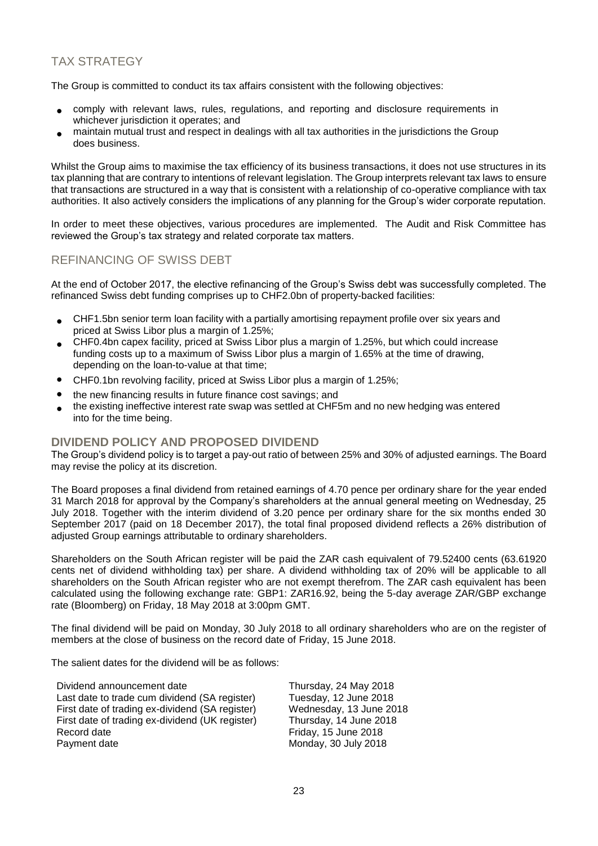# TAX STRATEGY

The Group is committed to conduct its tax affairs consistent with the following objectives:

- comply with relevant laws, rules, regulations, and reporting and disclosure requirements in whichever jurisdiction it operates; and
- maintain mutual trust and respect in dealings with all tax authorities in the jurisdictions the Group does business.

Whilst the Group aims to maximise the tax efficiency of its business transactions, it does not use structures in its tax planning that are contrary to intentions of relevant legislation. The Group interprets relevant tax laws to ensure that transactions are structured in a way that is consistent with a relationship of co-operative compliance with tax authorities. It also actively considers the implications of any planning for the Group's wider corporate reputation.

In order to meet these objectives, various procedures are implemented. The Audit and Risk Committee has reviewed the Group's tax strategy and related corporate tax matters.

# REFINANCING OF SWISS DEBT

At the end of October 2017, the elective refinancing of the Group's Swiss debt was successfully completed. The refinanced Swiss debt funding comprises up to CHF2.0bn of property-backed facilities:

- CHF1.5bn senior term loan facility with a partially amortising repayment profile over six years and priced at Swiss Libor plus a margin of 1.25%;
- CHF0.4bn capex facility, priced at Swiss Libor plus a margin of 1.25%, but which could increase funding costs up to a maximum of Swiss Libor plus a margin of 1.65% at the time of drawing, depending on the loan-to-value at that time;
- CHF0.1bn revolving facility, priced at Swiss Libor plus a margin of 1.25%;
- the new financing results in future finance cost savings; and
- the existing ineffective interest rate swap was settled at CHF5m and no new hedging was entered into for the time being.

## **DIVIDEND POLICY AND PROPOSED DIVIDEND**

The Group's dividend policy is to target a pay-out ratio of between 25% and 30% of adjusted earnings. The Board may revise the policy at its discretion.

The Board proposes a final dividend from retained earnings of 4.70 pence per ordinary share for the year ended 31 March 2018 for approval by the Company's shareholders at the annual general meeting on Wednesday, 25 July 2018. Together with the interim dividend of 3.20 pence per ordinary share for the six months ended 30 September 2017 (paid on 18 December 2017), the total final proposed dividend reflects a 26% distribution of adjusted Group earnings attributable to ordinary shareholders.

Shareholders on the South African register will be paid the ZAR cash equivalent of 79.52400 cents (63.61920 cents net of dividend withholding tax) per share. A dividend withholding tax of 20% will be applicable to all shareholders on the South African register who are not exempt therefrom. The ZAR cash equivalent has been calculated using the following exchange rate: GBP1: ZAR16.92, being the 5-day average ZAR/GBP exchange rate (Bloomberg) on Friday, 18 May 2018 at 3:00pm GMT.

The final dividend will be paid on Monday, 30 July 2018 to all ordinary shareholders who are on the register of members at the close of business on the record date of Friday, 15 June 2018.

The salient dates for the dividend will be as follows:

Dividend announcement date<br>
Last date to trade cum dividend (SA register) Tuesday, 12 June 2018 Last date to trade cum dividend (SA register) Tuesday, 12 June 2018<br>First date of trading ex-dividend (SA register) Wednesday, 13 June 2018 First date of trading ex-dividend (SA register) Wednesday, 13 June 2018<br>First date of trading ex-dividend (UK register) Thursday, 14 June 2018 First date of trading ex-dividend (UK register) Record date **Friday**, 15 June 2018 Payment date Monday, 30 July 2018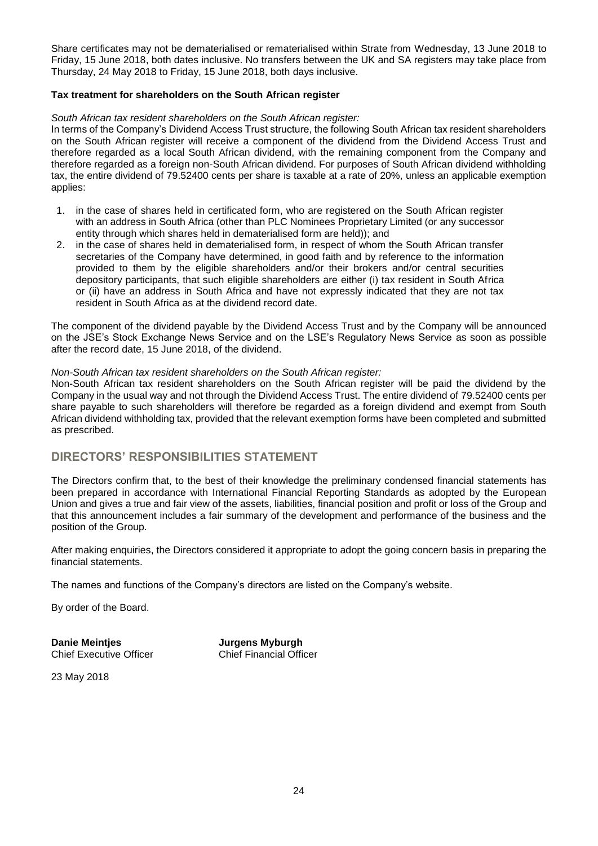Share certificates may not be dematerialised or rematerialised within Strate from Wednesday, 13 June 2018 to Friday, 15 June 2018, both dates inclusive. No transfers between the UK and SA registers may take place from Thursday, 24 May 2018 to Friday, 15 June 2018, both days inclusive.

### **Tax treatment for shareholders on the South African register**

#### *South African tax resident shareholders on the South African register:*

In terms of the Company's Dividend Access Trust structure, the following South African tax resident shareholders on the South African register will receive a component of the dividend from the Dividend Access Trust and therefore regarded as a local South African dividend, with the remaining component from the Company and therefore regarded as a foreign non-South African dividend. For purposes of South African dividend withholding tax, the entire dividend of 79.52400 cents per share is taxable at a rate of 20%, unless an applicable exemption applies:

- 1. in the case of shares held in certificated form, who are registered on the South African register with an address in South Africa (other than PLC Nominees Proprietary Limited (or any successor entity through which shares held in dematerialised form are held)); and
- 2. in the case of shares held in dematerialised form, in respect of whom the South African transfer secretaries of the Company have determined, in good faith and by reference to the information provided to them by the eligible shareholders and/or their brokers and/or central securities depository participants, that such eligible shareholders are either (i) tax resident in South Africa or (ii) have an address in South Africa and have not expressly indicated that they are not tax resident in South Africa as at the dividend record date.

The component of the dividend payable by the Dividend Access Trust and by the Company will be announced on the JSE's Stock Exchange News Service and on the LSE's Regulatory News Service as soon as possible after the record date, 15 June 2018, of the dividend.

### *Non-South African tax resident shareholders on the South African register:*

Non-South African tax resident shareholders on the South African register will be paid the dividend by the Company in the usual way and not through the Dividend Access Trust. The entire dividend of 79.52400 cents per share payable to such shareholders will therefore be regarded as a foreign dividend and exempt from South African dividend withholding tax, provided that the relevant exemption forms have been completed and submitted as prescribed.

## **DIRECTORS' RESPONSIBILITIES STATEMENT**

The Directors confirm that, to the best of their knowledge the preliminary condensed financial statements has been prepared in accordance with International Financial Reporting Standards as adopted by the European Union and gives a true and fair view of the assets, liabilities, financial position and profit or loss of the Group and that this announcement includes a fair summary of the development and performance of the business and the position of the Group.

After making enquiries, the Directors considered it appropriate to adopt the going concern basis in preparing the financial statements.

The names and functions of the Company's directors are listed on the Company's website.

By order of the Board.

**Danie Meintjes State State State State State State State State State State State State State State State State <br>Philosophic Chief Financial Officer State State State State State State State State State State State State S** Chief Executive Officer

23 May 2018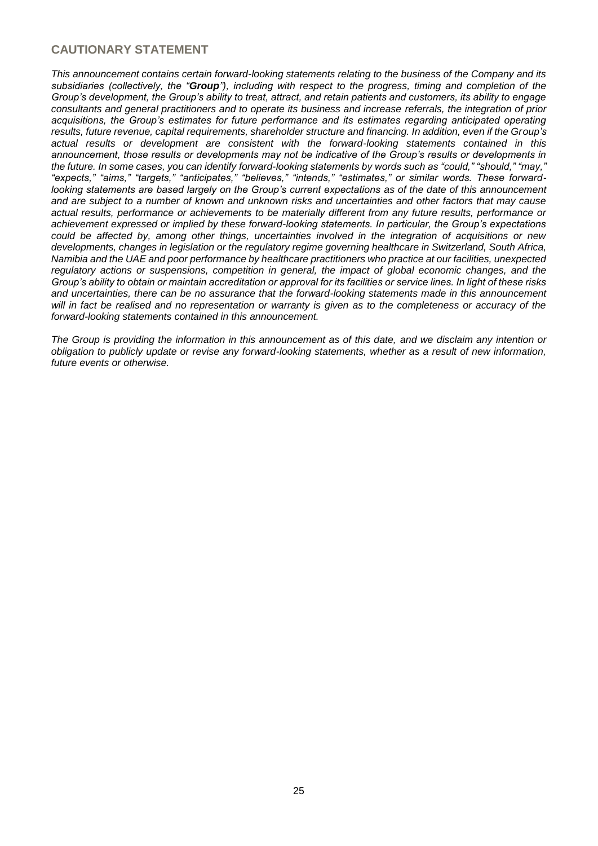# **CAUTIONARY STATEMENT**

*This announcement contains certain forward-looking statements relating to the business of the Company and its subsidiaries (collectively, the "Group"), including with respect to the progress, timing and completion of the Group's development, the Group's ability to treat, attract, and retain patients and customers, its ability to engage consultants and general practitioners and to operate its business and increase referrals, the integration of prior acquisitions, the Group's estimates for future performance and its estimates regarding anticipated operating results, future revenue, capital requirements, shareholder structure and financing. In addition, even if the Group's actual results or development are consistent with the forward-looking statements contained in this announcement, those results or developments may not be indicative of the Group's results or developments in the future. In some cases, you can identify forward-looking statements by words such as "could," "should," "may," "expects," "aims," "targets," "anticipates," "believes," "intends," "estimates," or similar words. These forwardlooking statements are based largely on the Group's current expectations as of the date of this announcement and are subject to a number of known and unknown risks and uncertainties and other factors that may cause actual results, performance or achievements to be materially different from any future results, performance or achievement expressed or implied by these forward-looking statements. In particular, the Group's expectations could be affected by, among other things, uncertainties involved in the integration of acquisitions or new developments, changes in legislation or the regulatory regime governing healthcare in Switzerland, South Africa, Namibia and the UAE and poor performance by healthcare practitioners who practice at our facilities, unexpected regulatory actions or suspensions, competition in general, the impact of global economic changes, and the Group's ability to obtain or maintain accreditation or approval for its facilities or service lines. In light of these risks and uncertainties, there can be no assurance that the forward-looking statements made in this announcement will in fact be realised and no representation or warranty is given as to the completeness or accuracy of the forward-looking statements contained in this announcement.*

*The Group is providing the information in this announcement as of this date, and we disclaim any intention or obligation to publicly update or revise any forward-looking statements, whether as a result of new information, future events or otherwise.*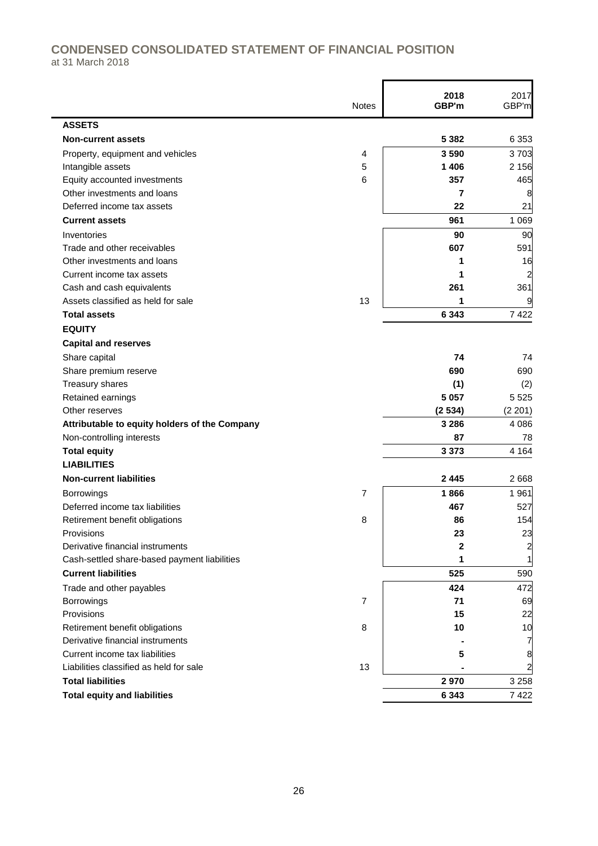# **CONDENSED CONSOLIDATED STATEMENT OF FINANCIAL POSITION** at 31 March 2018

|                                               | <b>Notes</b>   | 2018<br>GBP'm | 2017<br>GBP'm           |
|-----------------------------------------------|----------------|---------------|-------------------------|
| <b>ASSETS</b>                                 |                |               |                         |
| <b>Non-current assets</b>                     |                | 5 3 8 2       | 6 353                   |
| Property, equipment and vehicles              | 4              | 3590          | 3703                    |
| Intangible assets                             | 5              | 1 4 0 6       | 2 1 5 6                 |
| Equity accounted investments                  | 6              | 357           | 465                     |
| Other investments and loans                   |                | 7             | 8                       |
| Deferred income tax assets                    |                | 22            | 21                      |
| <b>Current assets</b>                         |                | 961           | 1 0 6 9                 |
| Inventories                                   |                | 90            | 90                      |
| Trade and other receivables                   |                | 607           | 591                     |
| Other investments and loans                   |                | 1             | 16                      |
| Current income tax assets                     |                | 1             | 2                       |
| Cash and cash equivalents                     |                | 261           | 361                     |
| Assets classified as held for sale            | 13             | 1             | 9                       |
| <b>Total assets</b>                           |                | 6 3 4 3       | 7 4 2 2                 |
| <b>EQUITY</b>                                 |                |               |                         |
| <b>Capital and reserves</b>                   |                |               |                         |
| Share capital                                 |                | 74            | 74                      |
| Share premium reserve                         |                | 690           | 690                     |
| Treasury shares                               |                | (1)           | (2)                     |
| Retained earnings                             |                | 5 0 5 7       | 5 5 2 5                 |
| Other reserves                                |                | (2534)        | (2 201)                 |
| Attributable to equity holders of the Company |                | 3 2 8 6       | 4 0 8 6                 |
| Non-controlling interests                     |                | 87            | 78                      |
| <b>Total equity</b>                           |                | 3 3 7 3       | 4 1 6 4                 |
| <b>LIABILITIES</b>                            |                |               |                         |
| <b>Non-current liabilities</b>                |                | 2445          | 2 6 6 8                 |
| Borrowings                                    | 7              | 1866          | 1 9 6 1                 |
| Deferred income tax liabilities               |                | 467           | 527                     |
| Retirement benefit obligations                | 8              | 86            | 154                     |
| Provisions                                    |                | 23            | 23                      |
| Derivative financial instruments              |                | 2             | $\overline{\mathbf{c}}$ |
| Cash-settled share-based payment liabilities  |                | 1             | $\mathbf{1}$            |
| <b>Current liabilities</b>                    |                | 525           | 590                     |
| Trade and other payables                      |                | 424           | 472                     |
| Borrowings                                    | $\overline{7}$ | 71            | 69                      |
| Provisions                                    |                | 15            | 22                      |
| Retirement benefit obligations                | 8              | 10            | 10                      |
| Derivative financial instruments              |                |               | 7                       |
| Current income tax liabilities                |                | 5             | 8                       |
| Liabilities classified as held for sale       | 13             |               | 2                       |
| <b>Total liabilities</b>                      |                | 2970          | 3 2 5 8                 |
| <b>Total equity and liabilities</b>           |                | 6 3 4 3       | 7422                    |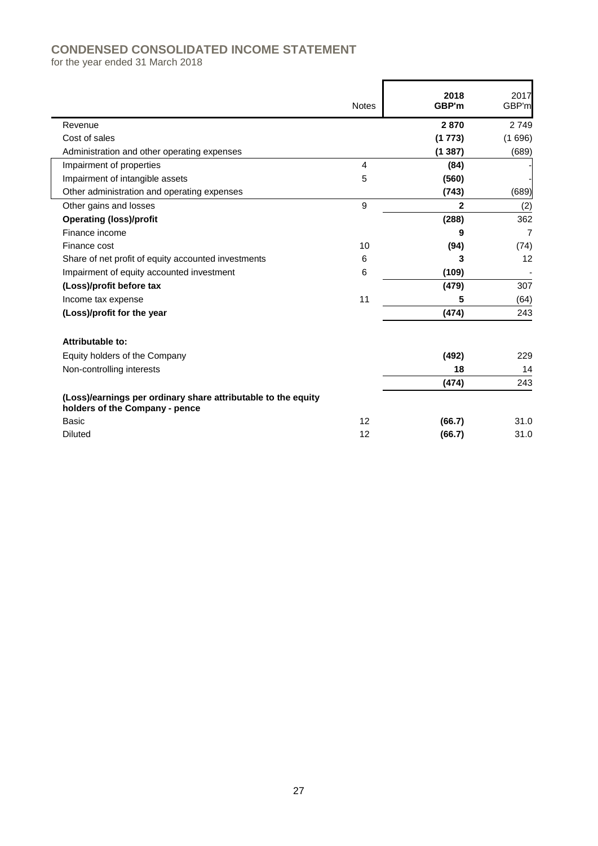# **CONDENSED CONSOLIDATED INCOME STATEMENT**

for the year ended 31 March 2018

|                                                                                                 | <b>Notes</b>   | 2018<br>GBP'm | 2017<br>GBP'm |
|-------------------------------------------------------------------------------------------------|----------------|---------------|---------------|
| Revenue                                                                                         |                | 2870          | 2 7 4 9       |
| Cost of sales                                                                                   |                | (1773)        | (1696)        |
| Administration and other operating expenses                                                     |                | (1387)        | (689)         |
| Impairment of properties                                                                        | $\overline{4}$ | (84)          |               |
| Impairment of intangible assets                                                                 | 5              | (560)         |               |
| Other administration and operating expenses                                                     |                | (743)         | (689)         |
| Other gains and losses                                                                          | 9              | $\mathbf{2}$  | (2)           |
| <b>Operating (loss)/profit</b>                                                                  |                | (288)         | 362           |
| Finance income                                                                                  |                | 9             | 7             |
| Finance cost                                                                                    | 10             | (94)          | (74)          |
| Share of net profit of equity accounted investments                                             | 6              | 3             | 12            |
| Impairment of equity accounted investment                                                       | 6              | (109)         |               |
| (Loss)/profit before tax                                                                        |                | (479)         | 307           |
| Income tax expense                                                                              | 11             | 5             | (64)          |
| (Loss)/profit for the year                                                                      |                | (474)         | 243           |
| Attributable to:                                                                                |                |               |               |
| Equity holders of the Company                                                                   |                | (492)         | 229           |
| Non-controlling interests                                                                       |                | 18            | 14            |
|                                                                                                 |                | (474)         | 243           |
| (Loss)/earnings per ordinary share attributable to the equity<br>holders of the Company - pence |                |               |               |
| Basic                                                                                           | 12             | (66.7)        | 31.0          |
| <b>Diluted</b>                                                                                  | 12             | (66.7)        | 31.0          |

 $\mathbf{r}$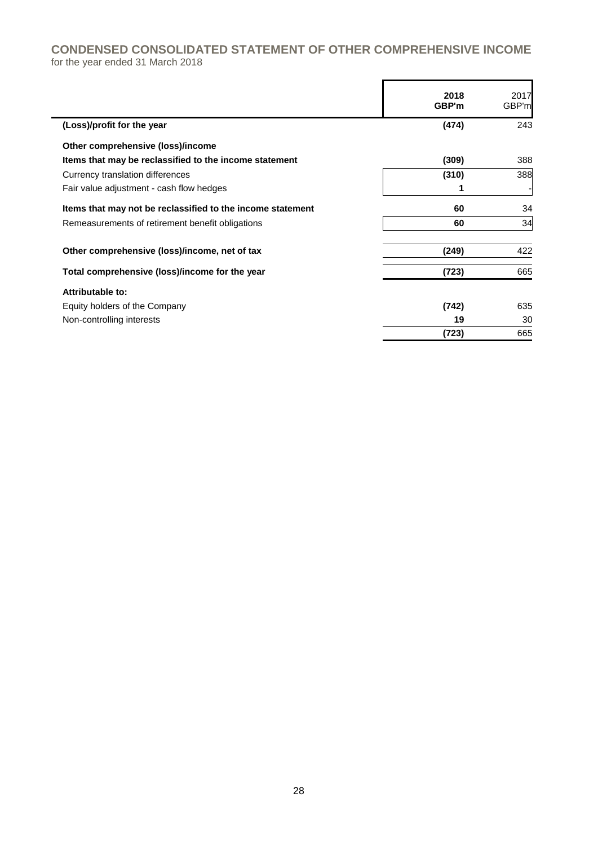# **CONDENSED CONSOLIDATED STATEMENT OF OTHER COMPREHENSIVE INCOME** for the year ended 31 March 2018

|                                                            | 2018<br>GBP'm | 2017<br>GBP'm |
|------------------------------------------------------------|---------------|---------------|
| (Loss)/profit for the year                                 | (474)         | 243           |
| Other comprehensive (loss)/income                          |               |               |
| Items that may be reclassified to the income statement     | (309)         | 388           |
| Currency translation differences                           | (310)         | 388           |
| Fair value adjustment - cash flow hedges                   |               |               |
| Items that may not be reclassified to the income statement | 60            | 34            |
| Remeasurements of retirement benefit obligations           | 60            | 34            |
| Other comprehensive (loss)/income, net of tax              | (249)         | 422           |
| Total comprehensive (loss)/income for the year             | (723)         | 665           |
| Attributable to:                                           |               |               |
| Equity holders of the Company                              | (742)         | 635           |
| Non-controlling interests                                  | 19            | 30            |
|                                                            | (723)         | 665           |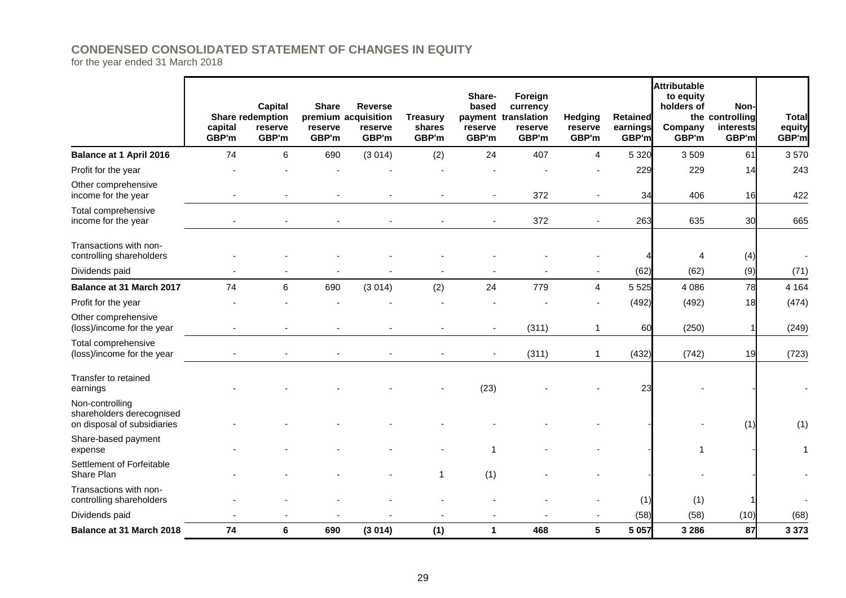# **CONDENSED CONSOLIDATED STATEMENT OF CHANGES IN EQUITY**

for the year ended 31 March 2018

|                                                                             | capital<br>GBP'm | <b>Capital</b><br><b>Share redemption</b><br>reserve<br>GBP'm | <b>Share</b><br>reserve<br>GBP'm | <b>Reverse</b><br>premium acquisition<br>reserve<br>GBP'm | <b>Treasury</b><br>shares<br>GBP'm | Share-<br>based<br>reserve<br>GBP'm | Foreign<br>currency<br>payment translation<br>reserve<br>GBP'm | Hedging<br>reserve<br>GBP'm | <b>Retained</b><br>earnings<br>GBP'm | <b>Attributable</b><br>to equity<br>holders of<br>Company<br>GBP'm | Non-<br>the controlling<br>interests<br>GBP'm | <b>Total</b><br>equity<br>GBP'm |
|-----------------------------------------------------------------------------|------------------|---------------------------------------------------------------|----------------------------------|-----------------------------------------------------------|------------------------------------|-------------------------------------|----------------------------------------------------------------|-----------------------------|--------------------------------------|--------------------------------------------------------------------|-----------------------------------------------|---------------------------------|
| <b>Balance at 1 April 2016</b>                                              | 74               | 6                                                             | 690                              | (3014)                                                    | (2)                                | 24                                  | 407                                                            | 4                           | 5 3 2 0                              | 3509                                                               | 61                                            | 3570                            |
| Profit for the year                                                         |                  |                                                               |                                  |                                                           |                                    |                                     |                                                                |                             | 229                                  | 229                                                                | 14                                            | 243                             |
| Other comprehensive<br>income for the year                                  |                  |                                                               |                                  |                                                           |                                    |                                     | 372                                                            |                             | 34                                   | 406                                                                | 16                                            | 422                             |
| Total comprehensive<br>income for the year                                  |                  |                                                               |                                  |                                                           |                                    |                                     | 372                                                            |                             | 263                                  | 635                                                                | 30                                            | 665                             |
| Transactions with non-<br>controlling shareholders                          |                  |                                                               |                                  |                                                           |                                    |                                     |                                                                |                             |                                      | 4                                                                  | (4)                                           |                                 |
| Dividends paid                                                              |                  |                                                               |                                  |                                                           |                                    |                                     |                                                                |                             | (62)                                 | (62)                                                               | (9)                                           | (71)                            |
| Balance at 31 March 2017                                                    | 74               | 6                                                             | 690                              | (3014)                                                    | (2)                                | 24                                  | 779                                                            | 4                           | 5 5 2 5                              | 4 0 8 6                                                            | 78                                            | 4 1 6 4                         |
| Profit for the year                                                         |                  |                                                               |                                  |                                                           |                                    |                                     |                                                                |                             | (492)                                | (492)                                                              | 18                                            | (474)                           |
| Other comprehensive<br>(loss)/income for the year                           |                  |                                                               |                                  |                                                           |                                    |                                     | (311)                                                          | $\mathbf{1}$                | 60                                   | (250)                                                              |                                               | (249)                           |
| Total comprehensive<br>(loss)/income for the year                           |                  |                                                               |                                  |                                                           |                                    |                                     | (311)                                                          | 1                           | (432)                                | (742)                                                              | 19                                            | (723)                           |
| Transfer to retained<br>earnings                                            |                  |                                                               |                                  |                                                           |                                    | (23)                                |                                                                |                             | 23                                   |                                                                    |                                               |                                 |
| Non-controlling<br>shareholders derecognised<br>on disposal of subsidiaries |                  |                                                               |                                  |                                                           |                                    |                                     |                                                                |                             |                                      |                                                                    | (1)                                           | (1)                             |
| Share-based payment<br>expense                                              |                  |                                                               |                                  |                                                           |                                    |                                     |                                                                |                             |                                      | 1                                                                  |                                               | 1                               |
| Settlement of Forfeitable<br>Share Plan                                     |                  |                                                               |                                  |                                                           | 1                                  | (1)                                 |                                                                |                             |                                      |                                                                    |                                               |                                 |
| Transactions with non-<br>controlling shareholders                          |                  |                                                               |                                  |                                                           |                                    |                                     |                                                                |                             | (1)                                  | (1)                                                                |                                               |                                 |
| Dividends paid                                                              |                  |                                                               |                                  |                                                           |                                    |                                     |                                                                |                             | (58)                                 | (58)                                                               | (10)                                          | (68)                            |
| <b>Balance at 31 March 2018</b>                                             | 74               | 6                                                             | 690                              | (3014)                                                    | (1)                                | $\mathbf 1$                         | 468                                                            | 5                           | 5 0 5 7                              | 3 2 8 6                                                            | 87                                            | 3 3 7 3                         |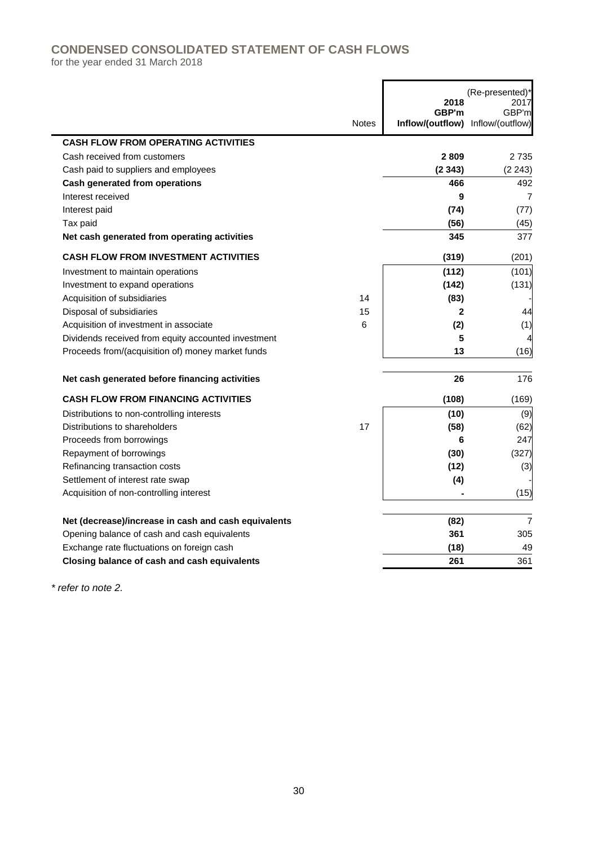# **CONDENSED CONSOLIDATED STATEMENT OF CASH FLOWS**

for the year ended 31 March 2018

|                                                      |              | 2018<br>GBP'm                     | (Re-presented)*<br>2017<br>GBP'm |
|------------------------------------------------------|--------------|-----------------------------------|----------------------------------|
|                                                      | <b>Notes</b> | Inflow/(outflow) Inflow/(outflow) |                                  |
| <b>CASH FLOW FROM OPERATING ACTIVITIES</b>           |              |                                   |                                  |
| Cash received from customers                         |              | 2809                              | 2 7 3 5                          |
| Cash paid to suppliers and employees                 |              | (2343)                            | (2 243)                          |
| <b>Cash generated from operations</b>                |              | 466                               | 492                              |
| Interest received                                    |              | 9                                 | 7                                |
| Interest paid                                        |              | (74)                              | (77)                             |
| Tax paid                                             |              | (56)                              | (45)                             |
| Net cash generated from operating activities         |              | 345                               | 377                              |
| <b>CASH FLOW FROM INVESTMENT ACTIVITIES</b>          |              | (319)                             | (201)                            |
| Investment to maintain operations                    |              | (112)                             | (101)                            |
| Investment to expand operations                      |              | (142)                             | (131)                            |
| Acquisition of subsidiaries                          | 14           | (83)                              |                                  |
| Disposal of subsidiaries                             | 15           | $\mathbf{2}$                      | 44                               |
| Acquisition of investment in associate               | 6            | (2)                               | (1)                              |
| Dividends received from equity accounted investment  |              | 5                                 |                                  |
| Proceeds from/(acquisition of) money market funds    |              | 13                                | (16)                             |
| Net cash generated before financing activities       |              | 26                                | 176                              |
| <b>CASH FLOW FROM FINANCING ACTIVITIES</b>           |              | (108)                             | (169)                            |
| Distributions to non-controlling interests           |              | (10)                              | (9)                              |
| Distributions to shareholders                        | 17           | (58)                              | (62)                             |
| Proceeds from borrowings                             |              | 6                                 | 247                              |
| Repayment of borrowings                              |              | (30)                              | (327)                            |
| Refinancing transaction costs                        |              | (12)                              | (3)                              |
| Settlement of interest rate swap                     |              | (4)                               |                                  |
| Acquisition of non-controlling interest              |              |                                   | (15)                             |
| Net (decrease)/increase in cash and cash equivalents |              | (82)                              | $\overline{7}$                   |
| Opening balance of cash and cash equivalents         |              | 361                               | 305                              |
| Exchange rate fluctuations on foreign cash           |              | (18)                              | 49                               |
| Closing balance of cash and cash equivalents         |              | 261                               | 361                              |

Ë

*\* refer to note 2.*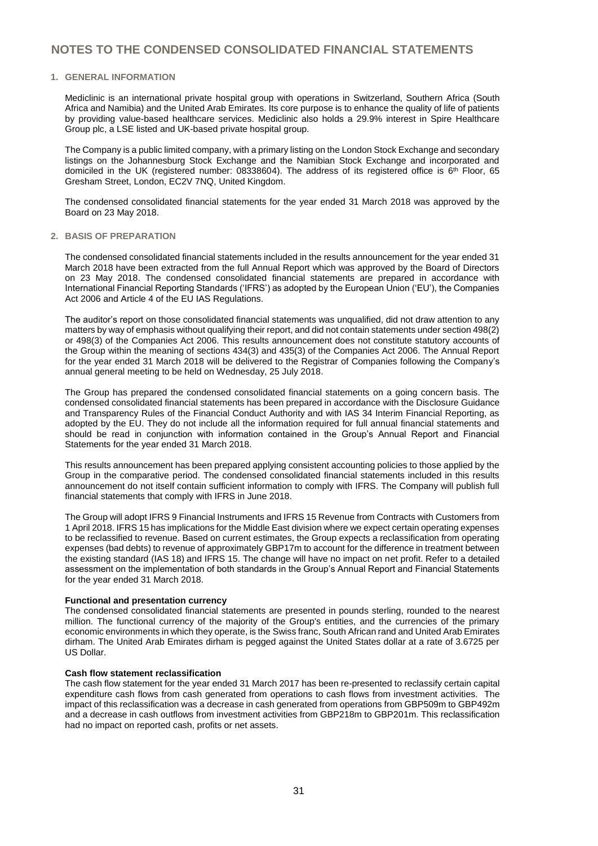#### **1. GENERAL INFORMATION**

Mediclinic is an international private hospital group with operations in Switzerland, Southern Africa (South Africa and Namibia) and the United Arab Emirates. Its core purpose is to enhance the quality of life of patients by providing value-based healthcare services. Mediclinic also holds a 29.9% interest in Spire Healthcare Group plc, a LSE listed and UK-based private hospital group.

The Company is a public limited company, with a primary listing on the London Stock Exchange and secondary listings on the Johannesburg Stock Exchange and the Namibian Stock Exchange and incorporated and domiciled in the UK (registered number: 08338604). The address of its registered office is 6 th Floor, 65 Gresham Street, London, EC2V 7NQ, United Kingdom.

The condensed consolidated financial statements for the year ended 31 March 2018 was approved by the Board on 23 May 2018.

#### **2. BASIS OF PREPARATION**

The condensed consolidated financial statements included in the results announcement for the year ended 31 March 2018 have been extracted from the full Annual Report which was approved by the Board of Directors on 23 May 2018. The condensed consolidated financial statements are prepared in accordance with International Financial Reporting Standards ('IFRS') as adopted by the European Union ('EU'), the Companies Act 2006 and Article 4 of the EU IAS Regulations.

The auditor's report on those consolidated financial statements was unqualified, did not draw attention to any matters by way of emphasis without qualifying their report, and did not contain statements under section 498(2) or 498(3) of the Companies Act 2006. This results announcement does not constitute statutory accounts of the Group within the meaning of sections 434(3) and 435(3) of the Companies Act 2006. The Annual Report for the year ended 31 March 2018 will be delivered to the Registrar of Companies following the Company's annual general meeting to be held on Wednesday, 25 July 2018.

The Group has prepared the condensed consolidated financial statements on a going concern basis. The condensed consolidated financial statements has been prepared in accordance with the Disclosure Guidance and Transparency Rules of the Financial Conduct Authority and with IAS 34 Interim Financial Reporting, as adopted by the EU. They do not include all the information required for full annual financial statements and should be read in conjunction with information contained in the Group's Annual Report and Financial Statements for the year ended 31 March 2018.

This results announcement has been prepared applying consistent accounting policies to those applied by the Group in the comparative period. The condensed consolidated financial statements included in this results announcement do not itself contain sufficient information to comply with IFRS. The Company will publish full financial statements that comply with IFRS in June 2018.

The Group will adopt IFRS 9 Financial Instruments and IFRS 15 Revenue from Contracts with Customers from 1 April 2018. IFRS 15 has implications for the Middle East division where we expect certain operating expenses to be reclassified to revenue. Based on current estimates, the Group expects a reclassification from operating expenses (bad debts) to revenue of approximately GBP17m to account for the difference in treatment between the existing standard (IAS 18) and IFRS 15. The change will have no impact on net profit. Refer to a detailed assessment on the implementation of both standards in the Group's Annual Report and Financial Statements for the year ended 31 March 2018.

#### **Functional and presentation currency**

The condensed consolidated financial statements are presented in pounds sterling, rounded to the nearest million. The functional currency of the majority of the Group's entities, and the currencies of the primary economic environments in which they operate, is the Swiss franc, South African rand and United Arab Emirates dirham. The United Arab Emirates dirham is pegged against the United States dollar at a rate of 3.6725 per US Dollar.

#### **Cash flow statement reclassification**

The cash flow statement for the year ended 31 March 2017 has been re-presented to reclassify certain capital expenditure cash flows from cash generated from operations to cash flows from investment activities. The impact of this reclassification was a decrease in cash generated from operations from GBP509m to GBP492m and a decrease in cash outflows from investment activities from GBP218m to GBP201m. This reclassification had no impact on reported cash, profits or net assets.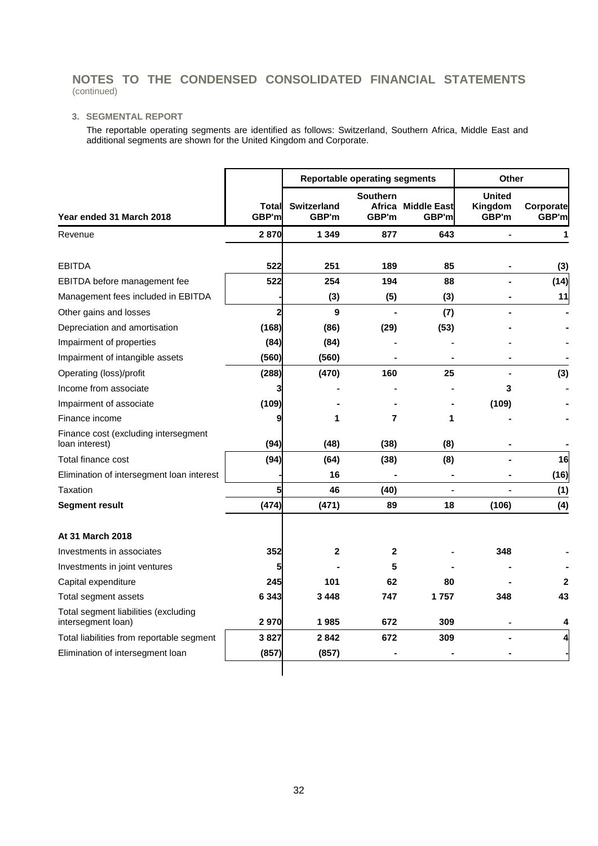### **3. SEGMENTAL REPORT**

The reportable operating segments are identified as follows: Switzerland, Southern Africa, Middle East and additional segments are shown for the United Kingdom and Corporate.

|                                                            |                |                             | <b>Reportable operating segments</b> | <b>Other</b>                |                                   |                    |
|------------------------------------------------------------|----------------|-----------------------------|--------------------------------------|-----------------------------|-----------------------------------|--------------------|
| Year ended 31 March 2018                                   | Total<br>GBP'm | <b>Switzerland</b><br>GBP'm | <b>Southern</b><br>Africa<br>GBP'm   | <b>Middle East</b><br>GBP'm | <b>United</b><br>Kingdom<br>GBP'm | Corporate<br>GBP'm |
| Revenue                                                    | 2870           | 1 3 4 9                     | 877                                  | 643                         |                                   | 1                  |
| <b>EBITDA</b>                                              | 522            | 251                         | 189                                  | 85                          |                                   | (3)                |
| EBITDA before management fee                               | 522            | 254                         | 194                                  | 88                          |                                   | (14)               |
| Management fees included in EBITDA                         |                | (3)                         | (5)                                  | (3)                         |                                   | 11                 |
| Other gains and losses                                     | $\overline{2}$ | 9                           |                                      | (7)                         |                                   |                    |
| Depreciation and amortisation                              | (168)          | (86)                        | (29)                                 | (53)                        |                                   |                    |
| Impairment of properties                                   | (84)           | (84)                        |                                      |                             |                                   |                    |
| Impairment of intangible assets                            | (560)          | (560)                       |                                      |                             |                                   |                    |
| Operating (loss)/profit                                    | (288)          | (470)                       | 160                                  | 25                          |                                   | (3)                |
| Income from associate                                      |                |                             |                                      |                             | 3                                 |                    |
| Impairment of associate                                    | (109)          |                             |                                      |                             | (109)                             |                    |
| Finance income                                             | 9              | 1                           | 7                                    | 1                           |                                   |                    |
| Finance cost (excluding intersegment<br>loan interest)     | (94)           | (48)                        | (38)                                 | (8)                         |                                   |                    |
| Total finance cost                                         | (94)           | (64)                        | (38)                                 | (8)                         |                                   | 16                 |
| Elimination of intersegment loan interest                  |                | 16                          |                                      |                             |                                   | (16)               |
| Taxation                                                   | 5              | 46                          | (40)                                 |                             |                                   | (1)                |
| <b>Segment result</b>                                      | (474)          | (471)                       | 89                                   | 18                          | (106)                             | (4)                |
| At 31 March 2018                                           |                |                             |                                      |                             |                                   |                    |
| Investments in associates                                  | 352            | $\mathbf{2}$                | 2                                    |                             | 348                               |                    |
| Investments in joint ventures                              | 5              |                             | 5                                    |                             |                                   |                    |
| Capital expenditure                                        | 245            | 101                         | 62                                   | 80                          |                                   | 2                  |
| Total segment assets                                       | 6 3 4 3        | 3448                        | 747                                  | 1757                        | 348                               | 43                 |
| Total segment liabilities (excluding<br>intersegment loan) | 2970           | 1985                        | 672                                  | 309                         |                                   | 4                  |
| Total liabilities from reportable segment                  | 3827           | 2842                        | 672                                  | 309                         |                                   |                    |
| Elimination of intersegment loan                           | (857)          | (857)                       |                                      |                             |                                   |                    |
|                                                            |                |                             |                                      |                             |                                   |                    |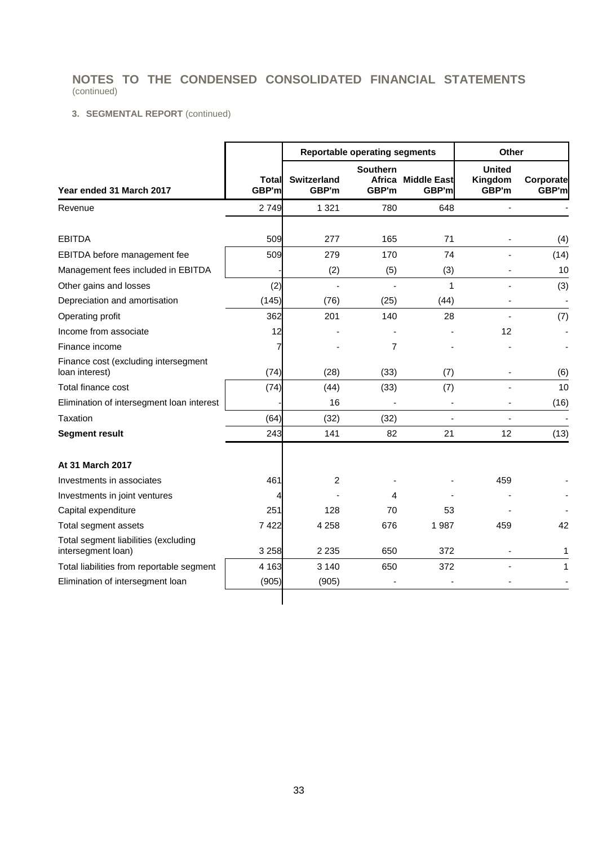### **3. SEGMENTAL REPORT** (continued)

|                                                            |                |                             | <b>Reportable operating segments</b> |                             | Other                             |                    |  |
|------------------------------------------------------------|----------------|-----------------------------|--------------------------------------|-----------------------------|-----------------------------------|--------------------|--|
| Year ended 31 March 2017                                   | Total<br>GBP'm | <b>Switzerland</b><br>GBP'm | <b>Southern</b><br>GBP'm             | Africa Middle East<br>GBP'm | <b>United</b><br>Kingdom<br>GBP'm | Corporate<br>GBP'm |  |
| Revenue                                                    | 2749           | 1 3 2 1                     | 780                                  | 648                         |                                   |                    |  |
| <b>EBITDA</b>                                              | 509            | 277                         | 165                                  | 71                          |                                   |                    |  |
|                                                            |                |                             |                                      | 74                          |                                   | (4)                |  |
| EBITDA before management fee                               | 509            | 279                         | 170                                  |                             |                                   | (14)               |  |
| Management fees included in EBITDA                         |                | (2)                         | (5)                                  | (3)                         |                                   | 10                 |  |
| Other gains and losses                                     | (2)            |                             |                                      | 1                           |                                   | (3)                |  |
| Depreciation and amortisation                              | (145)          | (76)                        | (25)                                 | (44)                        |                                   |                    |  |
| Operating profit                                           | 362            | 201                         | 140                                  | 28                          |                                   | (7)                |  |
| Income from associate                                      | 12             |                             |                                      |                             | 12                                |                    |  |
| Finance income                                             |                |                             | 7                                    |                             |                                   |                    |  |
| Finance cost (excluding intersegment<br>loan interest)     | (74)           | (28)                        | (33)                                 | (7)                         |                                   | (6)                |  |
| Total finance cost                                         | (74)           | (44)                        | (33)                                 | (7)                         |                                   | 10                 |  |
| Elimination of intersegment loan interest                  |                | 16                          |                                      |                             |                                   | (16)               |  |
| Taxation                                                   | (64)           | (32)                        | (32)                                 |                             |                                   |                    |  |
| <b>Segment result</b>                                      | 243            | 141                         | 82                                   | 21                          | 12                                | (13)               |  |
| At 31 March 2017                                           |                |                             |                                      |                             |                                   |                    |  |
| Investments in associates                                  | 461            | 2                           |                                      |                             | 459                               |                    |  |
| Investments in joint ventures                              |                |                             | 4                                    |                             |                                   |                    |  |
| Capital expenditure                                        | 251            | 128                         | 70                                   | 53                          |                                   |                    |  |
| Total segment assets                                       | 7422           | 4 2 5 8                     | 676                                  | 1987                        | 459                               | 42                 |  |
| Total segment liabilities (excluding<br>intersegment loan) | 3 2 5 8        | 2 2 3 5                     | 650                                  | 372                         |                                   | 1                  |  |
| Total liabilities from reportable segment                  | 4 1 6 3        | 3 1 4 0                     | 650                                  | 372                         |                                   | 1                  |  |
| Elimination of intersegment loan                           | (905)          | (905)                       |                                      |                             |                                   |                    |  |
|                                                            |                |                             |                                      |                             |                                   |                    |  |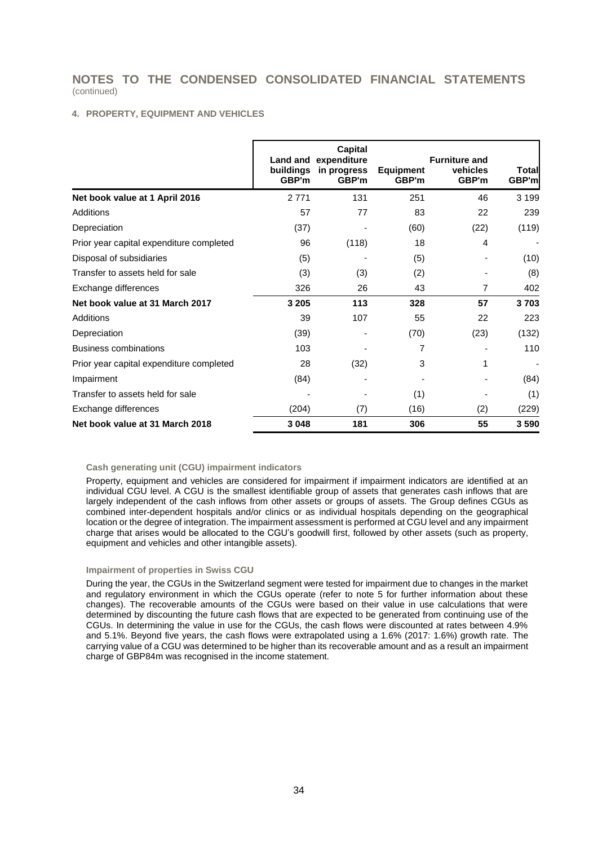#### **4. PROPERTY, EQUIPMENT AND VEHICLES**

|                                          | <b>Land and</b><br>buildings<br>GBP'm | Capital<br>expenditure<br>in progress<br>GBP'm | <b>Equipment</b><br>GBP'm | <b>Furniture and</b><br>vehicles<br>GBP'm | Total<br>GBP'm |
|------------------------------------------|---------------------------------------|------------------------------------------------|---------------------------|-------------------------------------------|----------------|
| Net book value at 1 April 2016           | 2 7 7 1                               | 131                                            | 251                       | 46                                        | 3 1 9 9        |
| Additions                                | 57                                    | 77                                             | 83                        | 22                                        | 239            |
| Depreciation                             | (37)                                  |                                                | (60)                      | (22)                                      | (119)          |
| Prior year capital expenditure completed | 96                                    | (118)                                          | 18                        | 4                                         |                |
| Disposal of subsidiaries                 | (5)                                   |                                                | (5)                       |                                           | (10)           |
| Transfer to assets held for sale         | (3)                                   | (3)                                            | (2)                       |                                           | (8)            |
| Exchange differences                     | 326                                   | 26                                             | 43                        | 7                                         | 402            |
| Net book value at 31 March 2017          | 3 2 0 5                               | 113                                            | 328                       | 57                                        | 3703           |
| Additions                                | 39                                    | 107                                            | 55                        | 22                                        | 223            |
| Depreciation                             | (39)                                  |                                                | (70)                      | (23)                                      | (132)          |
| <b>Business combinations</b>             | 103                                   |                                                | 7                         |                                           | 110            |
| Prior year capital expenditure completed | 28                                    | (32)                                           | 3                         | 1                                         |                |
| Impairment                               | (84)                                  |                                                |                           |                                           | (84)           |
| Transfer to assets held for sale         |                                       |                                                | (1)                       |                                           | (1)            |
| Exchange differences                     | (204)                                 | (7)                                            | (16)                      | (2)                                       | (229)          |
| Net book value at 31 March 2018          | 3 0 4 8                               | 181                                            | 306                       | 55                                        | 3590           |

#### **Cash generating unit (CGU) impairment indicators**

Property, equipment and vehicles are considered for impairment if impairment indicators are identified at an individual CGU level. A CGU is the smallest identifiable group of assets that generates cash inflows that are largely independent of the cash inflows from other assets or groups of assets. The Group defines CGUs as combined inter-dependent hospitals and/or clinics or as individual hospitals depending on the geographical location or the degree of integration. The impairment assessment is performed at CGU level and any impairment charge that arises would be allocated to the CGU's goodwill first, followed by other assets (such as property, equipment and vehicles and other intangible assets).

#### **Impairment of properties in Swiss CGU**

During the year, the CGUs in the Switzerland segment were tested for impairment due to changes in the market and regulatory environment in which the CGUs operate (refer to note 5 for further information about these changes). The recoverable amounts of the CGUs were based on their value in use calculations that were determined by discounting the future cash flows that are expected to be generated from continuing use of the CGUs. In determining the value in use for the CGUs, the cash flows were discounted at rates between 4.9% and 5.1%. Beyond five years, the cash flows were extrapolated using a 1.6% (2017: 1.6%) growth rate. The carrying value of a CGU was determined to be higher than its recoverable amount and as a result an impairment charge of GBP84m was recognised in the income statement.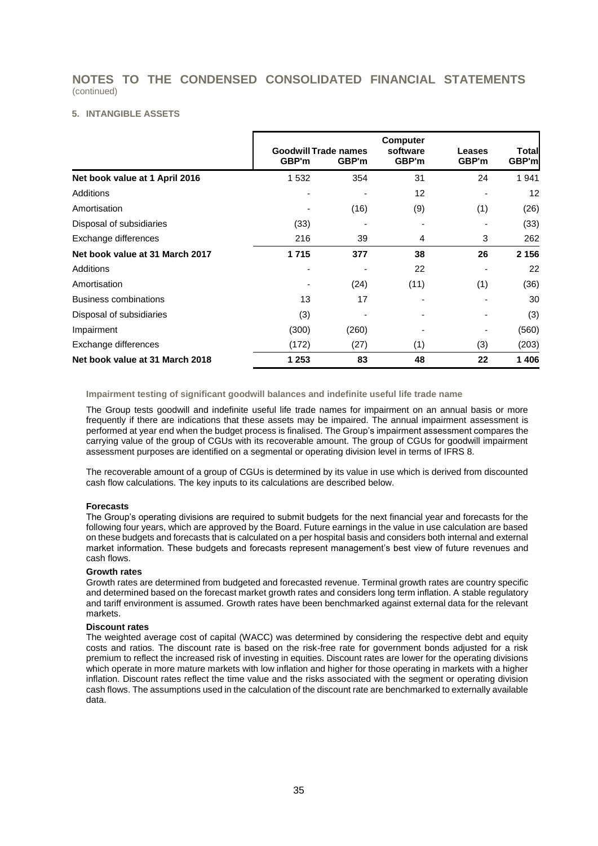#### **5. INTANGIBLE ASSETS**

|                                 | GBP'm   | <b>Goodwill Trade names</b><br>GBP'm | <b>Computer</b><br>software<br>GBP'm | Leases<br>GBP'm | Total<br>GBP'm |
|---------------------------------|---------|--------------------------------------|--------------------------------------|-----------------|----------------|
| Net book value at 1 April 2016  | 1 5 3 2 | 354                                  | 31                                   | 24              | 1941           |
| <b>Additions</b>                |         |                                      | 12                                   |                 | 12             |
| Amortisation                    |         | (16)                                 | (9)                                  | (1)             | (26)           |
| Disposal of subsidiaries        | (33)    |                                      |                                      |                 | (33)           |
| Exchange differences            | 216     | 39                                   | 4                                    | 3               | 262            |
| Net book value at 31 March 2017 | 1715    | 377                                  | 38                                   | 26              | 2 1 5 6        |
| Additions                       |         |                                      | 22                                   |                 | 22             |
| Amortisation                    |         | (24)                                 | (11)                                 | (1)             | (36)           |
| <b>Business combinations</b>    | 13      | 17                                   |                                      |                 | 30             |
| Disposal of subsidiaries        | (3)     |                                      |                                      |                 | (3)            |
| Impairment                      | (300)   | (260)                                |                                      |                 | (560)          |
| Exchange differences            | (172)   | (27)                                 | (1)                                  | (3)             | (203)          |
| Net book value at 31 March 2018 | 1 2 5 3 | 83                                   | 48                                   | 22              | 1406           |

**Impairment testing of significant goodwill balances and indefinite useful life trade name**

The Group tests goodwill and indefinite useful life trade names for impairment on an annual basis or more frequently if there are indications that these assets may be impaired. The annual impairment assessment is performed at year end when the budget process is finalised. The Group's impairment assessment compares the carrying value of the group of CGUs with its recoverable amount. The group of CGUs for goodwill impairment assessment purposes are identified on a segmental or operating division level in terms of IFRS 8.

The recoverable amount of a group of CGUs is determined by its value in use which is derived from discounted cash flow calculations. The key inputs to its calculations are described below.

#### **Forecasts**

The Group's operating divisions are required to submit budgets for the next financial year and forecasts for the following four years, which are approved by the Board. Future earnings in the value in use calculation are based on these budgets and forecasts that is calculated on a per hospital basis and considers both internal and external market information. These budgets and forecasts represent management's best view of future revenues and cash flows.

#### **Growth rates**

Growth rates are determined from budgeted and forecasted revenue. Terminal growth rates are country specific and determined based on the forecast market growth rates and considers long term inflation. A stable regulatory and tariff environment is assumed. Growth rates have been benchmarked against external data for the relevant markets.

#### **Discount rates**

The weighted average cost of capital (WACC) was determined by considering the respective debt and equity costs and ratios. The discount rate is based on the risk-free rate for government bonds adjusted for a risk premium to reflect the increased risk of investing in equities. Discount rates are lower for the operating divisions which operate in more mature markets with low inflation and higher for those operating in markets with a higher inflation. Discount rates reflect the time value and the risks associated with the segment or operating division cash flows. The assumptions used in the calculation of the discount rate are benchmarked to externally available data.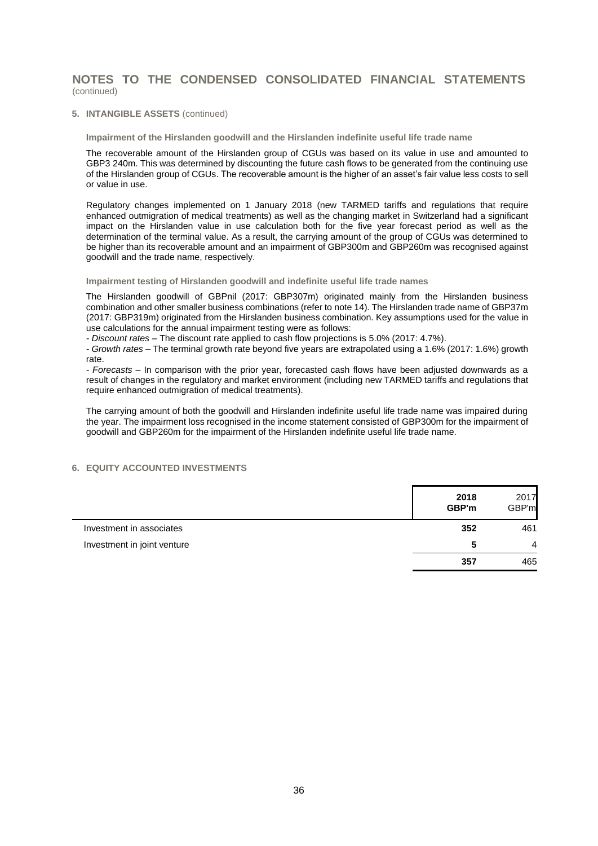#### **5. INTANGIBLE ASSETS** (continued)

**Impairment of the Hirslanden goodwill and the Hirslanden indefinite useful life trade name**

The recoverable amount of the Hirslanden group of CGUs was based on its value in use and amounted to GBP3 240m. This was determined by discounting the future cash flows to be generated from the continuing use of the Hirslanden group of CGUs. The recoverable amount is the higher of an asset's fair value less costs to sell or value in use.

Regulatory changes implemented on 1 January 2018 (new TARMED tariffs and regulations that require enhanced outmigration of medical treatments) as well as the changing market in Switzerland had a significant impact on the Hirslanden value in use calculation both for the five year forecast period as well as the determination of the terminal value. As a result, the carrying amount of the group of CGUs was determined to be higher than its recoverable amount and an impairment of GBP300m and GBP260m was recognised against goodwill and the trade name, respectively.

#### **Impairment testing of Hirslanden goodwill and indefinite useful life trade names**

The Hirslanden goodwill of GBPnil (2017: GBP307m) originated mainly from the Hirslanden business combination and other smaller business combinations (refer to note 14). The Hirslanden trade name of GBP37m (2017: GBP319m) originated from the Hirslanden business combination. Key assumptions used for the value in use calculations for the annual impairment testing were as follows:

*- Discount rates* – The discount rate applied to cash flow projections is 5.0% (2017: 4.7%).

*- Growth rates* – The terminal growth rate beyond five years are extrapolated using a 1.6% (2017: 1.6%) growth rate.

*- Forecasts* – In comparison with the prior year, forecasted cash flows have been adjusted downwards as a result of changes in the regulatory and market environment (including new TARMED tariffs and regulations that require enhanced outmigration of medical treatments).

The carrying amount of both the goodwill and Hirslanden indefinite useful life trade name was impaired during the year. The impairment loss recognised in the income statement consisted of GBP300m for the impairment of goodwill and GBP260m for the impairment of the Hirslanden indefinite useful life trade name.

### **6. EQUITY ACCOUNTED INVESTMENTS**

|                             | 2018<br>GBP'm | 2017<br>GBP'm  |
|-----------------------------|---------------|----------------|
| Investment in associates    | 352           | 461            |
| Investment in joint venture | 5             | $\overline{4}$ |
|                             | 357           | 465            |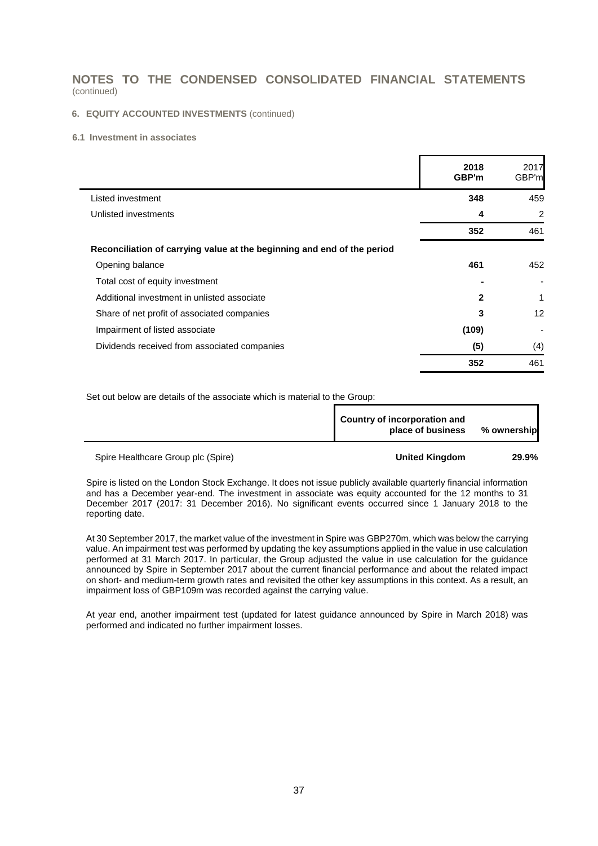#### **6. EQUITY ACCOUNTED INVESTMENTS** (continued)

#### **6.1 Investment in associates**

|                                                                         | 2018<br>GBP'm | 2017<br>GBP'ml |
|-------------------------------------------------------------------------|---------------|----------------|
| Listed investment                                                       | 348           | 459            |
| Unlisted investments                                                    | 4             | $\overline{2}$ |
|                                                                         | 352           | 461            |
| Reconciliation of carrying value at the beginning and end of the period |               |                |
| Opening balance                                                         | 461           | 452            |
| Total cost of equity investment                                         |               |                |
| Additional investment in unlisted associate                             | $\mathbf{2}$  | 1              |
| Share of net profit of associated companies                             | 3             | 12             |
| Impairment of listed associate                                          | (109)         |                |
| Dividends received from associated companies                            | (5)           | (4)            |
|                                                                         | 352           | 461            |

Set out below are details of the associate which is material to the Group:

| Country of incorporation and<br>place of business | % ownership |
|---------------------------------------------------|-------------|
|                                                   |             |

Spire Healthcare Group plc (Spire) **United Kingdom 29.9%**

Spire is listed on the London Stock Exchange. It does not issue publicly available quarterly financial information and has a December year-end. The investment in associate was equity accounted for the 12 months to 31 December 2017 (2017: 31 December 2016). No significant events occurred since 1 January 2018 to the reporting date.

At 30 September 2017, the market value of the investment in Spire was GBP270m, which was below the carrying value. An impairment test was performed by updating the key assumptions applied in the value in use calculation performed at 31 March 2017. In particular, the Group adjusted the value in use calculation for the guidance announced by Spire in September 2017 about the current financial performance and about the related impact on short- and medium-term growth rates and revisited the other key assumptions in this context. As a result, an impairment loss of GBP109m was recorded against the carrying value.

At year end, another impairment test (updated for latest guidance announced by Spire in March 2018) was performed and indicated no further impairment losses.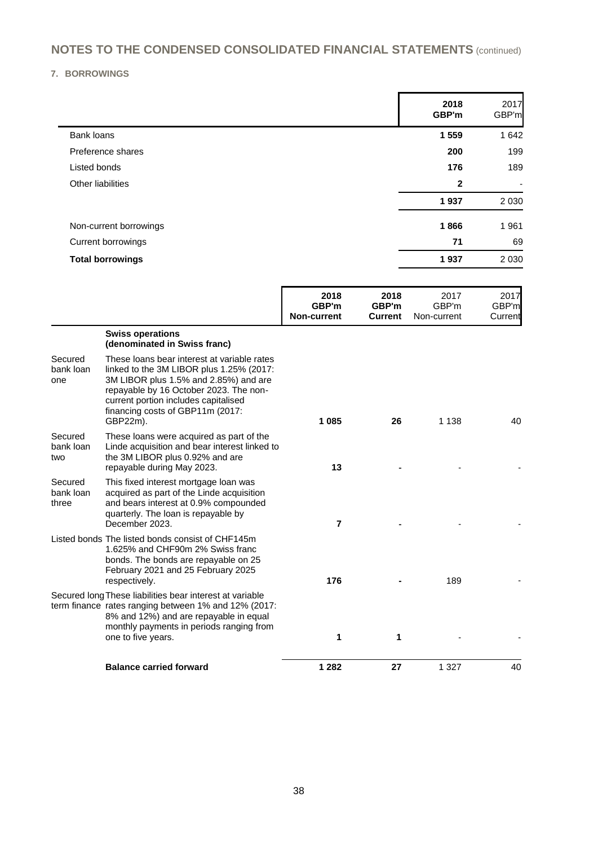**7. BORROWINGS**

|                         | 2018<br>GBP'm | 2017<br>GBP'm            |
|-------------------------|---------------|--------------------------|
| <b>Bank loans</b>       | 1 5 5 9       | 1 642                    |
| Preference shares       | 200           | 199                      |
| Listed bonds            | 176           | 189                      |
| Other liabilities       | $\mathbf{2}$  | $\overline{\phantom{0}}$ |
|                         | 1937          | 2 0 3 0                  |
| Non-current borrowings  | 1866          | 1961                     |
| Current borrowings      | 71            | 69                       |
| <b>Total borrowings</b> | 1937          | 2 0 3 0                  |

|                               |                                                                                                                                                                                                                                                                    | 2018<br>GBP'm<br><b>Non-current</b> | 2018<br>GBP'm<br><b>Current</b> | 2017<br>GBP'm<br>Non-current | 2017<br>GBP'm<br>Current |
|-------------------------------|--------------------------------------------------------------------------------------------------------------------------------------------------------------------------------------------------------------------------------------------------------------------|-------------------------------------|---------------------------------|------------------------------|--------------------------|
|                               | <b>Swiss operations</b><br>(denominated in Swiss franc)                                                                                                                                                                                                            |                                     |                                 |                              |                          |
| Secured<br>bank loan<br>one   | These loans bear interest at variable rates<br>linked to the 3M LIBOR plus 1.25% (2017:<br>3M LIBOR plus 1.5% and 2.85%) and are<br>repayable by 16 October 2023. The non-<br>current portion includes capitalised<br>financing costs of GBP11m (2017:<br>GBP22m). | 1 0 8 5                             | 26                              | 1 1 3 8                      | 40                       |
| Secured<br>bank loan<br>two   | These loans were acquired as part of the<br>Linde acquisition and bear interest linked to<br>the 3M LIBOR plus 0.92% and are<br>repayable during May 2023.                                                                                                         | 13                                  |                                 |                              |                          |
| Secured<br>bank loan<br>three | This fixed interest mortgage loan was<br>acquired as part of the Linde acquisition<br>and bears interest at 0.9% compounded<br>quarterly. The loan is repayable by<br>December 2023.                                                                               | $\overline{7}$                      |                                 |                              |                          |
|                               | Listed bonds The listed bonds consist of CHF145m<br>1.625% and CHF90m 2% Swiss franc<br>bonds. The bonds are repayable on 25<br>February 2021 and 25 February 2025<br>respectively.                                                                                | 176                                 |                                 | 189                          |                          |
|                               | Secured long These liabilities bear interest at variable<br>term finance rates ranging between 1% and 12% (2017:<br>8% and 12%) and are repayable in equal<br>monthly payments in periods ranging from<br>one to five years.                                       | 1                                   | 1                               |                              |                          |
|                               | <b>Balance carried forward</b>                                                                                                                                                                                                                                     | 1 2 8 2                             | 27                              | 1 3 2 7                      | 40                       |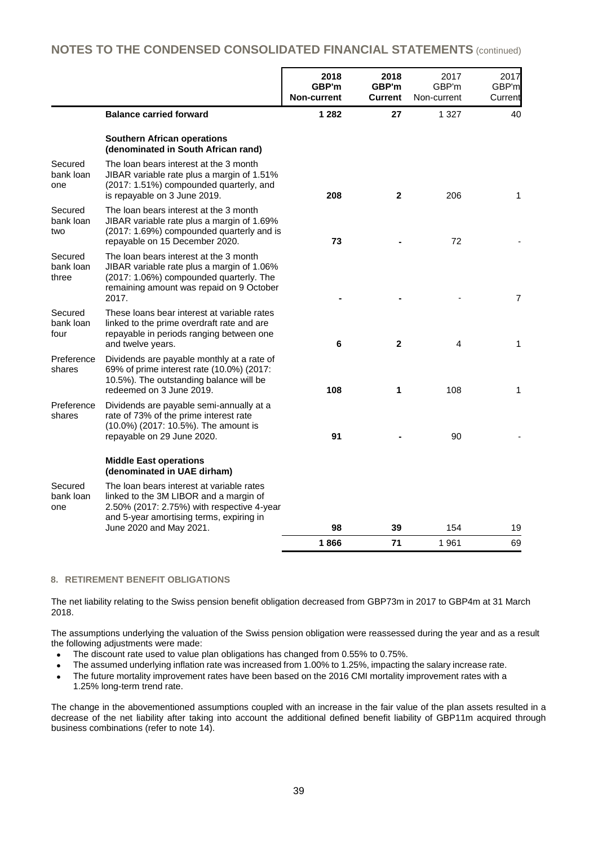|                               |                                                                                                                                                                                      | 2018<br>GBP'm<br>Non-current | 2018<br>GBP'm<br>Current | 2017<br>GBP'm<br>Non-current | 2017<br>GBP'm<br>Current |
|-------------------------------|--------------------------------------------------------------------------------------------------------------------------------------------------------------------------------------|------------------------------|--------------------------|------------------------------|--------------------------|
|                               | <b>Balance carried forward</b>                                                                                                                                                       | 1 2 8 2                      | 27                       | 1 3 2 7                      | 40                       |
|                               | <b>Southern African operations</b><br>(denominated in South African rand)                                                                                                            |                              |                          |                              |                          |
| Secured<br>bank loan<br>one   | The loan bears interest at the 3 month<br>JIBAR variable rate plus a margin of 1.51%<br>(2017: 1.51%) compounded quarterly, and<br>is repayable on 3 June 2019.                      | 208                          | $\mathbf{2}$             | 206                          | 1                        |
| Secured<br>bank loan<br>two   | The loan bears interest at the 3 month<br>JIBAR variable rate plus a margin of 1.69%<br>(2017: 1.69%) compounded quarterly and is<br>repayable on 15 December 2020.                  | 73                           |                          | 72                           |                          |
| Secured<br>bank loan<br>three | The loan bears interest at the 3 month<br>JIBAR variable rate plus a margin of 1.06%<br>(2017: 1.06%) compounded quarterly. The<br>remaining amount was repaid on 9 October<br>2017. |                              |                          |                              | $\overline{7}$           |
| Secured<br>bank loan<br>four  | These loans bear interest at variable rates<br>linked to the prime overdraft rate and are<br>repayable in periods ranging between one<br>and twelve years.                           | 6                            | $\mathbf{2}$             | 4                            | 1                        |
| Preference<br>shares          | Dividends are payable monthly at a rate of<br>69% of prime interest rate (10.0%) (2017:<br>10.5%). The outstanding balance will be<br>redeemed on 3 June 2019.                       | 108                          | 1                        | 108                          | 1                        |
| Preference<br>shares          | Dividends are payable semi-annually at a<br>rate of 73% of the prime interest rate<br>(10.0%) (2017: 10.5%). The amount is<br>repayable on 29 June 2020.                             | 91                           |                          | 90                           |                          |
|                               | <b>Middle East operations</b><br>(denominated in UAE dirham)                                                                                                                         |                              |                          |                              |                          |
| Secured<br>bank loan<br>one   | The loan bears interest at variable rates<br>linked to the 3M LIBOR and a margin of<br>2.50% (2017: 2.75%) with respective 4-year<br>and 5-year amortising terms, expiring in        |                              |                          |                              |                          |
|                               | June 2020 and May 2021.                                                                                                                                                              | 98                           | 39                       | 154                          | 19                       |
|                               |                                                                                                                                                                                      | 1866                         | 71                       | 1961                         | 69                       |

#### **8. RETIREMENT BENEFIT OBLIGATIONS**

The net liability relating to the Swiss pension benefit obligation decreased from GBP73m in 2017 to GBP4m at 31 March 2018.

The assumptions underlying the valuation of the Swiss pension obligation were reassessed during the year and as a result the following adjustments were made:

- The discount rate used to value plan obligations has changed from 0.55% to 0.75%.
- The assumed underlying inflation rate was increased from 1.00% to 1.25%, impacting the salary increase rate.
- The future mortality improvement rates have been based on the 2016 CMI mortality improvement rates with a 1.25% long-term trend rate.

The change in the abovementioned assumptions coupled with an increase in the fair value of the plan assets resulted in a decrease of the net liability after taking into account the additional defined benefit liability of GBP11m acquired through business combinations (refer to note 14).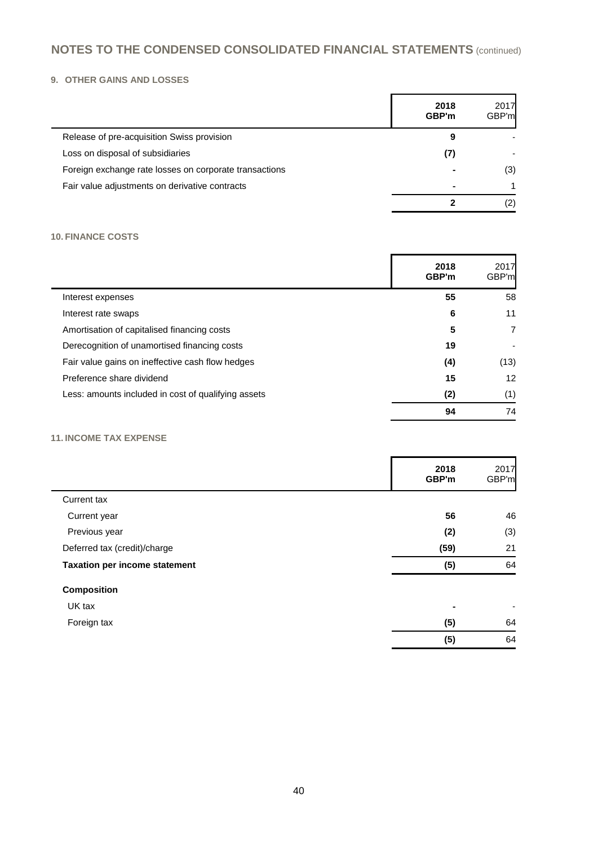### **9. OTHER GAINS AND LOSSES**

|                                                        | 2018<br>GBP'm | 2017<br>GBP'm |
|--------------------------------------------------------|---------------|---------------|
| Release of pre-acquisition Swiss provision             | 9             |               |
| Loss on disposal of subsidiaries                       | (7)           |               |
| Foreign exchange rate losses on corporate transactions | ۰             | (3)           |
| Fair value adjustments on derivative contracts         | -             |               |
|                                                        |               | (2)           |

### **10. FINANCE COSTS**

|                                                     | 2018<br>GBP'm | 2017<br>GBP'm |
|-----------------------------------------------------|---------------|---------------|
| Interest expenses                                   | 55            | 58            |
| Interest rate swaps                                 | 6             | 11            |
| Amortisation of capitalised financing costs         | 5             | 7             |
| Derecognition of unamortised financing costs        | 19            |               |
| Fair value gains on ineffective cash flow hedges    | (4)           | (13)          |
| Preference share dividend                           | 15            | 12            |
| Less: amounts included in cost of qualifying assets | (2)           | (1)           |
|                                                     | 94            | 74            |

### **11. INCOME TAX EXPENSE**

|                                      | 2018<br>GBP'm            | 2017<br>GBP'm            |
|--------------------------------------|--------------------------|--------------------------|
| Current tax                          |                          |                          |
| Current year                         | 56                       | 46                       |
| Previous year                        | (2)                      | (3)                      |
| Deferred tax (credit)/charge         | (59)                     | 21                       |
| <b>Taxation per income statement</b> | (5)                      | 64                       |
| <b>Composition</b>                   |                          |                          |
| UK tax                               | $\overline{\phantom{a}}$ | $\overline{\phantom{0}}$ |
| Foreign tax                          | (5)                      | 64                       |
|                                      | (5)                      | 64                       |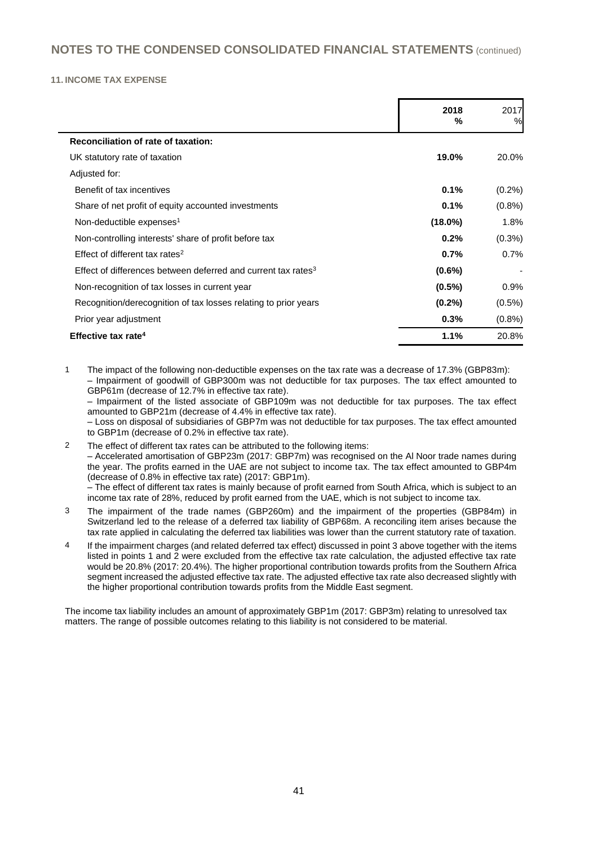#### **11. INCOME TAX EXPENSE**

|                                                                           | 2018<br>%  | 2017<br>% |
|---------------------------------------------------------------------------|------------|-----------|
| <b>Reconciliation of rate of taxation:</b>                                |            |           |
| UK statutory rate of taxation                                             | 19.0%      | 20.0%     |
| Adjusted for:                                                             |            |           |
| Benefit of tax incentives                                                 | 0.1%       | $(0.2\%)$ |
| Share of net profit of equity accounted investments                       | 0.1%       | $(0.8\%)$ |
| Non-deductible expenses <sup>1</sup>                                      | $(18.0\%)$ | 1.8%      |
| Non-controlling interests' share of profit before tax                     | 0.2%       | $(0.3\%)$ |
| Effect of different tax rates <sup>2</sup>                                | 0.7%       | 0.7%      |
| Effect of differences between deferred and current tax rates <sup>3</sup> | $(0.6\%)$  |           |
| Non-recognition of tax losses in current year                             | $(0.5\%)$  | 0.9%      |
| Recognition/derecognition of tax losses relating to prior years           | $(0.2\%)$  | $(0.5\%)$ |
| Prior year adjustment                                                     | 0.3%       | (0.8%     |
| Effective tax rate <sup>4</sup>                                           | 1.1%       | 20.8%     |

1 The impact of the following non-deductible expenses on the tax rate was a decrease of 17.3% (GBP83m): – Impairment of goodwill of GBP300m was not deductible for tax purposes. The tax effect amounted to GBP61m (decrease of 12.7% in effective tax rate).

– Impairment of the listed associate of GBP109m was not deductible for tax purposes. The tax effect amounted to GBP21m (decrease of 4.4% in effective tax rate).

– Loss on disposal of subsidiaries of GBP7m was not deductible for tax purposes. The tax effect amounted to GBP1m (decrease of 0.2% in effective tax rate).

2 The effect of different tax rates can be attributed to the following items: – Accelerated amortisation of GBP23m (2017: GBP7m) was recognised on the Al Noor trade names during the year. The profits earned in the UAE are not subject to income tax. The tax effect amounted to GBP4m (decrease of 0.8% in effective tax rate) (2017: GBP1m). – The effect of different tax rates is mainly because of profit earned from South Africa, which is subject to an

income tax rate of 28%, reduced by profit earned from the UAE, which is not subject to income tax.

- 3 The impairment of the trade names (GBP260m) and the impairment of the properties (GBP84m) in Switzerland led to the release of a deferred tax liability of GBP68m. A reconciling item arises because the tax rate applied in calculating the deferred tax liabilities was lower than the current statutory rate of taxation.
- 4 If the impairment charges (and related deferred tax effect) discussed in point 3 above together with the items listed in points 1 and 2 were excluded from the effective tax rate calculation, the adjusted effective tax rate would be 20.8% (2017: 20.4%). The higher proportional contribution towards profits from the Southern Africa segment increased the adjusted effective tax rate. The adjusted effective tax rate also decreased slightly with the higher proportional contribution towards profits from the Middle East segment.

The income tax liability includes an amount of approximately GBP1m (2017: GBP3m) relating to unresolved tax matters. The range of possible outcomes relating to this liability is not considered to be material.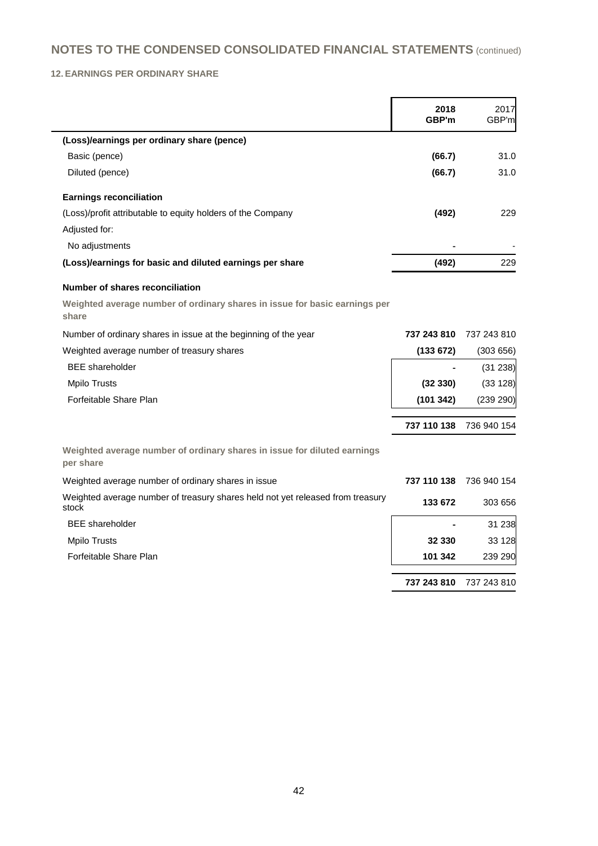**12. EARNINGS PER ORDINARY SHARE**

|                                                                                         | 2018<br>GBP'm | 2017<br>GBP'm |
|-----------------------------------------------------------------------------------------|---------------|---------------|
| (Loss)/earnings per ordinary share (pence)                                              |               |               |
| Basic (pence)                                                                           | (66.7)        | 31.0          |
| Diluted (pence)                                                                         | (66.7)        | 31.0          |
| <b>Earnings reconciliation</b>                                                          |               |               |
| (Loss)/profit attributable to equity holders of the Company                             | (492)         | 229           |
| Adjusted for:                                                                           |               |               |
| No adjustments                                                                          |               |               |
| (Loss)/earnings for basic and diluted earnings per share                                | (492)         | 229           |
| <b>Number of shares reconciliation</b>                                                  |               |               |
| Weighted average number of ordinary shares in issue for basic earnings per<br>share     |               |               |
| Number of ordinary shares in issue at the beginning of the year                         | 737 243 810   | 737 243 810   |
| Weighted average number of treasury shares                                              | (133672)      | (303656)      |
| <b>BEE</b> shareholder                                                                  |               | (31 238)      |
| <b>Mpilo Trusts</b>                                                                     | (32330)       | (33 128)      |
| Forfeitable Share Plan                                                                  | (101 342)     | (239 290)     |
|                                                                                         | 737 110 138   | 736 940 154   |
| Weighted average number of ordinary shares in issue for diluted earnings<br>per share   |               |               |
| Weighted average number of ordinary shares in issue                                     | 737 110 138   | 736 940 154   |
| Weighted average number of treasury shares held not yet released from treasury<br>stock | 133 672       | 303 656       |
| <b>BEE</b> shareholder                                                                  |               | 31 238        |
| <b>Mpilo Trusts</b>                                                                     | 32 330        | 33 1 28       |
| Forfeitable Share Plan                                                                  | 101 342       | 239 290       |
|                                                                                         | 737 243 810   | 737 243 810   |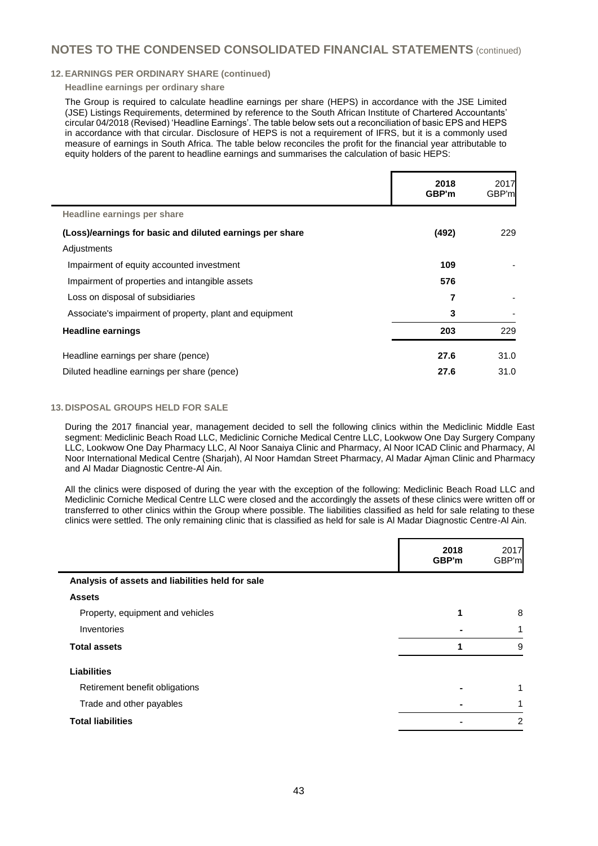#### **12. EARNINGS PER ORDINARY SHARE (continued)**

#### **Headline earnings per ordinary share**

The Group is required to calculate headline earnings per share (HEPS) in accordance with the JSE Limited (JSE) Listings Requirements, determined by reference to the South African Institute of Chartered Accountants' circular 04/2018 (Revised) 'Headline Earnings'. The table below sets out a reconciliation of basic EPS and HEPS in accordance with that circular. Disclosure of HEPS is not a requirement of IFRS, but it is a commonly used measure of earnings in South Africa. The table below reconciles the profit for the financial year attributable to equity holders of the parent to headline earnings and summarises the calculation of basic HEPS:

|                                                          | 2018<br>GBP'm | 2017<br>GBP'm |
|----------------------------------------------------------|---------------|---------------|
| Headline earnings per share                              |               |               |
| (Loss)/earnings for basic and diluted earnings per share | (492)         | 229           |
| Adjustments                                              |               |               |
| Impairment of equity accounted investment                | 109           |               |
| Impairment of properties and intangible assets           | 576           |               |
| Loss on disposal of subsidiaries                         | 7             |               |
| Associate's impairment of property, plant and equipment  | 3             |               |
| <b>Headline earnings</b>                                 | 203           | 229           |
| Headline earnings per share (pence)                      | 27.6          | 31.0          |
| Diluted headline earnings per share (pence)              | 27.6          | 31.0          |

#### **13. DISPOSAL GROUPS HELD FOR SALE**

During the 2017 financial year, management decided to sell the following clinics within the Mediclinic Middle East segment: Mediclinic Beach Road LLC, Mediclinic Corniche Medical Centre LLC, Lookwow One Day Surgery Company LLC, Lookwow One Day Pharmacy LLC, Al Noor Sanaiya Clinic and Pharmacy, Al Noor ICAD Clinic and Pharmacy, Al Noor International Medical Centre (Sharjah), Al Noor Hamdan Street Pharmacy, Al Madar Ajman Clinic and Pharmacy and Al Madar Diagnostic Centre-Al Ain.

All the clinics were disposed of during the year with the exception of the following: Mediclinic Beach Road LLC and Mediclinic Corniche Medical Centre LLC were closed and the accordingly the assets of these clinics were written off or transferred to other clinics within the Group where possible. The liabilities classified as held for sale relating to these clinics were settled. The only remaining clinic that is classified as held for sale is Al Madar Diagnostic Centre-Al Ain.

|                                                  | 2018<br>GBP'm | 2017<br>GBP'm |
|--------------------------------------------------|---------------|---------------|
| Analysis of assets and liabilities held for sale |               |               |
| <b>Assets</b>                                    |               |               |
| Property, equipment and vehicles                 |               | 8             |
| Inventories                                      |               |               |
| <b>Total assets</b>                              | 1             | 9             |
| <b>Liabilities</b>                               |               |               |
| Retirement benefit obligations                   |               |               |
| Trade and other payables                         |               |               |
| <b>Total liabilities</b>                         |               | 2             |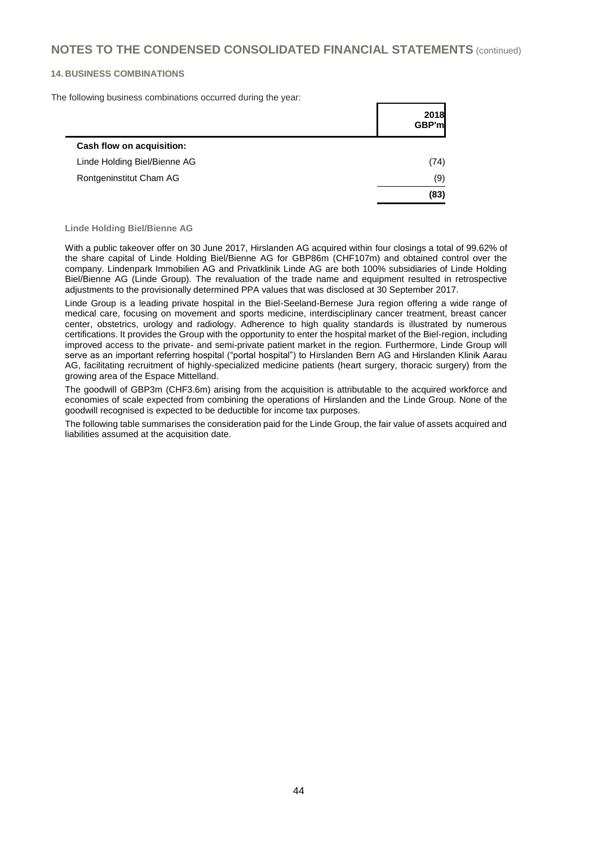#### **14. BUSINESS COMBINATIONS**

The following business combinations occurred during the year:

|                              | 2018<br><b>GBP'ml</b> |
|------------------------------|-----------------------|
| Cash flow on acquisition:    |                       |
| Linde Holding Biel/Bienne AG | (74)                  |
| Rontgeninstitut Cham AG      | (9)                   |
|                              | (83)                  |

**Linde Holding Biel/Bienne AG**

With a public takeover offer on 30 June 2017, Hirslanden AG acquired within four closings a total of 99.62% of the share capital of Linde Holding Biel/Bienne AG for GBP86m (CHF107m) and obtained control over the company. Lindenpark Immobilien AG and Privatklinik Linde AG are both 100% subsidiaries of Linde Holding Biel/Bienne AG (Linde Group). The revaluation of the trade name and equipment resulted in retrospective adjustments to the provisionally determined PPA values that was disclosed at 30 September 2017.

Linde Group is a leading private hospital in the Biel-Seeland-Bernese Jura region offering a wide range of medical care, focusing on movement and sports medicine, interdisciplinary cancer treatment, breast cancer center, obstetrics, urology and radiology. Adherence to high quality standards is illustrated by numerous certifications. It provides the Group with the opportunity to enter the hospital market of the Biel-region, including improved access to the private- and semi-private patient market in the region. Furthermore, Linde Group will serve as an important referring hospital ("portal hospital") to Hirslanden Bern AG and Hirslanden Klinik Aarau AG, facilitating recruitment of highly-specialized medicine patients (heart surgery, thoracic surgery) from the growing area of the Espace Mittelland.

The goodwill of GBP3m (CHF3.6m) arising from the acquisition is attributable to the acquired workforce and economies of scale expected from combining the operations of Hirslanden and the Linde Group. None of the goodwill recognised is expected to be deductible for income tax purposes.

The following table summarises the consideration paid for the Linde Group, the fair value of assets acquired and liabilities assumed at the acquisition date.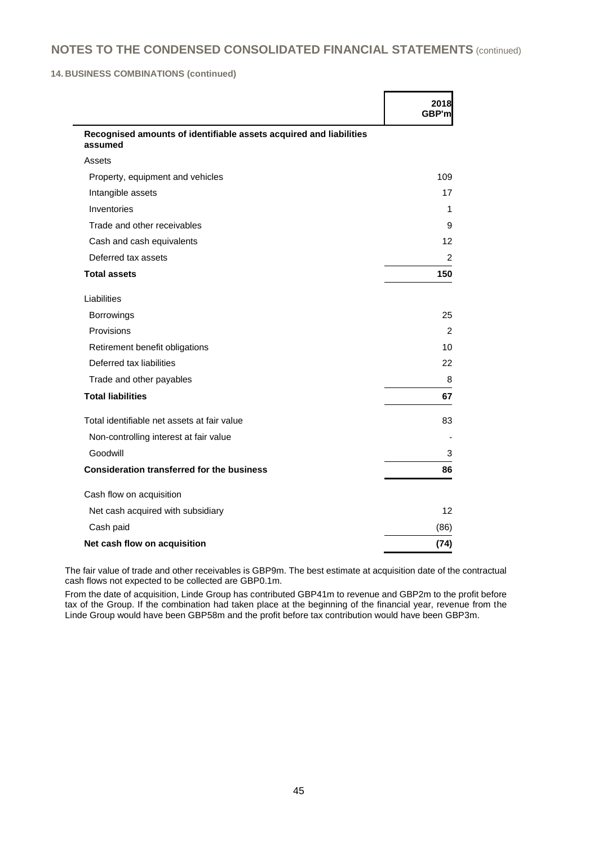**14. BUSINESS COMBINATIONS (continued)**

|                                                                               | 2018<br>GBP'm |
|-------------------------------------------------------------------------------|---------------|
| Recognised amounts of identifiable assets acquired and liabilities<br>assumed |               |
| Assets                                                                        |               |
| Property, equipment and vehicles                                              | 109           |
| Intangible assets                                                             | 17            |
| Inventories                                                                   | 1             |
| Trade and other receivables                                                   | 9             |
| Cash and cash equivalents                                                     | 12            |
| Deferred tax assets                                                           | 2             |
| <b>Total assets</b>                                                           | 150           |
| Liabilities                                                                   |               |
| Borrowings                                                                    | 25            |
| Provisions                                                                    | $\mathcal{P}$ |
| Retirement benefit obligations                                                | 10            |
| Deferred tax liabilities                                                      | 22            |
| Trade and other payables                                                      | 8             |
| <b>Total liabilities</b>                                                      | 67            |
| Total identifiable net assets at fair value                                   | 83            |
| Non-controlling interest at fair value                                        |               |
| Goodwill                                                                      | 3             |
| <b>Consideration transferred for the business</b>                             | 86            |
| Cash flow on acquisition                                                      |               |
| Net cash acquired with subsidiary                                             | 12            |
| Cash paid                                                                     | (86)          |
| Net cash flow on acquisition                                                  | (74)          |

The fair value of trade and other receivables is GBP9m. The best estimate at acquisition date of the contractual cash flows not expected to be collected are GBP0.1m.

From the date of acquisition, Linde Group has contributed GBP41m to revenue and GBP2m to the profit before tax of the Group. If the combination had taken place at the beginning of the financial year, revenue from the Linde Group would have been GBP58m and the profit before tax contribution would have been GBP3m.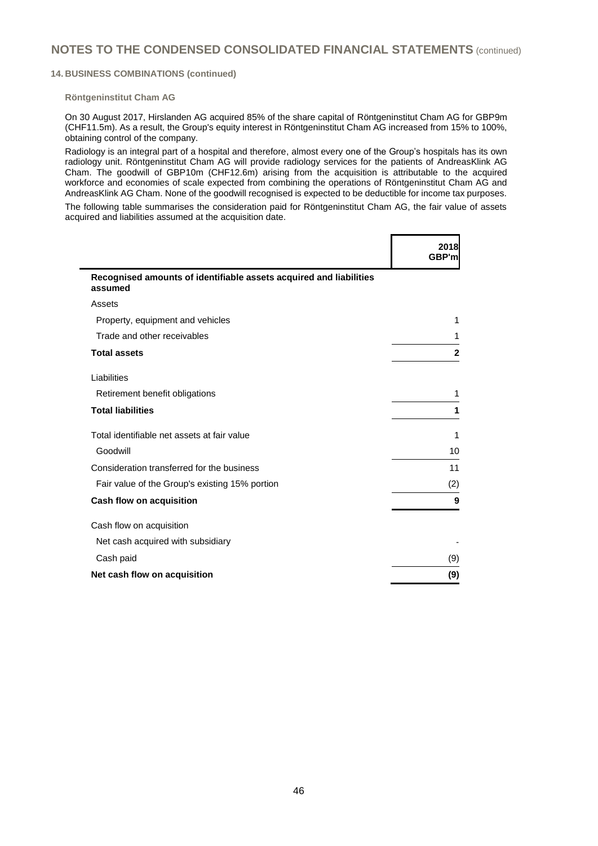#### **14. BUSINESS COMBINATIONS (continued)**

#### **Röntgeninstitut Cham AG**

On 30 August 2017, Hirslanden AG acquired 85% of the share capital of Röntgeninstitut Cham AG for GBP9m (CHF11.5m). As a result, the Group's equity interest in Röntgeninstitut Cham AG increased from 15% to 100%, obtaining control of the company.

Radiology is an integral part of a hospital and therefore, almost every one of the Group's hospitals has its own radiology unit. Röntgeninstitut Cham AG will provide radiology services for the patients of AndreasKlink AG Cham. The goodwill of GBP10m (CHF12.6m) arising from the acquisition is attributable to the acquired workforce and economies of scale expected from combining the operations of Röntgeninstitut Cham AG and AndreasKlink AG Cham. None of the goodwill recognised is expected to be deductible for income tax purposes.

The following table summarises the consideration paid for Röntgeninstitut Cham AG, the fair value of assets acquired and liabilities assumed at the acquisition date.

|                                                                               | 2018<br>GBP'm |
|-------------------------------------------------------------------------------|---------------|
| Recognised amounts of identifiable assets acquired and liabilities<br>assumed |               |
| Assets                                                                        |               |
| Property, equipment and vehicles                                              | 1             |
| Trade and other receivables                                                   |               |
| <b>Total assets</b>                                                           | $\mathbf{2}$  |
| Liabilities                                                                   |               |
| Retirement benefit obligations                                                | 1             |
| <b>Total liabilities</b>                                                      | 1             |
| Total identifiable net assets at fair value                                   | 1             |
| Goodwill                                                                      | 10            |
| Consideration transferred for the business                                    | 11            |
| Fair value of the Group's existing 15% portion                                | (2)           |
| Cash flow on acquisition                                                      | 9             |
| Cash flow on acquisition                                                      |               |
| Net cash acquired with subsidiary                                             |               |
| Cash paid                                                                     | (9)           |
| Net cash flow on acquisition                                                  | (9)           |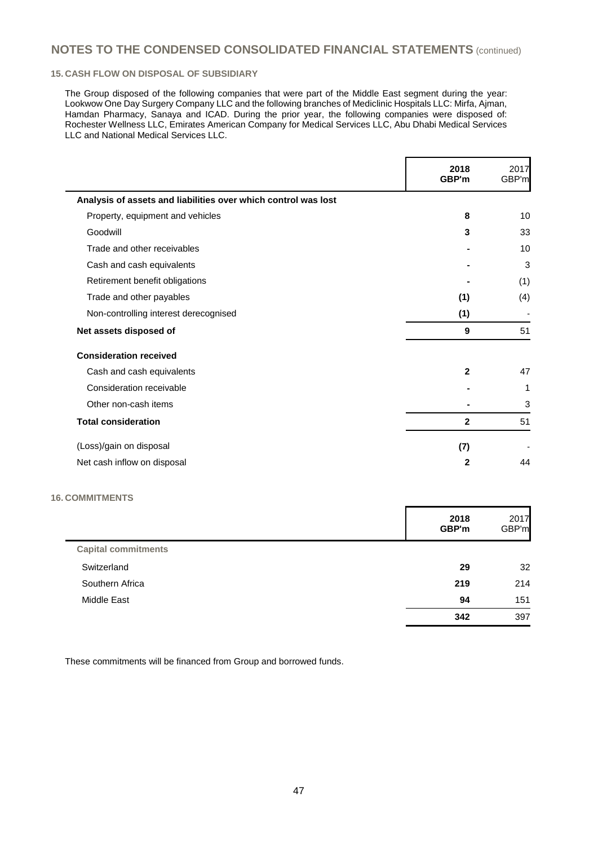### **15. CASH FLOW ON DISPOSAL OF SUBSIDIARY**

The Group disposed of the following companies that were part of the Middle East segment during the year: Lookwow One Day Surgery Company LLC and the following branches of Mediclinic Hospitals LLC: Mirfa, Ajman, Hamdan Pharmacy, Sanaya and ICAD. During the prior year, the following companies were disposed of: Rochester Wellness LLC, Emirates American Company for Medical Services LLC, Abu Dhabi Medical Services LLC and National Medical Services LLC.

|                                                                | 2018<br>GBP'm | 2017<br>GBP'm |
|----------------------------------------------------------------|---------------|---------------|
| Analysis of assets and liabilities over which control was lost |               |               |
| Property, equipment and vehicles                               | 8             | 10            |
| Goodwill                                                       | 3             | 33            |
| Trade and other receivables                                    |               | 10            |
| Cash and cash equivalents                                      |               | 3             |
| Retirement benefit obligations                                 |               | (1)           |
| Trade and other payables                                       | (1)           | (4)           |
| Non-controlling interest derecognised                          | (1)           |               |
| Net assets disposed of                                         | 9             | 51            |
| <b>Consideration received</b>                                  |               |               |
| Cash and cash equivalents                                      | $\mathbf{2}$  | 47            |
| Consideration receivable                                       |               | 1             |
| Other non-cash items                                           |               | 3             |
| <b>Total consideration</b>                                     | $\mathbf{2}$  | 51            |
| (Loss)/gain on disposal                                        | (7)           |               |
| Net cash inflow on disposal                                    | $\mathbf{2}$  | 44            |
| <b>COMMITMENTS</b>                                             |               |               |
|                                                                | 2018<br>GBP'm | 2017<br>GBP'm |
| <b>Capital commitments</b>                                     |               |               |

|                    | 342 | 397 |
|--------------------|-----|-----|
| <b>Middle East</b> | 94  | 151 |
| Southern Africa    | 219 | 214 |
| Switzerland        | 29  | 32  |
|                    |     |     |

These commitments will be financed from Group and borrowed funds.

**16. COMMITMENTS**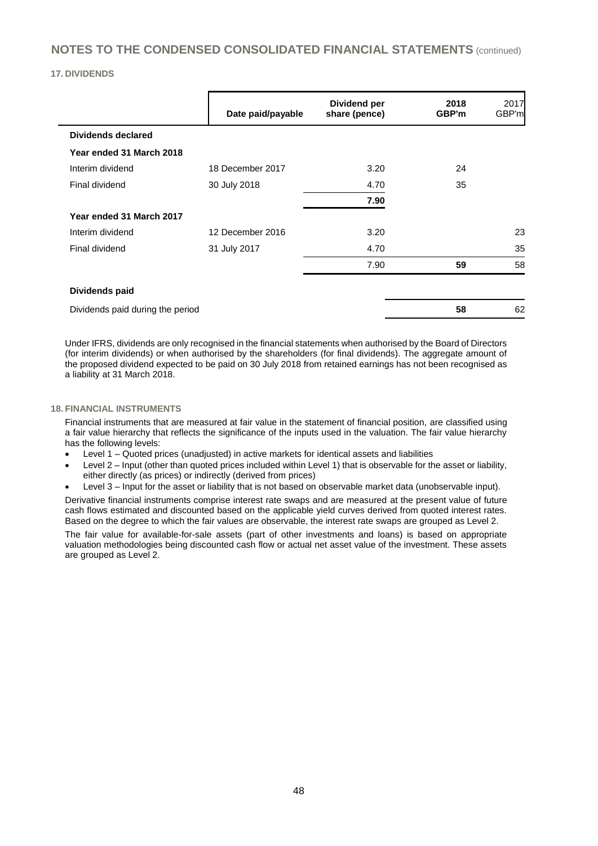#### **17. DIVIDENDS**

|                                  | Date paid/payable | Dividend per<br>share (pence) | 2018<br>GBP'm | 2017<br>GBP'm |
|----------------------------------|-------------------|-------------------------------|---------------|---------------|
| <b>Dividends declared</b>        |                   |                               |               |               |
| Year ended 31 March 2018         |                   |                               |               |               |
| Interim dividend                 | 18 December 2017  | 3.20                          | 24            |               |
| Final dividend                   | 30 July 2018      | 4.70                          | 35            |               |
|                                  |                   | 7.90                          |               |               |
| Year ended 31 March 2017         |                   |                               |               |               |
| Interim dividend                 | 12 December 2016  | 3.20                          |               | 23            |
| Final dividend                   | 31 July 2017      | 4.70                          |               | 35            |
|                                  |                   | 7.90                          | 59            | 58            |
| Dividends paid                   |                   |                               |               |               |
| Dividends paid during the period |                   |                               | 58            | 62            |

Under IFRS, dividends are only recognised in the financial statements when authorised by the Board of Directors (for interim dividends) or when authorised by the shareholders (for final dividends). The aggregate amount of the proposed dividend expected to be paid on 30 July 2018 from retained earnings has not been recognised as a liability at 31 March 2018.

#### **18. FINANCIAL INSTRUMENTS**

Financial instruments that are measured at fair value in the statement of financial position, are classified using a fair value hierarchy that reflects the significance of the inputs used in the valuation. The fair value hierarchy has the following levels:

- Level 1 Quoted prices (unadjusted) in active markets for identical assets and liabilities
- Level 2 Input (other than quoted prices included within Level 1) that is observable for the asset or liability, either directly (as prices) or indirectly (derived from prices)
- Level 3 Input for the asset or liability that is not based on observable market data (unobservable input).

Derivative financial instruments comprise interest rate swaps and are measured at the present value of future cash flows estimated and discounted based on the applicable yield curves derived from quoted interest rates. Based on the degree to which the fair values are observable, the interest rate swaps are grouped as Level 2.

The fair value for available-for-sale assets (part of other investments and loans) is based on appropriate valuation methodologies being discounted cash flow or actual net asset value of the investment. These assets are grouped as Level 2.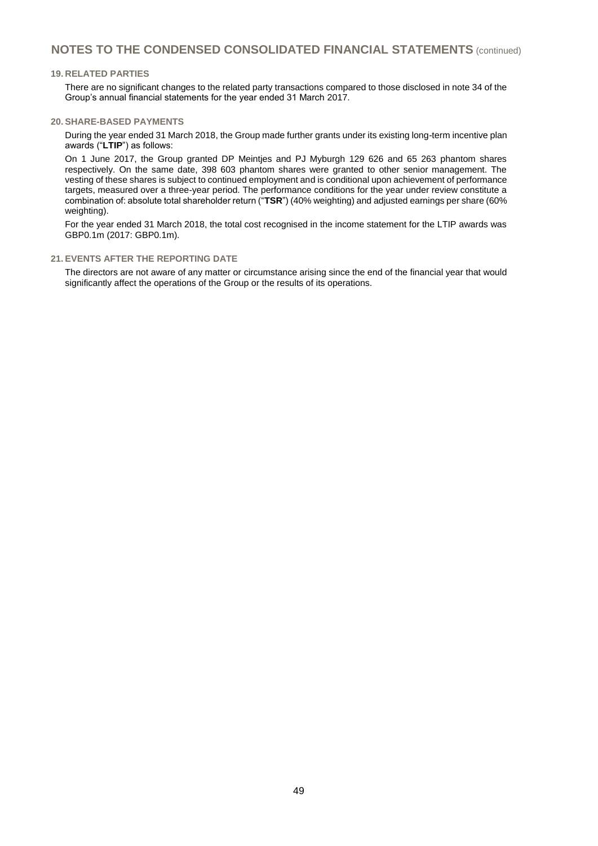#### **19. RELATED PARTIES**

There are no significant changes to the related party transactions compared to those disclosed in note 34 of the Group's annual financial statements for the year ended 31 March 2017.

#### **20. SHARE-BASED PAYMENTS**

During the year ended 31 March 2018, the Group made further grants under its existing long-term incentive plan awards ("**LTIP**") as follows:

On 1 June 2017, the Group granted DP Meintjes and PJ Myburgh 129 626 and 65 263 phantom shares respectively. On the same date, 398 603 phantom shares were granted to other senior management. The vesting of these shares is subject to continued employment and is conditional upon achievement of performance targets, measured over a three-year period. The performance conditions for the year under review constitute a combination of: absolute total shareholder return ("**TSR**") (40% weighting) and adjusted earnings per share (60% weighting).

For the year ended 31 March 2018, the total cost recognised in the income statement for the LTIP awards was GBP0.1m (2017: GBP0.1m).

### **21. EVENTS AFTER THE REPORTING DATE**

The directors are not aware of any matter or circumstance arising since the end of the financial year that would significantly affect the operations of the Group or the results of its operations.